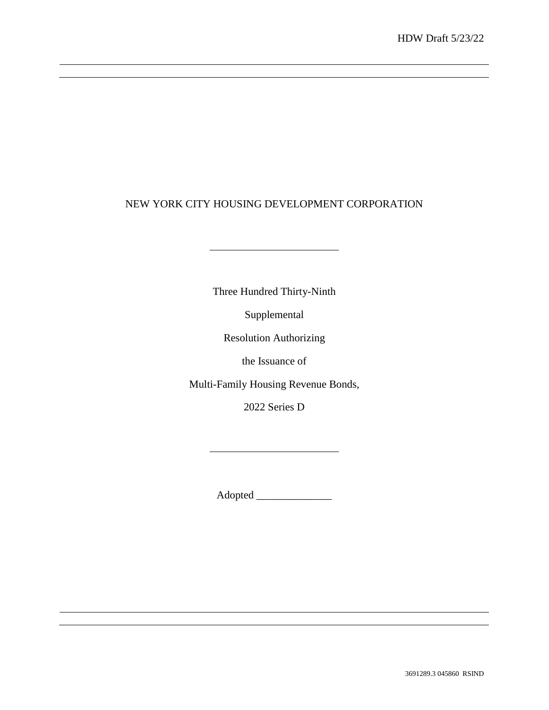# NEW YORK CITY HOUSING DEVELOPMENT CORPORATION

Three Hundred Thirty-Ninth

<u> 1989 - Johann Barn, amerikansk politiker (</u>

Supplemental

Resolution Authorizing

the Issuance of

Multi-Family Housing Revenue Bonds,

2022 Series D

<u> 1980 - Johann Barn, mars ann an t-</u>

Adopted \_\_\_\_\_\_\_\_\_\_\_\_\_\_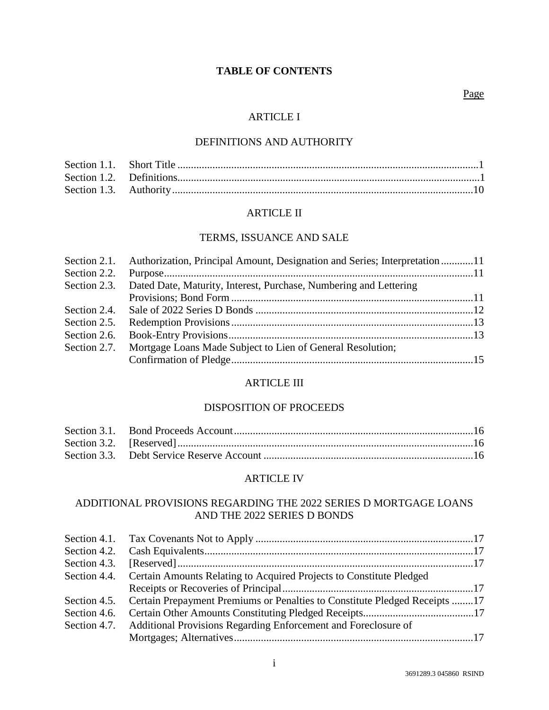# **TABLE OF CONTENTS**

## Page

## ARTICLE I

## DEFINITIONS AND AUTHORITY

## ARTICLE II

## TERMS, ISSUANCE AND SALE

|              | Section 2.1. Authorization, Principal Amount, Designation and Series; Interpretation11 |  |
|--------------|----------------------------------------------------------------------------------------|--|
| Section 2.2. |                                                                                        |  |
|              | Section 2.3. Dated Date, Maturity, Interest, Purchase, Numbering and Lettering         |  |
|              |                                                                                        |  |
|              |                                                                                        |  |
| Section 2.5. |                                                                                        |  |
| Section 2.6. |                                                                                        |  |
|              | Section 2.7. Mortgage Loans Made Subject to Lien of General Resolution;                |  |
|              |                                                                                        |  |
|              |                                                                                        |  |

## ARTICLE III

## DISPOSITION OF PROCEEDS

## ARTICLE IV

## ADDITIONAL PROVISIONS REGARDING THE 2022 SERIES D MORTGAGE LOANS AND THE 2022 SERIES D BONDS

| Section 4.3. |                                                                                         |  |
|--------------|-----------------------------------------------------------------------------------------|--|
|              | Section 4.4. Certain Amounts Relating to Acquired Projects to Constitute Pledged        |  |
|              |                                                                                         |  |
|              | Section 4.5. Certain Prepayment Premiums or Penalties to Constitute Pledged Receipts 17 |  |
|              |                                                                                         |  |
|              | Section 4.7. Additional Provisions Regarding Enforcement and Foreclosure of             |  |
|              |                                                                                         |  |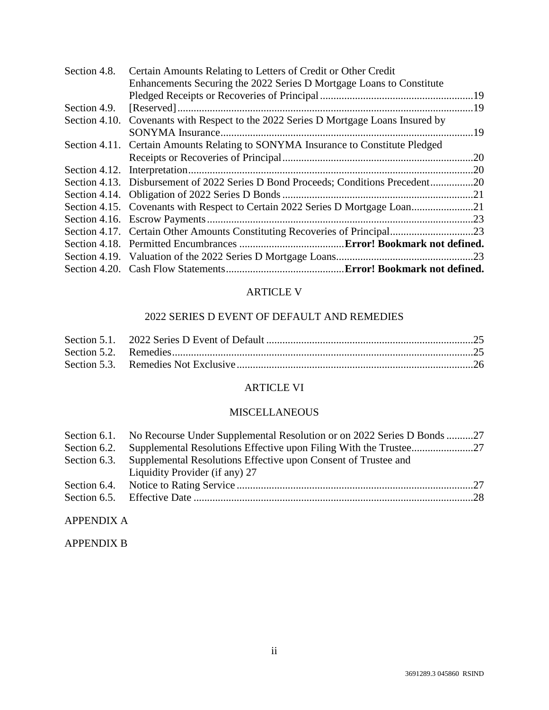| Section 4.8. | Certain Amounts Relating to Letters of Credit or Other Credit                       |     |
|--------------|-------------------------------------------------------------------------------------|-----|
|              | Enhancements Securing the 2022 Series D Mortgage Loans to Constitute                |     |
|              |                                                                                     |     |
| Section 4.9. | $[Reserved] \dots 19$                                                               |     |
|              | Section 4.10. Covenants with Respect to the 2022 Series D Mortgage Loans Insured by |     |
|              |                                                                                     | 19  |
|              | Section 4.11. Certain Amounts Relating to SONYMA Insurance to Constitute Pledged    |     |
|              |                                                                                     | .20 |
|              |                                                                                     |     |
|              | Section 4.13. Disbursement of 2022 Series D Bond Proceeds; Conditions Precedent20   |     |
|              |                                                                                     |     |
|              | Section 4.15. Covenants with Respect to Certain 2022 Series D Mortgage Loan21       |     |
|              |                                                                                     |     |
|              |                                                                                     |     |
|              |                                                                                     |     |
|              |                                                                                     |     |
|              |                                                                                     |     |

## ARTICLE V

## 2022 SERIES D EVENT OF DEFAULT AND REMEDIES

# ARTICLE VI

## MISCELLANEOUS

|              | Section 6.1. No Recourse Under Supplemental Resolution or on 2022 Series D Bonds 27 |  |
|--------------|-------------------------------------------------------------------------------------|--|
| Section 6.2. |                                                                                     |  |
|              | Section 6.3. Supplemental Resolutions Effective upon Consent of Trustee and         |  |
|              | Liquidity Provider (if any) 27                                                      |  |
|              |                                                                                     |  |
|              |                                                                                     |  |

# APPENDIX A

## APPENDIX B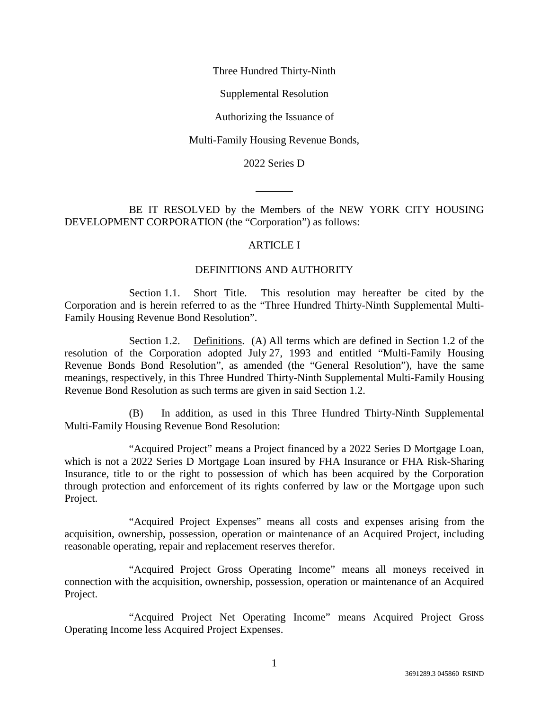Three Hundred Thirty-Ninth

Supplemental Resolution

Authorizing the Issuance of

Multi-Family Housing Revenue Bonds,

2022 Series D

BE IT RESOLVED by the Members of the NEW YORK CITY HOUSING DEVELOPMENT CORPORATION (the "Corporation") as follows:

#### ARTICLE I

### DEFINITIONS AND AUTHORITY

Section 1.1. Short Title. This resolution may hereafter be cited by the Corporation and is herein referred to as the "Three Hundred Thirty-Ninth Supplemental Multi-Family Housing Revenue Bond Resolution".

Section 1.2. Definitions. (A) All terms which are defined in Section 1.2 of the resolution of the Corporation adopted July 27, 1993 and entitled "Multi-Family Housing Revenue Bonds Bond Resolution", as amended (the "General Resolution"), have the same meanings, respectively, in this Three Hundred Thirty-Ninth Supplemental Multi-Family Housing Revenue Bond Resolution as such terms are given in said Section 1.2.

(B) In addition, as used in this Three Hundred Thirty-Ninth Supplemental Multi-Family Housing Revenue Bond Resolution:

"Acquired Project" means a Project financed by a 2022 Series D Mortgage Loan, which is not a 2022 Series D Mortgage Loan insured by FHA Insurance or FHA Risk-Sharing Insurance, title to or the right to possession of which has been acquired by the Corporation through protection and enforcement of its rights conferred by law or the Mortgage upon such Project.

"Acquired Project Expenses" means all costs and expenses arising from the acquisition, ownership, possession, operation or maintenance of an Acquired Project, including reasonable operating, repair and replacement reserves therefor.

"Acquired Project Gross Operating Income" means all moneys received in connection with the acquisition, ownership, possession, operation or maintenance of an Acquired Project.

"Acquired Project Net Operating Income" means Acquired Project Gross Operating Income less Acquired Project Expenses.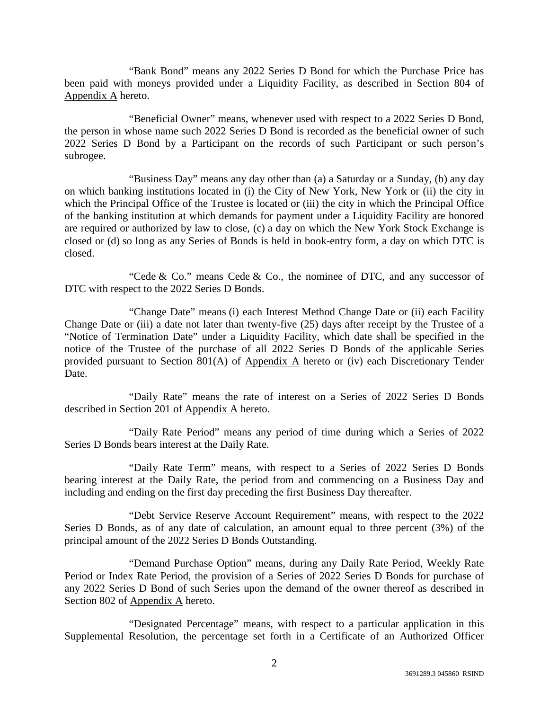"Bank Bond" means any 2022 Series D Bond for which the Purchase Price has been paid with moneys provided under a Liquidity Facility, as described in Section 804 of Appendix A hereto.

"Beneficial Owner" means, whenever used with respect to a 2022 Series D Bond, the person in whose name such 2022 Series D Bond is recorded as the beneficial owner of such 2022 Series D Bond by a Participant on the records of such Participant or such person's subrogee.

"Business Day" means any day other than (a) a Saturday or a Sunday, (b) any day on which banking institutions located in (i) the City of New York, New York or (ii) the city in which the Principal Office of the Trustee is located or (iii) the city in which the Principal Office of the banking institution at which demands for payment under a Liquidity Facility are honored are required or authorized by law to close, (c) a day on which the New York Stock Exchange is closed or (d) so long as any Series of Bonds is held in book-entry form, a day on which DTC is closed.

"Cede  $& Co."$  means Cede  $& Co.$ , the nominee of DTC, and any successor of DTC with respect to the 2022 Series D Bonds.

"Change Date" means (i) each Interest Method Change Date or (ii) each Facility Change Date or (iii) a date not later than twenty-five (25) days after receipt by the Trustee of a "Notice of Termination Date" under a Liquidity Facility, which date shall be specified in the notice of the Trustee of the purchase of all 2022 Series D Bonds of the applicable Series provided pursuant to Section 801(A) of Appendix A hereto or (iv) each Discretionary Tender Date.

"Daily Rate" means the rate of interest on a Series of 2022 Series D Bonds described in Section 201 of Appendix A hereto.

"Daily Rate Period" means any period of time during which a Series of 2022 Series D Bonds bears interest at the Daily Rate.

"Daily Rate Term" means, with respect to a Series of 2022 Series D Bonds bearing interest at the Daily Rate, the period from and commencing on a Business Day and including and ending on the first day preceding the first Business Day thereafter.

"Debt Service Reserve Account Requirement" means, with respect to the 2022 Series D Bonds, as of any date of calculation, an amount equal to three percent (3%) of the principal amount of the 2022 Series D Bonds Outstanding.

"Demand Purchase Option" means, during any Daily Rate Period, Weekly Rate Period or Index Rate Period, the provision of a Series of 2022 Series D Bonds for purchase of any 2022 Series D Bond of such Series upon the demand of the owner thereof as described in Section 802 of Appendix A hereto.

"Designated Percentage" means, with respect to a particular application in this Supplemental Resolution, the percentage set forth in a Certificate of an Authorized Officer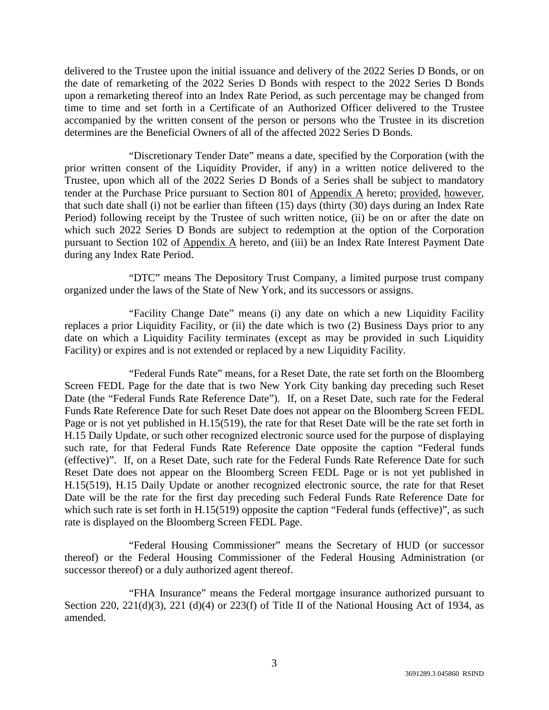delivered to the Trustee upon the initial issuance and delivery of the 2022 Series D Bonds, or on the date of remarketing of the 2022 Series D Bonds with respect to the 2022 Series D Bonds upon a remarketing thereof into an Index Rate Period, as such percentage may be changed from time to time and set forth in a Certificate of an Authorized Officer delivered to the Trustee accompanied by the written consent of the person or persons who the Trustee in its discretion determines are the Beneficial Owners of all of the affected 2022 Series D Bonds.

"Discretionary Tender Date" means a date, specified by the Corporation (with the prior written consent of the Liquidity Provider, if any) in a written notice delivered to the Trustee, upon which all of the 2022 Series D Bonds of a Series shall be subject to mandatory tender at the Purchase Price pursuant to Section 801 of Appendix A hereto; provided, however, that such date shall (i) not be earlier than fifteen (15) days (thirty (30) days during an Index Rate Period) following receipt by the Trustee of such written notice, (ii) be on or after the date on which such 2022 Series D Bonds are subject to redemption at the option of the Corporation pursuant to Section 102 of Appendix A hereto, and (iii) be an Index Rate Interest Payment Date during any Index Rate Period.

"DTC" means The Depository Trust Company, a limited purpose trust company organized under the laws of the State of New York, and its successors or assigns.

"Facility Change Date" means (i) any date on which a new Liquidity Facility replaces a prior Liquidity Facility, or (ii) the date which is two (2) Business Days prior to any date on which a Liquidity Facility terminates (except as may be provided in such Liquidity Facility) or expires and is not extended or replaced by a new Liquidity Facility.

"Federal Funds Rate" means, for a Reset Date, the rate set forth on the Bloomberg Screen FEDL Page for the date that is two New York City banking day preceding such Reset Date (the "Federal Funds Rate Reference Date"). If, on a Reset Date, such rate for the Federal Funds Rate Reference Date for such Reset Date does not appear on the Bloomberg Screen FEDL Page or is not yet published in H.15(519), the rate for that Reset Date will be the rate set forth in H.15 Daily Update, or such other recognized electronic source used for the purpose of displaying such rate, for that Federal Funds Rate Reference Date opposite the caption "Federal funds (effective)". If, on a Reset Date, such rate for the Federal Funds Rate Reference Date for such Reset Date does not appear on the Bloomberg Screen FEDL Page or is not yet published in H.15(519), H.15 Daily Update or another recognized electronic source, the rate for that Reset Date will be the rate for the first day preceding such Federal Funds Rate Reference Date for which such rate is set forth in H.15(519) opposite the caption "Federal funds (effective)", as such rate is displayed on the Bloomberg Screen FEDL Page.

"Federal Housing Commissioner" means the Secretary of HUD (or successor thereof) or the Federal Housing Commissioner of the Federal Housing Administration (or successor thereof) or a duly authorized agent thereof.

"FHA Insurance" means the Federal mortgage insurance authorized pursuant to Section 220, 221(d)(3), 221 (d)(4) or 223(f) of Title II of the National Housing Act of 1934, as amended.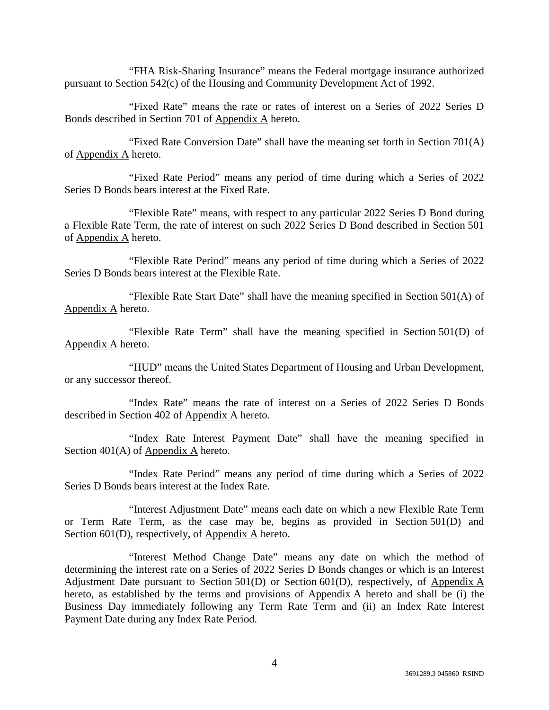"FHA Risk-Sharing Insurance" means the Federal mortgage insurance authorized pursuant to Section 542(c) of the Housing and Community Development Act of 1992.

"Fixed Rate" means the rate or rates of interest on a Series of 2022 Series D Bonds described in Section 701 of Appendix A hereto.

"Fixed Rate Conversion Date" shall have the meaning set forth in Section 701(A) of Appendix A hereto.

"Fixed Rate Period" means any period of time during which a Series of 2022 Series D Bonds bears interest at the Fixed Rate.

"Flexible Rate" means, with respect to any particular 2022 Series D Bond during a Flexible Rate Term, the rate of interest on such 2022 Series D Bond described in Section 501 of Appendix A hereto.

"Flexible Rate Period" means any period of time during which a Series of 2022 Series D Bonds bears interest at the Flexible Rate.

"Flexible Rate Start Date" shall have the meaning specified in Section 501(A) of Appendix A hereto.

"Flexible Rate Term" shall have the meaning specified in Section 501(D) of Appendix A hereto.

"HUD" means the United States Department of Housing and Urban Development, or any successor thereof.

"Index Rate" means the rate of interest on a Series of 2022 Series D Bonds described in Section 402 of Appendix A hereto.

"Index Rate Interest Payment Date" shall have the meaning specified in Section 401(A) of Appendix A hereto.

"Index Rate Period" means any period of time during which a Series of 2022 Series D Bonds bears interest at the Index Rate.

"Interest Adjustment Date" means each date on which a new Flexible Rate Term or Term Rate Term, as the case may be, begins as provided in Section 501(D) and Section 601(D), respectively, of Appendix A hereto.

"Interest Method Change Date" means any date on which the method of determining the interest rate on a Series of 2022 Series D Bonds changes or which is an Interest Adjustment Date pursuant to Section 501(D) or Section 601(D), respectively, of Appendix A hereto, as established by the terms and provisions of Appendix A hereto and shall be (i) the Business Day immediately following any Term Rate Term and (ii) an Index Rate Interest Payment Date during any Index Rate Period.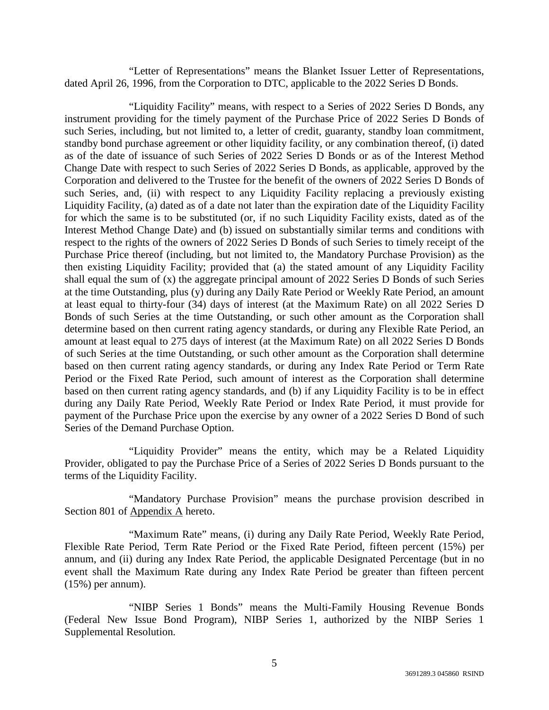"Letter of Representations" means the Blanket Issuer Letter of Representations, dated April 26, 1996, from the Corporation to DTC, applicable to the 2022 Series D Bonds.

"Liquidity Facility" means, with respect to a Series of 2022 Series D Bonds, any instrument providing for the timely payment of the Purchase Price of 2022 Series D Bonds of such Series, including, but not limited to, a letter of credit, guaranty, standby loan commitment, standby bond purchase agreement or other liquidity facility, or any combination thereof, (i) dated as of the date of issuance of such Series of 2022 Series D Bonds or as of the Interest Method Change Date with respect to such Series of 2022 Series D Bonds, as applicable, approved by the Corporation and delivered to the Trustee for the benefit of the owners of 2022 Series D Bonds of such Series, and, (ii) with respect to any Liquidity Facility replacing a previously existing Liquidity Facility, (a) dated as of a date not later than the expiration date of the Liquidity Facility for which the same is to be substituted (or, if no such Liquidity Facility exists, dated as of the Interest Method Change Date) and (b) issued on substantially similar terms and conditions with respect to the rights of the owners of 2022 Series D Bonds of such Series to timely receipt of the Purchase Price thereof (including, but not limited to, the Mandatory Purchase Provision) as the then existing Liquidity Facility; provided that (a) the stated amount of any Liquidity Facility shall equal the sum of (x) the aggregate principal amount of 2022 Series D Bonds of such Series at the time Outstanding, plus (y) during any Daily Rate Period or Weekly Rate Period, an amount at least equal to thirty-four (34) days of interest (at the Maximum Rate) on all 2022 Series D Bonds of such Series at the time Outstanding, or such other amount as the Corporation shall determine based on then current rating agency standards, or during any Flexible Rate Period, an amount at least equal to 275 days of interest (at the Maximum Rate) on all 2022 Series D Bonds of such Series at the time Outstanding, or such other amount as the Corporation shall determine based on then current rating agency standards, or during any Index Rate Period or Term Rate Period or the Fixed Rate Period, such amount of interest as the Corporation shall determine based on then current rating agency standards, and (b) if any Liquidity Facility is to be in effect during any Daily Rate Period, Weekly Rate Period or Index Rate Period, it must provide for payment of the Purchase Price upon the exercise by any owner of a 2022 Series D Bond of such Series of the Demand Purchase Option.

"Liquidity Provider" means the entity, which may be a Related Liquidity Provider, obligated to pay the Purchase Price of a Series of 2022 Series D Bonds pursuant to the terms of the Liquidity Facility.

"Mandatory Purchase Provision" means the purchase provision described in Section 801 of Appendix A hereto.

"Maximum Rate" means, (i) during any Daily Rate Period, Weekly Rate Period, Flexible Rate Period, Term Rate Period or the Fixed Rate Period, fifteen percent (15%) per annum, and (ii) during any Index Rate Period, the applicable Designated Percentage (but in no event shall the Maximum Rate during any Index Rate Period be greater than fifteen percent (15%) per annum).

"NIBP Series 1 Bonds" means the Multi-Family Housing Revenue Bonds (Federal New Issue Bond Program), NIBP Series 1, authorized by the NIBP Series 1 Supplemental Resolution.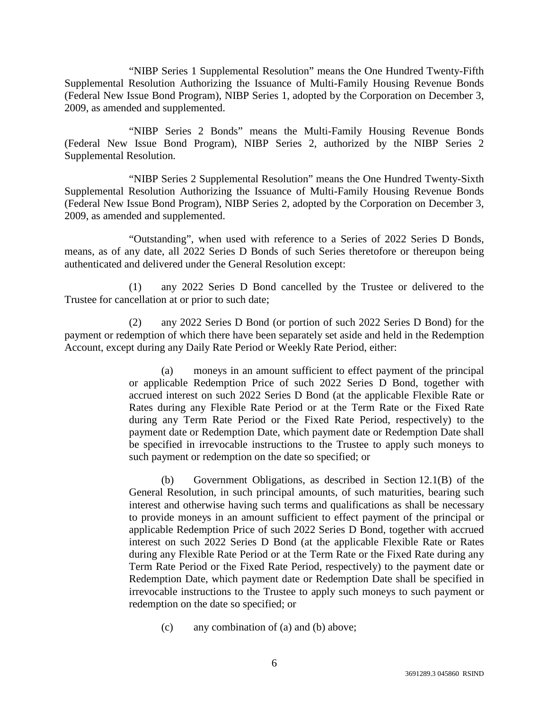"NIBP Series 1 Supplemental Resolution" means the One Hundred Twenty-Fifth Supplemental Resolution Authorizing the Issuance of Multi-Family Housing Revenue Bonds (Federal New Issue Bond Program), NIBP Series 1, adopted by the Corporation on December 3, 2009, as amended and supplemented.

"NIBP Series 2 Bonds" means the Multi-Family Housing Revenue Bonds (Federal New Issue Bond Program), NIBP Series 2, authorized by the NIBP Series 2 Supplemental Resolution.

"NIBP Series 2 Supplemental Resolution" means the One Hundred Twenty-Sixth Supplemental Resolution Authorizing the Issuance of Multi-Family Housing Revenue Bonds (Federal New Issue Bond Program), NIBP Series 2, adopted by the Corporation on December 3, 2009, as amended and supplemented.

"Outstanding", when used with reference to a Series of 2022 Series D Bonds, means, as of any date, all 2022 Series D Bonds of such Series theretofore or thereupon being authenticated and delivered under the General Resolution except:

(1) any 2022 Series D Bond cancelled by the Trustee or delivered to the Trustee for cancellation at or prior to such date;

(2) any 2022 Series D Bond (or portion of such 2022 Series D Bond) for the payment or redemption of which there have been separately set aside and held in the Redemption Account, except during any Daily Rate Period or Weekly Rate Period, either:

> (a) moneys in an amount sufficient to effect payment of the principal or applicable Redemption Price of such 2022 Series D Bond, together with accrued interest on such 2022 Series D Bond (at the applicable Flexible Rate or Rates during any Flexible Rate Period or at the Term Rate or the Fixed Rate during any Term Rate Period or the Fixed Rate Period, respectively) to the payment date or Redemption Date, which payment date or Redemption Date shall be specified in irrevocable instructions to the Trustee to apply such moneys to such payment or redemption on the date so specified; or

> (b) Government Obligations, as described in Section 12.1(B) of the General Resolution, in such principal amounts, of such maturities, bearing such interest and otherwise having such terms and qualifications as shall be necessary to provide moneys in an amount sufficient to effect payment of the principal or applicable Redemption Price of such 2022 Series D Bond, together with accrued interest on such 2022 Series D Bond (at the applicable Flexible Rate or Rates during any Flexible Rate Period or at the Term Rate or the Fixed Rate during any Term Rate Period or the Fixed Rate Period, respectively) to the payment date or Redemption Date, which payment date or Redemption Date shall be specified in irrevocable instructions to the Trustee to apply such moneys to such payment or redemption on the date so specified; or

(c) any combination of (a) and (b) above;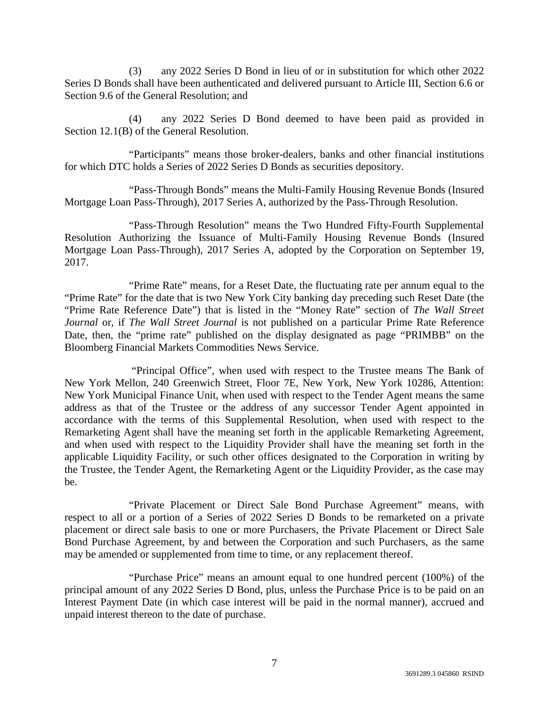(3) any 2022 Series D Bond in lieu of or in substitution for which other 2022 Series D Bonds shall have been authenticated and delivered pursuant to Article III, Section 6.6 or Section 9.6 of the General Resolution; and

(4) any 2022 Series D Bond deemed to have been paid as provided in Section 12.1(B) of the General Resolution.

"Participants" means those broker-dealers, banks and other financial institutions for which DTC holds a Series of 2022 Series D Bonds as securities depository.

"Pass-Through Bonds" means the Multi-Family Housing Revenue Bonds (Insured Mortgage Loan Pass-Through), 2017 Series A, authorized by the Pass-Through Resolution.

"Pass-Through Resolution" means the Two Hundred Fifty-Fourth Supplemental Resolution Authorizing the Issuance of Multi-Family Housing Revenue Bonds (Insured Mortgage Loan Pass-Through), 2017 Series A, adopted by the Corporation on September 19, 2017.

"Prime Rate" means, for a Reset Date, the fluctuating rate per annum equal to the "Prime Rate" for the date that is two New York City banking day preceding such Reset Date (the "Prime Rate Reference Date") that is listed in the "Money Rate" section of *The Wall Street Journal* or, if *The Wall Street Journal* is not published on a particular Prime Rate Reference Date, then, the "prime rate" published on the display designated as page "PRIMBB" on the Bloomberg Financial Markets Commodities News Service.

 "Principal Office", when used with respect to the Trustee means The Bank of New York Mellon, 240 Greenwich Street, Floor 7E, New York, New York 10286, Attention: New York Municipal Finance Unit, when used with respect to the Tender Agent means the same address as that of the Trustee or the address of any successor Tender Agent appointed in accordance with the terms of this Supplemental Resolution, when used with respect to the Remarketing Agent shall have the meaning set forth in the applicable Remarketing Agreement, and when used with respect to the Liquidity Provider shall have the meaning set forth in the applicable Liquidity Facility, or such other offices designated to the Corporation in writing by the Trustee, the Tender Agent, the Remarketing Agent or the Liquidity Provider, as the case may be.

"Private Placement or Direct Sale Bond Purchase Agreement" means, with respect to all or a portion of a Series of 2022 Series D Bonds to be remarketed on a private placement or direct sale basis to one or more Purchasers, the Private Placement or Direct Sale Bond Purchase Agreement, by and between the Corporation and such Purchasers, as the same may be amended or supplemented from time to time, or any replacement thereof.

"Purchase Price" means an amount equal to one hundred percent (100%) of the principal amount of any 2022 Series D Bond, plus, unless the Purchase Price is to be paid on an Interest Payment Date (in which case interest will be paid in the normal manner), accrued and unpaid interest thereon to the date of purchase.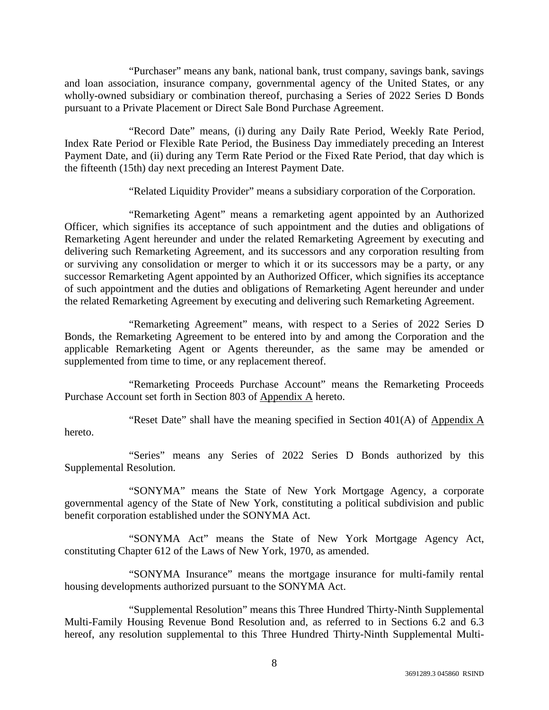"Purchaser" means any bank, national bank, trust company, savings bank, savings and loan association, insurance company, governmental agency of the United States, or any wholly-owned subsidiary or combination thereof, purchasing a Series of 2022 Series D Bonds pursuant to a Private Placement or Direct Sale Bond Purchase Agreement.

"Record Date" means, (i) during any Daily Rate Period, Weekly Rate Period, Index Rate Period or Flexible Rate Period, the Business Day immediately preceding an Interest Payment Date, and (ii) during any Term Rate Period or the Fixed Rate Period, that day which is the fifteenth (15th) day next preceding an Interest Payment Date.

"Related Liquidity Provider" means a subsidiary corporation of the Corporation.

"Remarketing Agent" means a remarketing agent appointed by an Authorized Officer, which signifies its acceptance of such appointment and the duties and obligations of Remarketing Agent hereunder and under the related Remarketing Agreement by executing and delivering such Remarketing Agreement, and its successors and any corporation resulting from or surviving any consolidation or merger to which it or its successors may be a party, or any successor Remarketing Agent appointed by an Authorized Officer, which signifies its acceptance of such appointment and the duties and obligations of Remarketing Agent hereunder and under the related Remarketing Agreement by executing and delivering such Remarketing Agreement.

"Remarketing Agreement" means, with respect to a Series of 2022 Series D Bonds, the Remarketing Agreement to be entered into by and among the Corporation and the applicable Remarketing Agent or Agents thereunder, as the same may be amended or supplemented from time to time, or any replacement thereof.

"Remarketing Proceeds Purchase Account" means the Remarketing Proceeds Purchase Account set forth in Section 803 of Appendix A hereto.

"Reset Date" shall have the meaning specified in Section 401(A) of Appendix A hereto.

"Series" means any Series of 2022 Series D Bonds authorized by this Supplemental Resolution.

"SONYMA" means the State of New York Mortgage Agency, a corporate governmental agency of the State of New York, constituting a political subdivision and public benefit corporation established under the SONYMA Act.

"SONYMA Act" means the State of New York Mortgage Agency Act, constituting Chapter 612 of the Laws of New York, 1970, as amended.

"SONYMA Insurance" means the mortgage insurance for multi-family rental housing developments authorized pursuant to the SONYMA Act.

"Supplemental Resolution" means this Three Hundred Thirty-Ninth Supplemental Multi-Family Housing Revenue Bond Resolution and, as referred to in Sections 6.2 and 6.3 hereof, any resolution supplemental to this Three Hundred Thirty-Ninth Supplemental Multi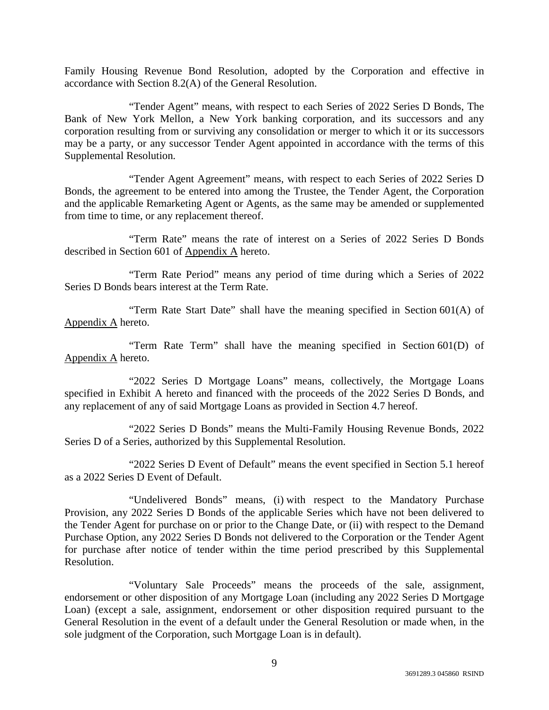Family Housing Revenue Bond Resolution, adopted by the Corporation and effective in accordance with Section 8.2(A) of the General Resolution.

"Tender Agent" means, with respect to each Series of 2022 Series D Bonds, The Bank of New York Mellon, a New York banking corporation, and its successors and any corporation resulting from or surviving any consolidation or merger to which it or its successors may be a party, or any successor Tender Agent appointed in accordance with the terms of this Supplemental Resolution.

"Tender Agent Agreement" means, with respect to each Series of 2022 Series D Bonds, the agreement to be entered into among the Trustee, the Tender Agent, the Corporation and the applicable Remarketing Agent or Agents, as the same may be amended or supplemented from time to time, or any replacement thereof.

"Term Rate" means the rate of interest on a Series of 2022 Series D Bonds described in Section 601 of Appendix A hereto.

"Term Rate Period" means any period of time during which a Series of 2022 Series D Bonds bears interest at the Term Rate.

"Term Rate Start Date" shall have the meaning specified in Section 601(A) of Appendix A hereto.

"Term Rate Term" shall have the meaning specified in Section 601(D) of Appendix A hereto.

"2022 Series D Mortgage Loans" means, collectively, the Mortgage Loans specified in Exhibit A hereto and financed with the proceeds of the 2022 Series D Bonds, and any replacement of any of said Mortgage Loans as provided in Section 4.7 hereof.

"2022 Series D Bonds" means the Multi-Family Housing Revenue Bonds, 2022 Series D of a Series, authorized by this Supplemental Resolution.

"2022 Series D Event of Default" means the event specified in Section 5.1 hereof as a 2022 Series D Event of Default.

"Undelivered Bonds" means, (i) with respect to the Mandatory Purchase Provision, any 2022 Series D Bonds of the applicable Series which have not been delivered to the Tender Agent for purchase on or prior to the Change Date, or (ii) with respect to the Demand Purchase Option, any 2022 Series D Bonds not delivered to the Corporation or the Tender Agent for purchase after notice of tender within the time period prescribed by this Supplemental Resolution.

"Voluntary Sale Proceeds" means the proceeds of the sale, assignment, endorsement or other disposition of any Mortgage Loan (including any 2022 Series D Mortgage Loan) (except a sale, assignment, endorsement or other disposition required pursuant to the General Resolution in the event of a default under the General Resolution or made when, in the sole judgment of the Corporation, such Mortgage Loan is in default).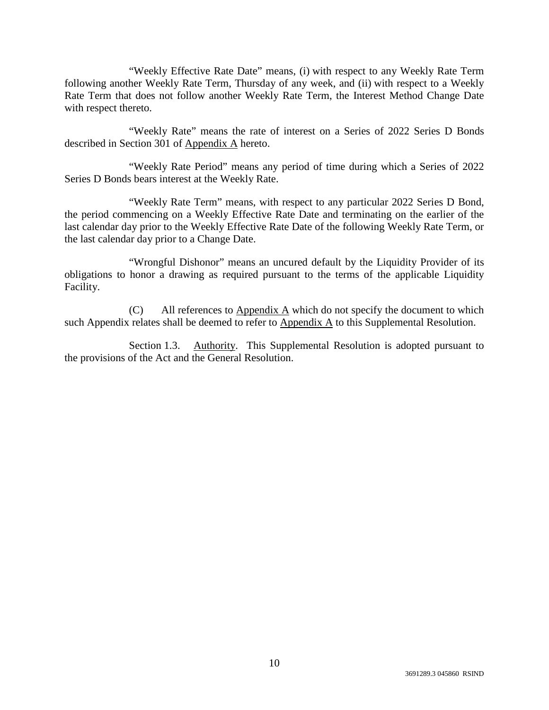"Weekly Effective Rate Date" means, (i) with respect to any Weekly Rate Term following another Weekly Rate Term, Thursday of any week, and (ii) with respect to a Weekly Rate Term that does not follow another Weekly Rate Term, the Interest Method Change Date with respect thereto.

"Weekly Rate" means the rate of interest on a Series of 2022 Series D Bonds described in Section 301 of Appendix A hereto.

"Weekly Rate Period" means any period of time during which a Series of 2022 Series D Bonds bears interest at the Weekly Rate.

"Weekly Rate Term" means, with respect to any particular 2022 Series D Bond, the period commencing on a Weekly Effective Rate Date and terminating on the earlier of the last calendar day prior to the Weekly Effective Rate Date of the following Weekly Rate Term, or the last calendar day prior to a Change Date.

"Wrongful Dishonor" means an uncured default by the Liquidity Provider of its obligations to honor a drawing as required pursuant to the terms of the applicable Liquidity Facility.

(C) All references to  $\Delta$ ppendix  $\Delta$  which do not specify the document to which such Appendix relates shall be deemed to refer to  $\Delta$ ppendix  $\Delta$  to this Supplemental Resolution.

Section 1.3. Authority. This Supplemental Resolution is adopted pursuant to the provisions of the Act and the General Resolution.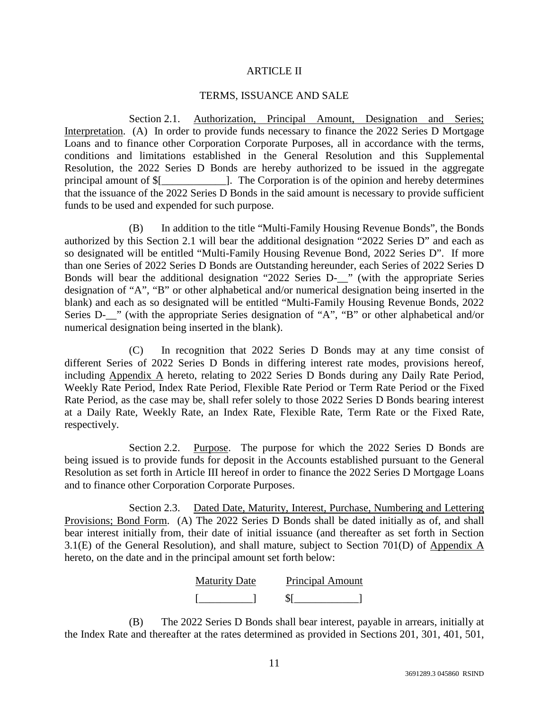## ARTICLE II

## TERMS, ISSUANCE AND SALE

Section 2.1. Authorization, Principal Amount, Designation and Series; Interpretation. (A) In order to provide funds necessary to finance the 2022 Series D Mortgage Loans and to finance other Corporation Corporate Purposes, all in accordance with the terms, conditions and limitations established in the General Resolution and this Supplemental Resolution, the 2022 Series D Bonds are hereby authorized to be issued in the aggregate principal amount of \$[\_\_\_\_\_\_\_\_\_\_\_\_]. The Corporation is of the opinion and hereby determines that the issuance of the 2022 Series D Bonds in the said amount is necessary to provide sufficient funds to be used and expended for such purpose.

(B) In addition to the title "Multi-Family Housing Revenue Bonds", the Bonds authorized by this Section 2.1 will bear the additional designation "2022 Series D" and each as so designated will be entitled "Multi-Family Housing Revenue Bond, 2022 Series D". If more than one Series of 2022 Series D Bonds are Outstanding hereunder, each Series of 2022 Series D Bonds will bear the additional designation "2022 Series D-\_\_" (with the appropriate Series designation of "A", "B" or other alphabetical and/or numerical designation being inserted in the blank) and each as so designated will be entitled "Multi-Family Housing Revenue Bonds, 2022 Series D-<sub>1</sub>" (with the appropriate Series designation of "A", "B" or other alphabetical and/or numerical designation being inserted in the blank).

(C) In recognition that 2022 Series D Bonds may at any time consist of different Series of 2022 Series D Bonds in differing interest rate modes, provisions hereof, including Appendix A hereto, relating to 2022 Series D Bonds during any Daily Rate Period, Weekly Rate Period, Index Rate Period, Flexible Rate Period or Term Rate Period or the Fixed Rate Period, as the case may be, shall refer solely to those 2022 Series D Bonds bearing interest at a Daily Rate, Weekly Rate, an Index Rate, Flexible Rate, Term Rate or the Fixed Rate, respectively.

Section 2.2. Purpose. The purpose for which the 2022 Series D Bonds are being issued is to provide funds for deposit in the Accounts established pursuant to the General Resolution as set forth in Article III hereof in order to finance the 2022 Series D Mortgage Loans and to finance other Corporation Corporate Purposes.

Section 2.3. Dated Date, Maturity, Interest, Purchase, Numbering and Lettering Provisions; Bond Form. (A) The 2022 Series D Bonds shall be dated initially as of, and shall bear interest initially from, their date of initial issuance (and thereafter as set forth in Section 3.1(E) of the General Resolution), and shall mature, subject to Section 701(D) of Appendix A hereto, on the date and in the principal amount set forth below:

| <b>Maturity Date</b> | <b>Principal Amount</b> |
|----------------------|-------------------------|
|                      |                         |

(B) The 2022 Series D Bonds shall bear interest, payable in arrears, initially at the Index Rate and thereafter at the rates determined as provided in Sections 201, 301, 401, 501,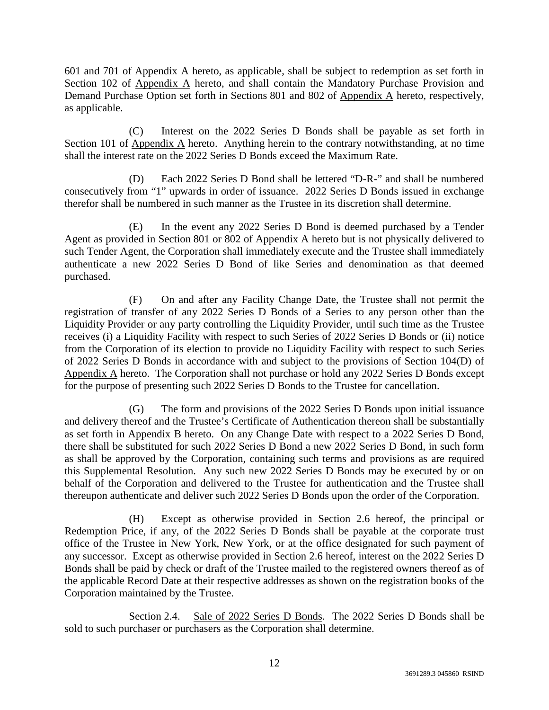601 and 701 of Appendix A hereto, as applicable, shall be subject to redemption as set forth in Section 102 of Appendix A hereto, and shall contain the Mandatory Purchase Provision and Demand Purchase Option set forth in Sections 801 and 802 of Appendix A hereto, respectively, as applicable.

(C) Interest on the 2022 Series D Bonds shall be payable as set forth in Section 101 of Appendix A hereto. Anything herein to the contrary notwithstanding, at no time shall the interest rate on the 2022 Series D Bonds exceed the Maximum Rate.

(D) Each 2022 Series D Bond shall be lettered "D-R-" and shall be numbered consecutively from "1" upwards in order of issuance. 2022 Series D Bonds issued in exchange therefor shall be numbered in such manner as the Trustee in its discretion shall determine.

(E) In the event any 2022 Series D Bond is deemed purchased by a Tender Agent as provided in Section 801 or 802 of Appendix A hereto but is not physically delivered to such Tender Agent, the Corporation shall immediately execute and the Trustee shall immediately authenticate a new 2022 Series D Bond of like Series and denomination as that deemed purchased.

(F) On and after any Facility Change Date, the Trustee shall not permit the registration of transfer of any 2022 Series D Bonds of a Series to any person other than the Liquidity Provider or any party controlling the Liquidity Provider, until such time as the Trustee receives (i) a Liquidity Facility with respect to such Series of 2022 Series D Bonds or (ii) notice from the Corporation of its election to provide no Liquidity Facility with respect to such Series of 2022 Series D Bonds in accordance with and subject to the provisions of Section 104(D) of Appendix A hereto. The Corporation shall not purchase or hold any 2022 Series D Bonds except for the purpose of presenting such 2022 Series D Bonds to the Trustee for cancellation.

(G) The form and provisions of the 2022 Series D Bonds upon initial issuance and delivery thereof and the Trustee's Certificate of Authentication thereon shall be substantially as set forth in Appendix B hereto. On any Change Date with respect to a 2022 Series D Bond, there shall be substituted for such 2022 Series D Bond a new 2022 Series D Bond, in such form as shall be approved by the Corporation, containing such terms and provisions as are required this Supplemental Resolution. Any such new 2022 Series D Bonds may be executed by or on behalf of the Corporation and delivered to the Trustee for authentication and the Trustee shall thereupon authenticate and deliver such 2022 Series D Bonds upon the order of the Corporation.

(H) Except as otherwise provided in Section 2.6 hereof, the principal or Redemption Price, if any, of the 2022 Series D Bonds shall be payable at the corporate trust office of the Trustee in New York, New York, or at the office designated for such payment of any successor. Except as otherwise provided in Section 2.6 hereof, interest on the 2022 Series D Bonds shall be paid by check or draft of the Trustee mailed to the registered owners thereof as of the applicable Record Date at their respective addresses as shown on the registration books of the Corporation maintained by the Trustee.

Section 2.4. Sale of 2022 Series D Bonds. The 2022 Series D Bonds shall be sold to such purchaser or purchasers as the Corporation shall determine.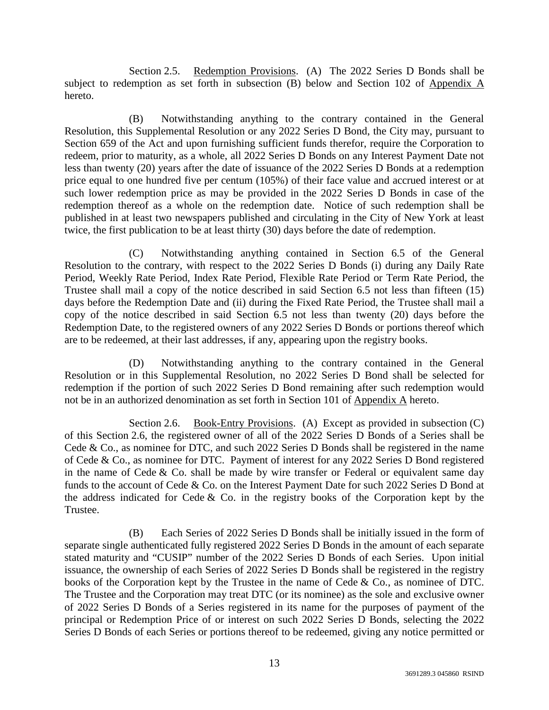Section 2.5. Redemption Provisions. (A) The 2022 Series D Bonds shall be subject to redemption as set forth in subsection (B) below and Section 102 of Appendix A hereto.

(B) Notwithstanding anything to the contrary contained in the General Resolution, this Supplemental Resolution or any 2022 Series D Bond, the City may, pursuant to Section 659 of the Act and upon furnishing sufficient funds therefor, require the Corporation to redeem, prior to maturity, as a whole, all 2022 Series D Bonds on any Interest Payment Date not less than twenty (20) years after the date of issuance of the 2022 Series D Bonds at a redemption price equal to one hundred five per centum (105%) of their face value and accrued interest or at such lower redemption price as may be provided in the 2022 Series D Bonds in case of the redemption thereof as a whole on the redemption date. Notice of such redemption shall be published in at least two newspapers published and circulating in the City of New York at least twice, the first publication to be at least thirty (30) days before the date of redemption.

(C) Notwithstanding anything contained in Section 6.5 of the General Resolution to the contrary, with respect to the 2022 Series D Bonds (i) during any Daily Rate Period, Weekly Rate Period, Index Rate Period, Flexible Rate Period or Term Rate Period, the Trustee shall mail a copy of the notice described in said Section 6.5 not less than fifteen (15) days before the Redemption Date and (ii) during the Fixed Rate Period, the Trustee shall mail a copy of the notice described in said Section 6.5 not less than twenty (20) days before the Redemption Date, to the registered owners of any 2022 Series D Bonds or portions thereof which are to be redeemed, at their last addresses, if any, appearing upon the registry books.

(D) Notwithstanding anything to the contrary contained in the General Resolution or in this Supplemental Resolution, no 2022 Series D Bond shall be selected for redemption if the portion of such 2022 Series D Bond remaining after such redemption would not be in an authorized denomination as set forth in Section 101 of Appendix A hereto.

Section 2.6. Book-Entry Provisions. (A) Except as provided in subsection (C) of this Section 2.6, the registered owner of all of the 2022 Series D Bonds of a Series shall be Cede & Co., as nominee for DTC, and such 2022 Series D Bonds shall be registered in the name of Cede & Co., as nominee for DTC. Payment of interest for any 2022 Series D Bond registered in the name of Cede  $&$  Co. shall be made by wire transfer or Federal or equivalent same day funds to the account of Cede & Co. on the Interest Payment Date for such 2022 Series D Bond at the address indicated for Cede  $&$  Co. in the registry books of the Corporation kept by the Trustee.

(B) Each Series of 2022 Series D Bonds shall be initially issued in the form of separate single authenticated fully registered 2022 Series D Bonds in the amount of each separate stated maturity and "CUSIP" number of the 2022 Series D Bonds of each Series. Upon initial issuance, the ownership of each Series of 2022 Series D Bonds shall be registered in the registry books of the Corporation kept by the Trustee in the name of Cede & Co., as nominee of DTC. The Trustee and the Corporation may treat DTC (or its nominee) as the sole and exclusive owner of 2022 Series D Bonds of a Series registered in its name for the purposes of payment of the principal or Redemption Price of or interest on such 2022 Series D Bonds, selecting the 2022 Series D Bonds of each Series or portions thereof to be redeemed, giving any notice permitted or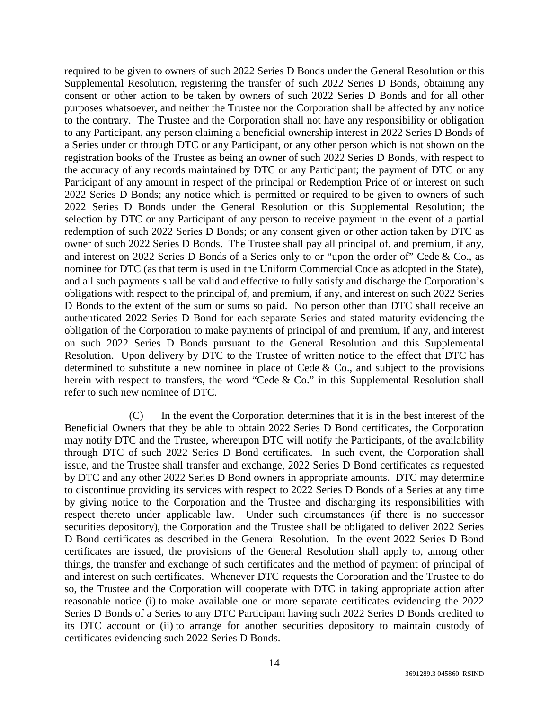required to be given to owners of such 2022 Series D Bonds under the General Resolution or this Supplemental Resolution, registering the transfer of such 2022 Series D Bonds, obtaining any consent or other action to be taken by owners of such 2022 Series D Bonds and for all other purposes whatsoever, and neither the Trustee nor the Corporation shall be affected by any notice to the contrary. The Trustee and the Corporation shall not have any responsibility or obligation to any Participant, any person claiming a beneficial ownership interest in 2022 Series D Bonds of a Series under or through DTC or any Participant, or any other person which is not shown on the registration books of the Trustee as being an owner of such 2022 Series D Bonds, with respect to the accuracy of any records maintained by DTC or any Participant; the payment of DTC or any Participant of any amount in respect of the principal or Redemption Price of or interest on such 2022 Series D Bonds; any notice which is permitted or required to be given to owners of such 2022 Series D Bonds under the General Resolution or this Supplemental Resolution; the selection by DTC or any Participant of any person to receive payment in the event of a partial redemption of such 2022 Series D Bonds; or any consent given or other action taken by DTC as owner of such 2022 Series D Bonds. The Trustee shall pay all principal of, and premium, if any, and interest on 2022 Series D Bonds of a Series only to or "upon the order of" Cede & Co., as nominee for DTC (as that term is used in the Uniform Commercial Code as adopted in the State), and all such payments shall be valid and effective to fully satisfy and discharge the Corporation's obligations with respect to the principal of, and premium, if any, and interest on such 2022 Series D Bonds to the extent of the sum or sums so paid. No person other than DTC shall receive an authenticated 2022 Series D Bond for each separate Series and stated maturity evidencing the obligation of the Corporation to make payments of principal of and premium, if any, and interest on such 2022 Series D Bonds pursuant to the General Resolution and this Supplemental Resolution. Upon delivery by DTC to the Trustee of written notice to the effect that DTC has determined to substitute a new nominee in place of Cede  $\&$  Co., and subject to the provisions herein with respect to transfers, the word "Cede & Co." in this Supplemental Resolution shall refer to such new nominee of DTC.

(C) In the event the Corporation determines that it is in the best interest of the Beneficial Owners that they be able to obtain 2022 Series D Bond certificates, the Corporation may notify DTC and the Trustee, whereupon DTC will notify the Participants, of the availability through DTC of such 2022 Series D Bond certificates. In such event, the Corporation shall issue, and the Trustee shall transfer and exchange, 2022 Series D Bond certificates as requested by DTC and any other 2022 Series D Bond owners in appropriate amounts. DTC may determine to discontinue providing its services with respect to 2022 Series D Bonds of a Series at any time by giving notice to the Corporation and the Trustee and discharging its responsibilities with respect thereto under applicable law. Under such circumstances (if there is no successor securities depository), the Corporation and the Trustee shall be obligated to deliver 2022 Series D Bond certificates as described in the General Resolution. In the event 2022 Series D Bond certificates are issued, the provisions of the General Resolution shall apply to, among other things, the transfer and exchange of such certificates and the method of payment of principal of and interest on such certificates. Whenever DTC requests the Corporation and the Trustee to do so, the Trustee and the Corporation will cooperate with DTC in taking appropriate action after reasonable notice (i) to make available one or more separate certificates evidencing the 2022 Series D Bonds of a Series to any DTC Participant having such 2022 Series D Bonds credited to its DTC account or (ii) to arrange for another securities depository to maintain custody of certificates evidencing such 2022 Series D Bonds.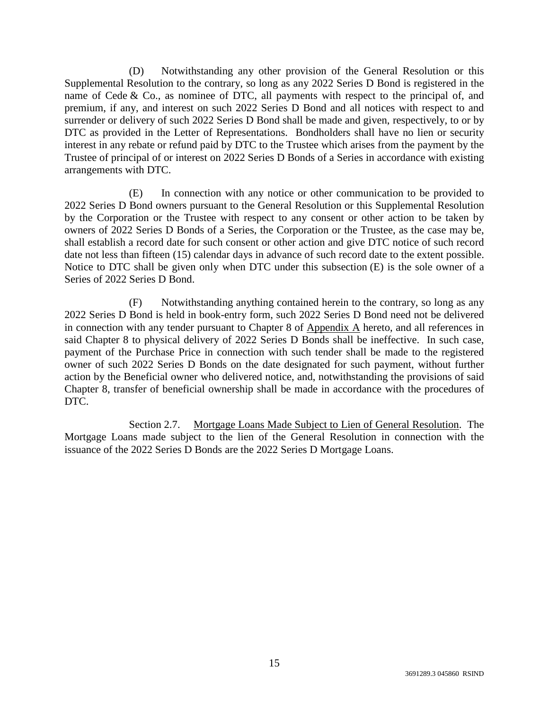(D) Notwithstanding any other provision of the General Resolution or this Supplemental Resolution to the contrary, so long as any 2022 Series D Bond is registered in the name of Cede  $\&$  Co., as nominee of DTC, all payments with respect to the principal of, and premium, if any, and interest on such 2022 Series D Bond and all notices with respect to and surrender or delivery of such 2022 Series D Bond shall be made and given, respectively, to or by DTC as provided in the Letter of Representations. Bondholders shall have no lien or security interest in any rebate or refund paid by DTC to the Trustee which arises from the payment by the Trustee of principal of or interest on 2022 Series D Bonds of a Series in accordance with existing arrangements with DTC.

(E) In connection with any notice or other communication to be provided to 2022 Series D Bond owners pursuant to the General Resolution or this Supplemental Resolution by the Corporation or the Trustee with respect to any consent or other action to be taken by owners of 2022 Series D Bonds of a Series, the Corporation or the Trustee, as the case may be, shall establish a record date for such consent or other action and give DTC notice of such record date not less than fifteen (15) calendar days in advance of such record date to the extent possible. Notice to DTC shall be given only when DTC under this subsection (E) is the sole owner of a Series of 2022 Series D Bond.

(F) Notwithstanding anything contained herein to the contrary, so long as any 2022 Series D Bond is held in book-entry form, such 2022 Series D Bond need not be delivered in connection with any tender pursuant to Chapter 8 of Appendix A hereto, and all references in said Chapter 8 to physical delivery of 2022 Series D Bonds shall be ineffective. In such case, payment of the Purchase Price in connection with such tender shall be made to the registered owner of such 2022 Series D Bonds on the date designated for such payment, without further action by the Beneficial owner who delivered notice, and, notwithstanding the provisions of said Chapter 8, transfer of beneficial ownership shall be made in accordance with the procedures of DTC.

Section 2.7. Mortgage Loans Made Subject to Lien of General Resolution. The Mortgage Loans made subject to the lien of the General Resolution in connection with the issuance of the 2022 Series D Bonds are the 2022 Series D Mortgage Loans.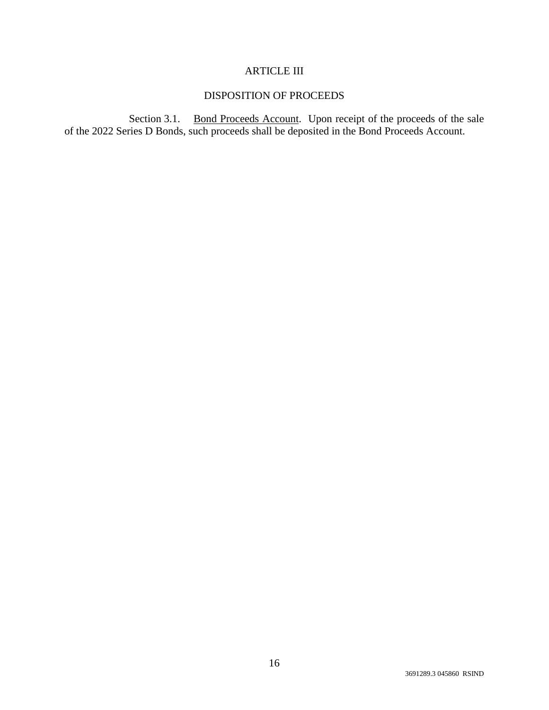## ARTICLE III

## DISPOSITION OF PROCEEDS

Section 3.1. Bond Proceeds Account. Upon receipt of the proceeds of the sale of the 2022 Series D Bonds, such proceeds shall be deposited in the Bond Proceeds Account.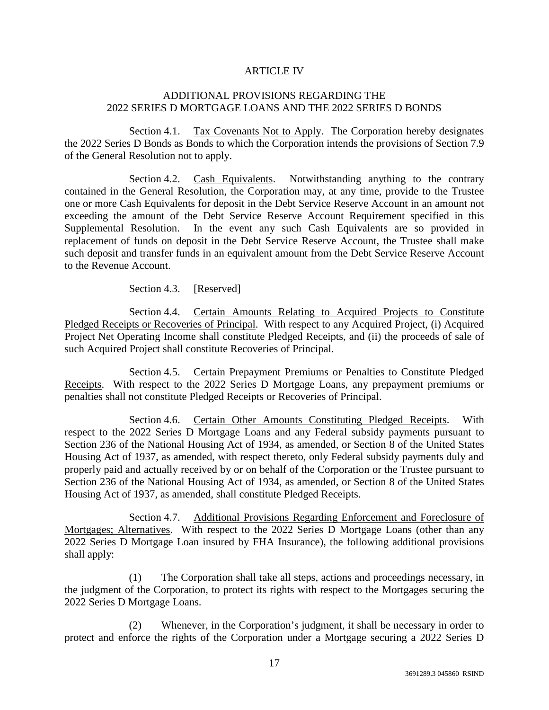## ARTICLE IV

## ADDITIONAL PROVISIONS REGARDING THE 2022 SERIES D MORTGAGE LOANS AND THE 2022 SERIES D BONDS

Section 4.1. Tax Covenants Not to Apply. The Corporation hereby designates the 2022 Series D Bonds as Bonds to which the Corporation intends the provisions of Section 7.9 of the General Resolution not to apply.

Section 4.2. Cash Equivalents. Notwithstanding anything to the contrary contained in the General Resolution, the Corporation may, at any time, provide to the Trustee one or more Cash Equivalents for deposit in the Debt Service Reserve Account in an amount not exceeding the amount of the Debt Service Reserve Account Requirement specified in this Supplemental Resolution. In the event any such Cash Equivalents are so provided in replacement of funds on deposit in the Debt Service Reserve Account, the Trustee shall make such deposit and transfer funds in an equivalent amount from the Debt Service Reserve Account to the Revenue Account.

Section 4.3. [Reserved]

Section 4.4. Certain Amounts Relating to Acquired Projects to Constitute Pledged Receipts or Recoveries of Principal. With respect to any Acquired Project, (i) Acquired Project Net Operating Income shall constitute Pledged Receipts, and (ii) the proceeds of sale of such Acquired Project shall constitute Recoveries of Principal.

Section 4.5. Certain Prepayment Premiums or Penalties to Constitute Pledged Receipts. With respect to the 2022 Series D Mortgage Loans, any prepayment premiums or penalties shall not constitute Pledged Receipts or Recoveries of Principal.

Section 4.6. Certain Other Amounts Constituting Pledged Receipts. With respect to the 2022 Series D Mortgage Loans and any Federal subsidy payments pursuant to Section 236 of the National Housing Act of 1934, as amended, or Section 8 of the United States Housing Act of 1937, as amended, with respect thereto, only Federal subsidy payments duly and properly paid and actually received by or on behalf of the Corporation or the Trustee pursuant to Section 236 of the National Housing Act of 1934, as amended, or Section 8 of the United States Housing Act of 1937, as amended, shall constitute Pledged Receipts.

Section 4.7. Additional Provisions Regarding Enforcement and Foreclosure of Mortgages; Alternatives. With respect to the 2022 Series D Mortgage Loans (other than any 2022 Series D Mortgage Loan insured by FHA Insurance), the following additional provisions shall apply:

(1) The Corporation shall take all steps, actions and proceedings necessary, in the judgment of the Corporation, to protect its rights with respect to the Mortgages securing the 2022 Series D Mortgage Loans.

(2) Whenever, in the Corporation's judgment, it shall be necessary in order to protect and enforce the rights of the Corporation under a Mortgage securing a 2022 Series D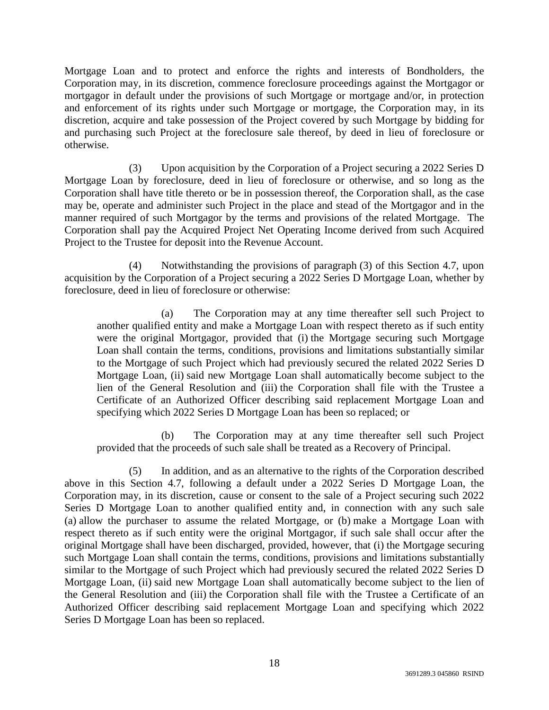Mortgage Loan and to protect and enforce the rights and interests of Bondholders, the Corporation may, in its discretion, commence foreclosure proceedings against the Mortgagor or mortgagor in default under the provisions of such Mortgage or mortgage and/or, in protection and enforcement of its rights under such Mortgage or mortgage, the Corporation may, in its discretion, acquire and take possession of the Project covered by such Mortgage by bidding for and purchasing such Project at the foreclosure sale thereof, by deed in lieu of foreclosure or otherwise.

(3) Upon acquisition by the Corporation of a Project securing a 2022 Series D Mortgage Loan by foreclosure, deed in lieu of foreclosure or otherwise, and so long as the Corporation shall have title thereto or be in possession thereof, the Corporation shall, as the case may be, operate and administer such Project in the place and stead of the Mortgagor and in the manner required of such Mortgagor by the terms and provisions of the related Mortgage. The Corporation shall pay the Acquired Project Net Operating Income derived from such Acquired Project to the Trustee for deposit into the Revenue Account.

(4) Notwithstanding the provisions of paragraph (3) of this Section 4.7, upon acquisition by the Corporation of a Project securing a 2022 Series D Mortgage Loan, whether by foreclosure, deed in lieu of foreclosure or otherwise:

(a) The Corporation may at any time thereafter sell such Project to another qualified entity and make a Mortgage Loan with respect thereto as if such entity were the original Mortgagor, provided that (i) the Mortgage securing such Mortgage Loan shall contain the terms, conditions, provisions and limitations substantially similar to the Mortgage of such Project which had previously secured the related 2022 Series D Mortgage Loan, (ii) said new Mortgage Loan shall automatically become subject to the lien of the General Resolution and (iii) the Corporation shall file with the Trustee a Certificate of an Authorized Officer describing said replacement Mortgage Loan and specifying which 2022 Series D Mortgage Loan has been so replaced; or

(b) The Corporation may at any time thereafter sell such Project provided that the proceeds of such sale shall be treated as a Recovery of Principal.

(5) In addition, and as an alternative to the rights of the Corporation described above in this Section 4.7, following a default under a 2022 Series D Mortgage Loan, the Corporation may, in its discretion, cause or consent to the sale of a Project securing such 2022 Series D Mortgage Loan to another qualified entity and, in connection with any such sale (a) allow the purchaser to assume the related Mortgage, or (b) make a Mortgage Loan with respect thereto as if such entity were the original Mortgagor, if such sale shall occur after the original Mortgage shall have been discharged, provided, however, that (i) the Mortgage securing such Mortgage Loan shall contain the terms, conditions, provisions and limitations substantially similar to the Mortgage of such Project which had previously secured the related 2022 Series D Mortgage Loan, (ii) said new Mortgage Loan shall automatically become subject to the lien of the General Resolution and (iii) the Corporation shall file with the Trustee a Certificate of an Authorized Officer describing said replacement Mortgage Loan and specifying which 2022 Series D Mortgage Loan has been so replaced.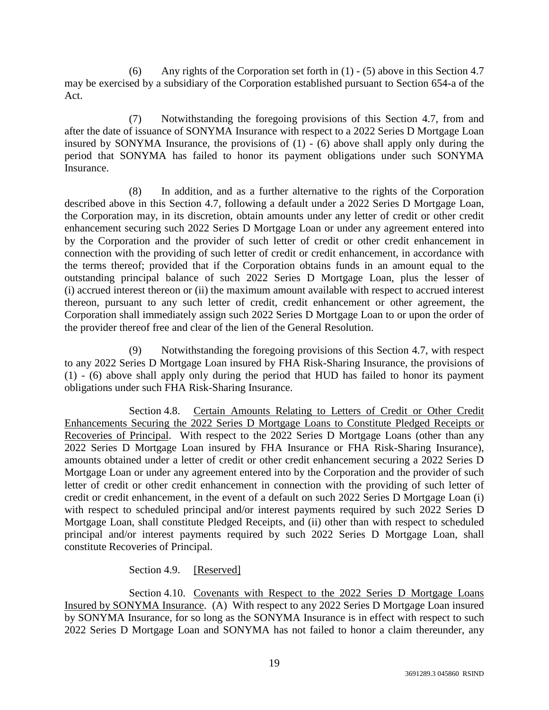(6) Any rights of the Corporation set forth in (1) - (5) above in this Section 4.7 may be exercised by a subsidiary of the Corporation established pursuant to Section 654-a of the Act.

(7) Notwithstanding the foregoing provisions of this Section 4.7, from and after the date of issuance of SONYMA Insurance with respect to a 2022 Series D Mortgage Loan insured by SONYMA Insurance, the provisions of (1) - (6) above shall apply only during the period that SONYMA has failed to honor its payment obligations under such SONYMA **Insurance** 

(8) In addition, and as a further alternative to the rights of the Corporation described above in this Section 4.7, following a default under a 2022 Series D Mortgage Loan, the Corporation may, in its discretion, obtain amounts under any letter of credit or other credit enhancement securing such 2022 Series D Mortgage Loan or under any agreement entered into by the Corporation and the provider of such letter of credit or other credit enhancement in connection with the providing of such letter of credit or credit enhancement, in accordance with the terms thereof; provided that if the Corporation obtains funds in an amount equal to the outstanding principal balance of such 2022 Series D Mortgage Loan, plus the lesser of (i) accrued interest thereon or (ii) the maximum amount available with respect to accrued interest thereon, pursuant to any such letter of credit, credit enhancement or other agreement, the Corporation shall immediately assign such 2022 Series D Mortgage Loan to or upon the order of the provider thereof free and clear of the lien of the General Resolution.

(9) Notwithstanding the foregoing provisions of this Section 4.7, with respect to any 2022 Series D Mortgage Loan insured by FHA Risk-Sharing Insurance, the provisions of (1) - (6) above shall apply only during the period that HUD has failed to honor its payment obligations under such FHA Risk-Sharing Insurance.

Section 4.8. Certain Amounts Relating to Letters of Credit or Other Credit Enhancements Securing the 2022 Series D Mortgage Loans to Constitute Pledged Receipts or Recoveries of Principal. With respect to the 2022 Series D Mortgage Loans (other than any 2022 Series D Mortgage Loan insured by FHA Insurance or FHA Risk-Sharing Insurance), amounts obtained under a letter of credit or other credit enhancement securing a 2022 Series D Mortgage Loan or under any agreement entered into by the Corporation and the provider of such letter of credit or other credit enhancement in connection with the providing of such letter of credit or credit enhancement, in the event of a default on such 2022 Series D Mortgage Loan (i) with respect to scheduled principal and/or interest payments required by such 2022 Series D Mortgage Loan, shall constitute Pledged Receipts, and (ii) other than with respect to scheduled principal and/or interest payments required by such 2022 Series D Mortgage Loan, shall constitute Recoveries of Principal.

Section 4.9. [Reserved]

Section 4.10. Covenants with Respect to the 2022 Series D Mortgage Loans Insured by SONYMA Insurance. (A) With respect to any 2022 Series D Mortgage Loan insured by SONYMA Insurance, for so long as the SONYMA Insurance is in effect with respect to such 2022 Series D Mortgage Loan and SONYMA has not failed to honor a claim thereunder, any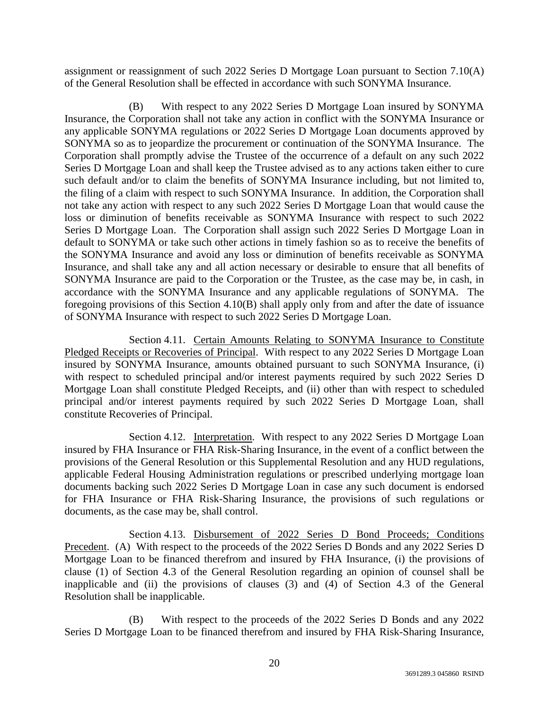assignment or reassignment of such 2022 Series D Mortgage Loan pursuant to Section 7.10(A) of the General Resolution shall be effected in accordance with such SONYMA Insurance.

(B) With respect to any 2022 Series D Mortgage Loan insured by SONYMA Insurance, the Corporation shall not take any action in conflict with the SONYMA Insurance or any applicable SONYMA regulations or 2022 Series D Mortgage Loan documents approved by SONYMA so as to jeopardize the procurement or continuation of the SONYMA Insurance. The Corporation shall promptly advise the Trustee of the occurrence of a default on any such 2022 Series D Mortgage Loan and shall keep the Trustee advised as to any actions taken either to cure such default and/or to claim the benefits of SONYMA Insurance including, but not limited to, the filing of a claim with respect to such SONYMA Insurance. In addition, the Corporation shall not take any action with respect to any such 2022 Series D Mortgage Loan that would cause the loss or diminution of benefits receivable as SONYMA Insurance with respect to such 2022 Series D Mortgage Loan. The Corporation shall assign such 2022 Series D Mortgage Loan in default to SONYMA or take such other actions in timely fashion so as to receive the benefits of the SONYMA Insurance and avoid any loss or diminution of benefits receivable as SONYMA Insurance, and shall take any and all action necessary or desirable to ensure that all benefits of SONYMA Insurance are paid to the Corporation or the Trustee, as the case may be, in cash, in accordance with the SONYMA Insurance and any applicable regulations of SONYMA. The foregoing provisions of this Section 4.10(B) shall apply only from and after the date of issuance of SONYMA Insurance with respect to such 2022 Series D Mortgage Loan.

Section 4.11. Certain Amounts Relating to SONYMA Insurance to Constitute Pledged Receipts or Recoveries of Principal. With respect to any 2022 Series D Mortgage Loan insured by SONYMA Insurance, amounts obtained pursuant to such SONYMA Insurance, (i) with respect to scheduled principal and/or interest payments required by such 2022 Series D Mortgage Loan shall constitute Pledged Receipts, and (ii) other than with respect to scheduled principal and/or interest payments required by such 2022 Series D Mortgage Loan, shall constitute Recoveries of Principal.

Section 4.12. Interpretation. With respect to any 2022 Series D Mortgage Loan insured by FHA Insurance or FHA Risk-Sharing Insurance, in the event of a conflict between the provisions of the General Resolution or this Supplemental Resolution and any HUD regulations, applicable Federal Housing Administration regulations or prescribed underlying mortgage loan documents backing such 2022 Series D Mortgage Loan in case any such document is endorsed for FHA Insurance or FHA Risk-Sharing Insurance, the provisions of such regulations or documents, as the case may be, shall control.

Section 4.13. Disbursement of 2022 Series D Bond Proceeds; Conditions Precedent. (A) With respect to the proceeds of the 2022 Series D Bonds and any 2022 Series D Mortgage Loan to be financed therefrom and insured by FHA Insurance, (i) the provisions of clause (1) of Section 4.3 of the General Resolution regarding an opinion of counsel shall be inapplicable and (ii) the provisions of clauses (3) and (4) of Section 4.3 of the General Resolution shall be inapplicable.

(B) With respect to the proceeds of the 2022 Series D Bonds and any 2022 Series D Mortgage Loan to be financed therefrom and insured by FHA Risk-Sharing Insurance,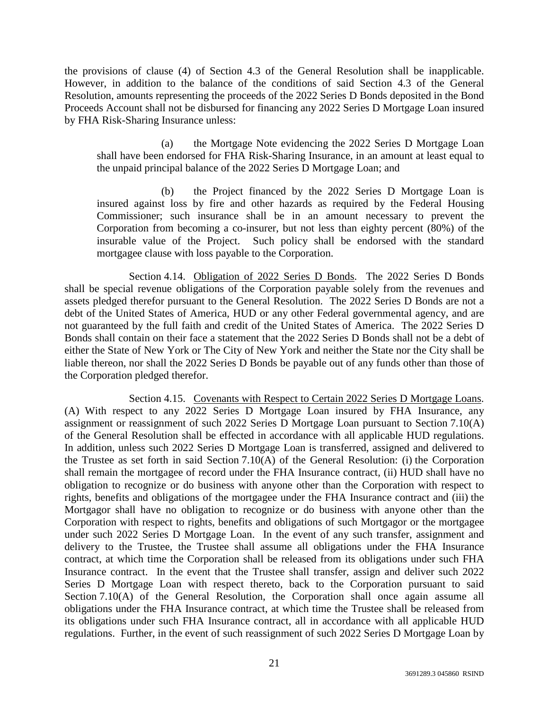the provisions of clause (4) of Section 4.3 of the General Resolution shall be inapplicable. However, in addition to the balance of the conditions of said Section 4.3 of the General Resolution, amounts representing the proceeds of the 2022 Series D Bonds deposited in the Bond Proceeds Account shall not be disbursed for financing any 2022 Series D Mortgage Loan insured by FHA Risk-Sharing Insurance unless:

(a) the Mortgage Note evidencing the 2022 Series D Mortgage Loan shall have been endorsed for FHA Risk-Sharing Insurance, in an amount at least equal to the unpaid principal balance of the 2022 Series D Mortgage Loan; and

(b) the Project financed by the 2022 Series D Mortgage Loan is insured against loss by fire and other hazards as required by the Federal Housing Commissioner; such insurance shall be in an amount necessary to prevent the Corporation from becoming a co-insurer, but not less than eighty percent (80%) of the insurable value of the Project. Such policy shall be endorsed with the standard mortgagee clause with loss payable to the Corporation.

Section 4.14. Obligation of 2022 Series D Bonds. The 2022 Series D Bonds shall be special revenue obligations of the Corporation payable solely from the revenues and assets pledged therefor pursuant to the General Resolution. The 2022 Series D Bonds are not a debt of the United States of America, HUD or any other Federal governmental agency, and are not guaranteed by the full faith and credit of the United States of America. The 2022 Series D Bonds shall contain on their face a statement that the 2022 Series D Bonds shall not be a debt of either the State of New York or The City of New York and neither the State nor the City shall be liable thereon, nor shall the 2022 Series D Bonds be payable out of any funds other than those of the Corporation pledged therefor.

Section 4.15. Covenants with Respect to Certain 2022 Series D Mortgage Loans. (A) With respect to any 2022 Series D Mortgage Loan insured by FHA Insurance, any assignment or reassignment of such 2022 Series D Mortgage Loan pursuant to Section 7.10(A) of the General Resolution shall be effected in accordance with all applicable HUD regulations. In addition, unless such 2022 Series D Mortgage Loan is transferred, assigned and delivered to the Trustee as set forth in said Section 7.10(A) of the General Resolution: (i) the Corporation shall remain the mortgagee of record under the FHA Insurance contract, (ii) HUD shall have no obligation to recognize or do business with anyone other than the Corporation with respect to rights, benefits and obligations of the mortgagee under the FHA Insurance contract and (iii) the Mortgagor shall have no obligation to recognize or do business with anyone other than the Corporation with respect to rights, benefits and obligations of such Mortgagor or the mortgagee under such 2022 Series D Mortgage Loan. In the event of any such transfer, assignment and delivery to the Trustee, the Trustee shall assume all obligations under the FHA Insurance contract, at which time the Corporation shall be released from its obligations under such FHA Insurance contract. In the event that the Trustee shall transfer, assign and deliver such 2022 Series D Mortgage Loan with respect thereto, back to the Corporation pursuant to said Section 7.10(A) of the General Resolution, the Corporation shall once again assume all obligations under the FHA Insurance contract, at which time the Trustee shall be released from its obligations under such FHA Insurance contract, all in accordance with all applicable HUD regulations. Further, in the event of such reassignment of such 2022 Series D Mortgage Loan by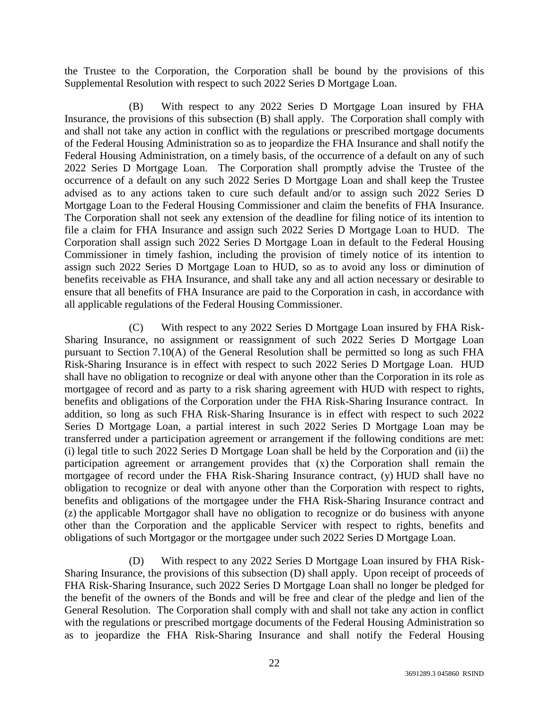the Trustee to the Corporation, the Corporation shall be bound by the provisions of this Supplemental Resolution with respect to such 2022 Series D Mortgage Loan.

(B) With respect to any 2022 Series D Mortgage Loan insured by FHA Insurance, the provisions of this subsection (B) shall apply. The Corporation shall comply with and shall not take any action in conflict with the regulations or prescribed mortgage documents of the Federal Housing Administration so as to jeopardize the FHA Insurance and shall notify the Federal Housing Administration, on a timely basis, of the occurrence of a default on any of such 2022 Series D Mortgage Loan. The Corporation shall promptly advise the Trustee of the occurrence of a default on any such 2022 Series D Mortgage Loan and shall keep the Trustee advised as to any actions taken to cure such default and/or to assign such 2022 Series D Mortgage Loan to the Federal Housing Commissioner and claim the benefits of FHA Insurance. The Corporation shall not seek any extension of the deadline for filing notice of its intention to file a claim for FHA Insurance and assign such 2022 Series D Mortgage Loan to HUD. The Corporation shall assign such 2022 Series D Mortgage Loan in default to the Federal Housing Commissioner in timely fashion, including the provision of timely notice of its intention to assign such 2022 Series D Mortgage Loan to HUD, so as to avoid any loss or diminution of benefits receivable as FHA Insurance, and shall take any and all action necessary or desirable to ensure that all benefits of FHA Insurance are paid to the Corporation in cash, in accordance with all applicable regulations of the Federal Housing Commissioner.

(C) With respect to any 2022 Series D Mortgage Loan insured by FHA Risk-Sharing Insurance, no assignment or reassignment of such 2022 Series D Mortgage Loan pursuant to Section 7.10(A) of the General Resolution shall be permitted so long as such FHA Risk-Sharing Insurance is in effect with respect to such 2022 Series D Mortgage Loan. HUD shall have no obligation to recognize or deal with anyone other than the Corporation in its role as mortgagee of record and as party to a risk sharing agreement with HUD with respect to rights, benefits and obligations of the Corporation under the FHA Risk-Sharing Insurance contract. In addition, so long as such FHA Risk-Sharing Insurance is in effect with respect to such 2022 Series D Mortgage Loan, a partial interest in such 2022 Series D Mortgage Loan may be transferred under a participation agreement or arrangement if the following conditions are met: (i) legal title to such 2022 Series D Mortgage Loan shall be held by the Corporation and (ii) the participation agreement or arrangement provides that (x) the Corporation shall remain the mortgagee of record under the FHA Risk-Sharing Insurance contract, (y) HUD shall have no obligation to recognize or deal with anyone other than the Corporation with respect to rights, benefits and obligations of the mortgagee under the FHA Risk-Sharing Insurance contract and (z) the applicable Mortgagor shall have no obligation to recognize or do business with anyone other than the Corporation and the applicable Servicer with respect to rights, benefits and obligations of such Mortgagor or the mortgagee under such 2022 Series D Mortgage Loan.

(D) With respect to any 2022 Series D Mortgage Loan insured by FHA Risk-Sharing Insurance, the provisions of this subsection (D) shall apply. Upon receipt of proceeds of FHA Risk-Sharing Insurance, such 2022 Series D Mortgage Loan shall no longer be pledged for the benefit of the owners of the Bonds and will be free and clear of the pledge and lien of the General Resolution. The Corporation shall comply with and shall not take any action in conflict with the regulations or prescribed mortgage documents of the Federal Housing Administration so as to jeopardize the FHA Risk-Sharing Insurance and shall notify the Federal Housing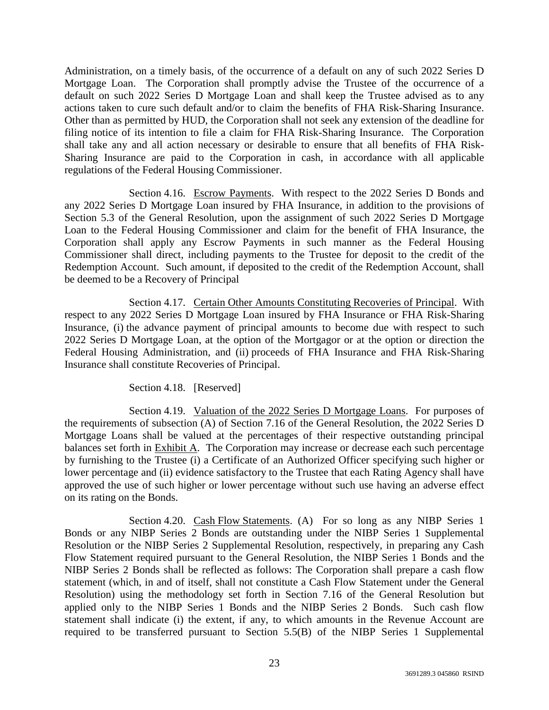Administration, on a timely basis, of the occurrence of a default on any of such 2022 Series D Mortgage Loan. The Corporation shall promptly advise the Trustee of the occurrence of a default on such 2022 Series D Mortgage Loan and shall keep the Trustee advised as to any actions taken to cure such default and/or to claim the benefits of FHA Risk-Sharing Insurance. Other than as permitted by HUD, the Corporation shall not seek any extension of the deadline for filing notice of its intention to file a claim for FHA Risk-Sharing Insurance. The Corporation shall take any and all action necessary or desirable to ensure that all benefits of FHA Risk-Sharing Insurance are paid to the Corporation in cash, in accordance with all applicable regulations of the Federal Housing Commissioner.

Section 4.16. Escrow Payments. With respect to the 2022 Series D Bonds and any 2022 Series D Mortgage Loan insured by FHA Insurance, in addition to the provisions of Section 5.3 of the General Resolution, upon the assignment of such 2022 Series D Mortgage Loan to the Federal Housing Commissioner and claim for the benefit of FHA Insurance, the Corporation shall apply any Escrow Payments in such manner as the Federal Housing Commissioner shall direct, including payments to the Trustee for deposit to the credit of the Redemption Account. Such amount, if deposited to the credit of the Redemption Account, shall be deemed to be a Recovery of Principal

Section 4.17. Certain Other Amounts Constituting Recoveries of Principal. With respect to any 2022 Series D Mortgage Loan insured by FHA Insurance or FHA Risk-Sharing Insurance, (i) the advance payment of principal amounts to become due with respect to such 2022 Series D Mortgage Loan, at the option of the Mortgagor or at the option or direction the Federal Housing Administration, and (ii) proceeds of FHA Insurance and FHA Risk-Sharing Insurance shall constitute Recoveries of Principal.

Section 4.18. [Reserved]

Section 4.19. Valuation of the 2022 Series D Mortgage Loans. For purposes of the requirements of subsection (A) of Section 7.16 of the General Resolution, the 2022 Series D Mortgage Loans shall be valued at the percentages of their respective outstanding principal balances set forth in Exhibit A. The Corporation may increase or decrease each such percentage by furnishing to the Trustee (i) a Certificate of an Authorized Officer specifying such higher or lower percentage and (ii) evidence satisfactory to the Trustee that each Rating Agency shall have approved the use of such higher or lower percentage without such use having an adverse effect on its rating on the Bonds.

Section 4.20. Cash Flow Statements. (A) For so long as any NIBP Series 1 Bonds or any NIBP Series 2 Bonds are outstanding under the NIBP Series 1 Supplemental Resolution or the NIBP Series 2 Supplemental Resolution, respectively, in preparing any Cash Flow Statement required pursuant to the General Resolution, the NIBP Series 1 Bonds and the NIBP Series 2 Bonds shall be reflected as follows: The Corporation shall prepare a cash flow statement (which, in and of itself, shall not constitute a Cash Flow Statement under the General Resolution) using the methodology set forth in Section 7.16 of the General Resolution but applied only to the NIBP Series 1 Bonds and the NIBP Series 2 Bonds. Such cash flow statement shall indicate (i) the extent, if any, to which amounts in the Revenue Account are required to be transferred pursuant to Section 5.5(B) of the NIBP Series 1 Supplemental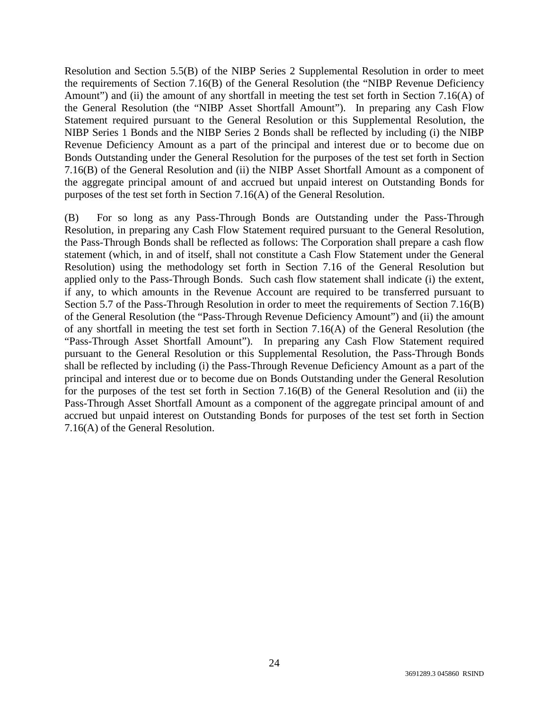Resolution and Section 5.5(B) of the NIBP Series 2 Supplemental Resolution in order to meet the requirements of Section 7.16(B) of the General Resolution (the "NIBP Revenue Deficiency Amount") and (ii) the amount of any shortfall in meeting the test set forth in Section 7.16(A) of the General Resolution (the "NIBP Asset Shortfall Amount"). In preparing any Cash Flow Statement required pursuant to the General Resolution or this Supplemental Resolution, the NIBP Series 1 Bonds and the NIBP Series 2 Bonds shall be reflected by including (i) the NIBP Revenue Deficiency Amount as a part of the principal and interest due or to become due on Bonds Outstanding under the General Resolution for the purposes of the test set forth in Section 7.16(B) of the General Resolution and (ii) the NIBP Asset Shortfall Amount as a component of the aggregate principal amount of and accrued but unpaid interest on Outstanding Bonds for purposes of the test set forth in Section 7.16(A) of the General Resolution.

(B) For so long as any Pass-Through Bonds are Outstanding under the Pass-Through Resolution, in preparing any Cash Flow Statement required pursuant to the General Resolution, the Pass-Through Bonds shall be reflected as follows: The Corporation shall prepare a cash flow statement (which, in and of itself, shall not constitute a Cash Flow Statement under the General Resolution) using the methodology set forth in Section 7.16 of the General Resolution but applied only to the Pass-Through Bonds. Such cash flow statement shall indicate (i) the extent, if any, to which amounts in the Revenue Account are required to be transferred pursuant to Section 5.7 of the Pass-Through Resolution in order to meet the requirements of Section 7.16(B) of the General Resolution (the "Pass-Through Revenue Deficiency Amount") and (ii) the amount of any shortfall in meeting the test set forth in Section 7.16(A) of the General Resolution (the "Pass-Through Asset Shortfall Amount"). In preparing any Cash Flow Statement required pursuant to the General Resolution or this Supplemental Resolution, the Pass-Through Bonds shall be reflected by including (i) the Pass-Through Revenue Deficiency Amount as a part of the principal and interest due or to become due on Bonds Outstanding under the General Resolution for the purposes of the test set forth in Section 7.16(B) of the General Resolution and (ii) the Pass-Through Asset Shortfall Amount as a component of the aggregate principal amount of and accrued but unpaid interest on Outstanding Bonds for purposes of the test set forth in Section 7.16(A) of the General Resolution.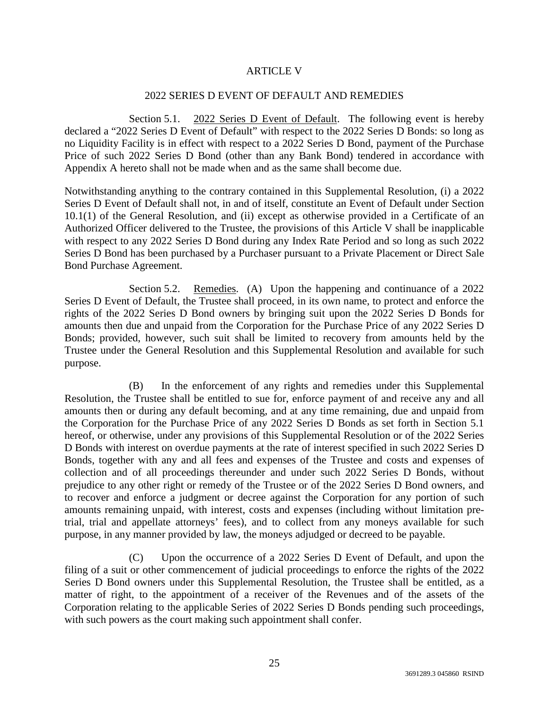### ARTICLE V

## 2022 SERIES D EVENT OF DEFAULT AND REMEDIES

Section 5.1. 2022 Series D Event of Default. The following event is hereby declared a "2022 Series D Event of Default" with respect to the 2022 Series D Bonds: so long as no Liquidity Facility is in effect with respect to a 2022 Series D Bond, payment of the Purchase Price of such 2022 Series D Bond (other than any Bank Bond) tendered in accordance with Appendix A hereto shall not be made when and as the same shall become due.

Notwithstanding anything to the contrary contained in this Supplemental Resolution, (i) a 2022 Series D Event of Default shall not, in and of itself, constitute an Event of Default under Section 10.1(1) of the General Resolution, and (ii) except as otherwise provided in a Certificate of an Authorized Officer delivered to the Trustee, the provisions of this Article V shall be inapplicable with respect to any 2022 Series D Bond during any Index Rate Period and so long as such 2022 Series D Bond has been purchased by a Purchaser pursuant to a Private Placement or Direct Sale Bond Purchase Agreement.

Section 5.2. Remedies. (A) Upon the happening and continuance of a 2022 Series D Event of Default, the Trustee shall proceed, in its own name, to protect and enforce the rights of the 2022 Series D Bond owners by bringing suit upon the 2022 Series D Bonds for amounts then due and unpaid from the Corporation for the Purchase Price of any 2022 Series D Bonds; provided, however, such suit shall be limited to recovery from amounts held by the Trustee under the General Resolution and this Supplemental Resolution and available for such purpose.

(B) In the enforcement of any rights and remedies under this Supplemental Resolution, the Trustee shall be entitled to sue for, enforce payment of and receive any and all amounts then or during any default becoming, and at any time remaining, due and unpaid from the Corporation for the Purchase Price of any 2022 Series D Bonds as set forth in Section 5.1 hereof, or otherwise, under any provisions of this Supplemental Resolution or of the 2022 Series D Bonds with interest on overdue payments at the rate of interest specified in such 2022 Series D Bonds, together with any and all fees and expenses of the Trustee and costs and expenses of collection and of all proceedings thereunder and under such 2022 Series D Bonds, without prejudice to any other right or remedy of the Trustee or of the 2022 Series D Bond owners, and to recover and enforce a judgment or decree against the Corporation for any portion of such amounts remaining unpaid, with interest, costs and expenses (including without limitation pretrial, trial and appellate attorneys' fees), and to collect from any moneys available for such purpose, in any manner provided by law, the moneys adjudged or decreed to be payable.

(C) Upon the occurrence of a 2022 Series D Event of Default, and upon the filing of a suit or other commencement of judicial proceedings to enforce the rights of the 2022 Series D Bond owners under this Supplemental Resolution, the Trustee shall be entitled, as a matter of right, to the appointment of a receiver of the Revenues and of the assets of the Corporation relating to the applicable Series of 2022 Series D Bonds pending such proceedings, with such powers as the court making such appointment shall confer.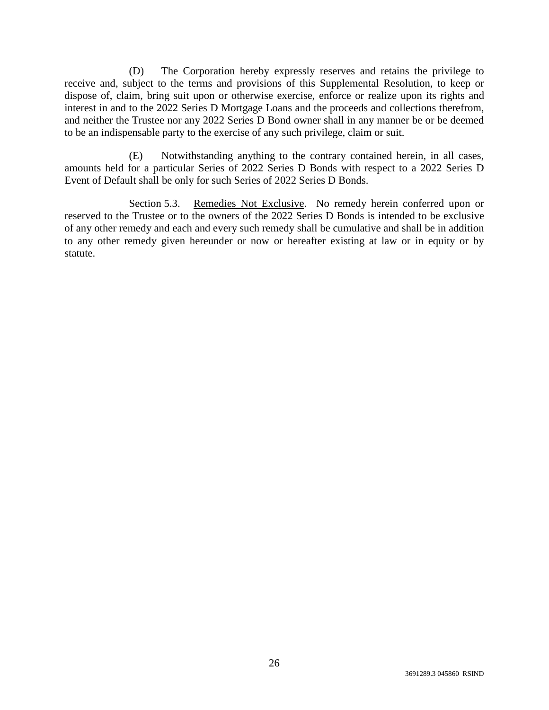(D) The Corporation hereby expressly reserves and retains the privilege to receive and, subject to the terms and provisions of this Supplemental Resolution, to keep or dispose of, claim, bring suit upon or otherwise exercise, enforce or realize upon its rights and interest in and to the 2022 Series D Mortgage Loans and the proceeds and collections therefrom, and neither the Trustee nor any 2022 Series D Bond owner shall in any manner be or be deemed to be an indispensable party to the exercise of any such privilege, claim or suit.

(E) Notwithstanding anything to the contrary contained herein, in all cases, amounts held for a particular Series of 2022 Series D Bonds with respect to a 2022 Series D Event of Default shall be only for such Series of 2022 Series D Bonds.

Section 5.3. Remedies Not Exclusive. No remedy herein conferred upon or reserved to the Trustee or to the owners of the 2022 Series D Bonds is intended to be exclusive of any other remedy and each and every such remedy shall be cumulative and shall be in addition to any other remedy given hereunder or now or hereafter existing at law or in equity or by statute.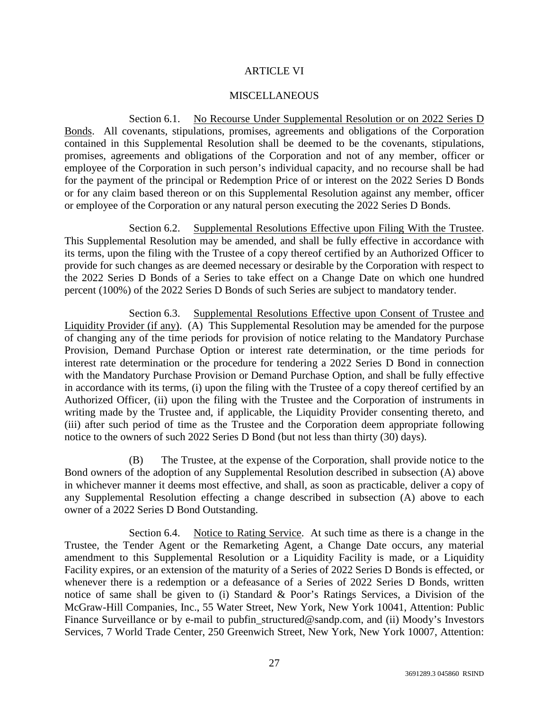## ARTICLE VI

### **MISCELLANEOUS**

Section 6.1. No Recourse Under Supplemental Resolution or on 2022 Series D Bonds. All covenants, stipulations, promises, agreements and obligations of the Corporation contained in this Supplemental Resolution shall be deemed to be the covenants, stipulations, promises, agreements and obligations of the Corporation and not of any member, officer or employee of the Corporation in such person's individual capacity, and no recourse shall be had for the payment of the principal or Redemption Price of or interest on the 2022 Series D Bonds or for any claim based thereon or on this Supplemental Resolution against any member, officer or employee of the Corporation or any natural person executing the 2022 Series D Bonds.

Section 6.2. Supplemental Resolutions Effective upon Filing With the Trustee. This Supplemental Resolution may be amended, and shall be fully effective in accordance with its terms, upon the filing with the Trustee of a copy thereof certified by an Authorized Officer to provide for such changes as are deemed necessary or desirable by the Corporation with respect to the 2022 Series D Bonds of a Series to take effect on a Change Date on which one hundred percent (100%) of the 2022 Series D Bonds of such Series are subject to mandatory tender.

Section 6.3. Supplemental Resolutions Effective upon Consent of Trustee and Liquidity Provider (if any). (A) This Supplemental Resolution may be amended for the purpose of changing any of the time periods for provision of notice relating to the Mandatory Purchase Provision, Demand Purchase Option or interest rate determination, or the time periods for interest rate determination or the procedure for tendering a 2022 Series D Bond in connection with the Mandatory Purchase Provision or Demand Purchase Option, and shall be fully effective in accordance with its terms, (i) upon the filing with the Trustee of a copy thereof certified by an Authorized Officer, (ii) upon the filing with the Trustee and the Corporation of instruments in writing made by the Trustee and, if applicable, the Liquidity Provider consenting thereto, and (iii) after such period of time as the Trustee and the Corporation deem appropriate following notice to the owners of such 2022 Series D Bond (but not less than thirty (30) days).

(B) The Trustee, at the expense of the Corporation, shall provide notice to the Bond owners of the adoption of any Supplemental Resolution described in subsection (A) above in whichever manner it deems most effective, and shall, as soon as practicable, deliver a copy of any Supplemental Resolution effecting a change described in subsection (A) above to each owner of a 2022 Series D Bond Outstanding.

Section 6.4. Notice to Rating Service. At such time as there is a change in the Trustee, the Tender Agent or the Remarketing Agent, a Change Date occurs, any material amendment to this Supplemental Resolution or a Liquidity Facility is made, or a Liquidity Facility expires, or an extension of the maturity of a Series of 2022 Series D Bonds is effected, or whenever there is a redemption or a defeasance of a Series of 2022 Series D Bonds, written notice of same shall be given to (i) Standard & Poor's Ratings Services, a Division of the McGraw-Hill Companies, Inc., 55 Water Street, New York, New York 10041, Attention: Public Finance Surveillance or by e-mail to pubfin\_structured@sandp.com, and (ii) Moody's Investors Services, 7 World Trade Center, 250 Greenwich Street, New York, New York 10007, Attention: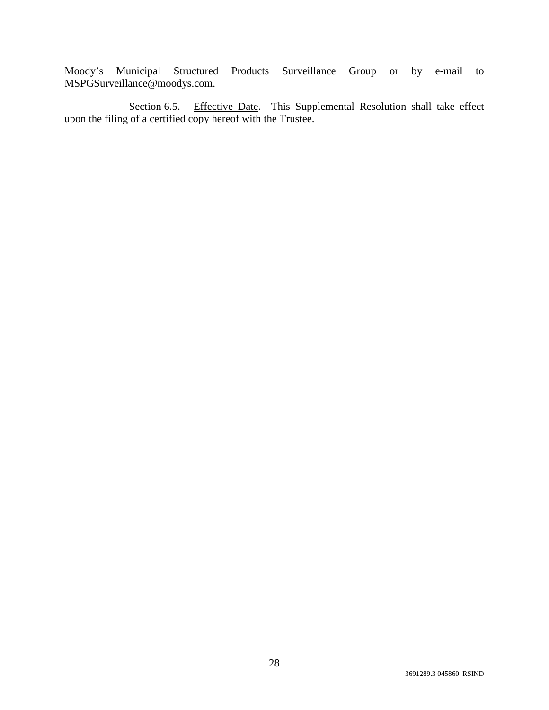Moody's Municipal Structured Products Surveillance Group or by e-mail to MSPGSurveillance@moodys.com.

Section 6.5. Effective Date. This Supplemental Resolution shall take effect upon the filing of a certified copy hereof with the Trustee.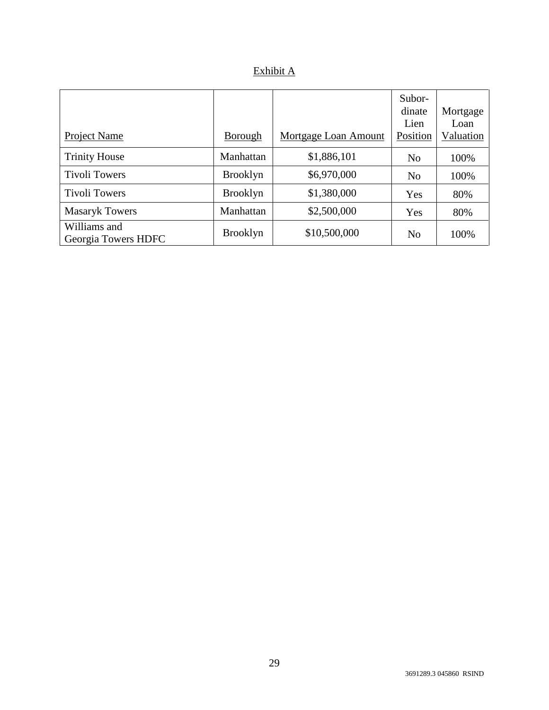| ninit |
|-------|
|       |

| Project Name                        | Borough         | Mortgage Loan Amount | Subor-<br>dinate<br>Lien<br>Position | Mortgage<br>Loan<br>Valuation |
|-------------------------------------|-----------------|----------------------|--------------------------------------|-------------------------------|
| <b>Trinity House</b>                | Manhattan       | \$1,886,101          | N <sub>o</sub>                       | 100%                          |
| <b>Tivoli Towers</b>                | <b>Brooklyn</b> | \$6,970,000          | N <sub>o</sub>                       | 100%                          |
| <b>Tivoli Towers</b>                | <b>Brooklyn</b> | \$1,380,000          | Yes                                  | 80%                           |
| <b>Masaryk Towers</b>               | Manhattan       | \$2,500,000          | Yes                                  | 80%                           |
| Williams and<br>Georgia Towers HDFC | <b>Brooklyn</b> | \$10,500,000         | N <sub>o</sub>                       | 100%                          |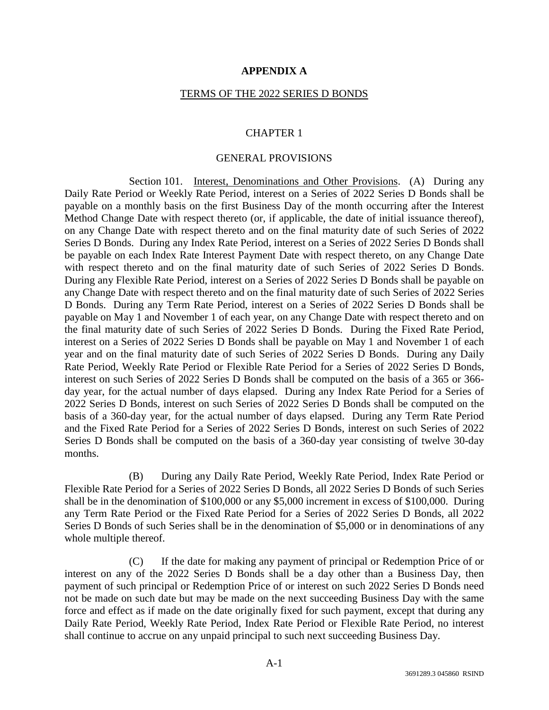## **APPENDIX A**

#### TERMS OF THE 2022 SERIES D BONDS

#### CHAPTER 1

#### GENERAL PROVISIONS

Section 101. Interest, Denominations and Other Provisions. (A) During any Daily Rate Period or Weekly Rate Period, interest on a Series of 2022 Series D Bonds shall be payable on a monthly basis on the first Business Day of the month occurring after the Interest Method Change Date with respect thereto (or, if applicable, the date of initial issuance thereof), on any Change Date with respect thereto and on the final maturity date of such Series of 2022 Series D Bonds. During any Index Rate Period, interest on a Series of 2022 Series D Bonds shall be payable on each Index Rate Interest Payment Date with respect thereto, on any Change Date with respect thereto and on the final maturity date of such Series of 2022 Series D Bonds. During any Flexible Rate Period, interest on a Series of 2022 Series D Bonds shall be payable on any Change Date with respect thereto and on the final maturity date of such Series of 2022 Series D Bonds. During any Term Rate Period, interest on a Series of 2022 Series D Bonds shall be payable on May 1 and November 1 of each year, on any Change Date with respect thereto and on the final maturity date of such Series of 2022 Series D Bonds. During the Fixed Rate Period, interest on a Series of 2022 Series D Bonds shall be payable on May 1 and November 1 of each year and on the final maturity date of such Series of 2022 Series D Bonds. During any Daily Rate Period, Weekly Rate Period or Flexible Rate Period for a Series of 2022 Series D Bonds, interest on such Series of 2022 Series D Bonds shall be computed on the basis of a 365 or 366 day year, for the actual number of days elapsed. During any Index Rate Period for a Series of 2022 Series D Bonds, interest on such Series of 2022 Series D Bonds shall be computed on the basis of a 360-day year, for the actual number of days elapsed. During any Term Rate Period and the Fixed Rate Period for a Series of 2022 Series D Bonds, interest on such Series of 2022 Series D Bonds shall be computed on the basis of a 360-day year consisting of twelve 30-day months.

(B) During any Daily Rate Period, Weekly Rate Period, Index Rate Period or Flexible Rate Period for a Series of 2022 Series D Bonds, all 2022 Series D Bonds of such Series shall be in the denomination of \$100,000 or any \$5,000 increment in excess of \$100,000. During any Term Rate Period or the Fixed Rate Period for a Series of 2022 Series D Bonds, all 2022 Series D Bonds of such Series shall be in the denomination of \$5,000 or in denominations of any whole multiple thereof.

(C) If the date for making any payment of principal or Redemption Price of or interest on any of the 2022 Series D Bonds shall be a day other than a Business Day, then payment of such principal or Redemption Price of or interest on such 2022 Series D Bonds need not be made on such date but may be made on the next succeeding Business Day with the same force and effect as if made on the date originally fixed for such payment, except that during any Daily Rate Period, Weekly Rate Period, Index Rate Period or Flexible Rate Period, no interest shall continue to accrue on any unpaid principal to such next succeeding Business Day.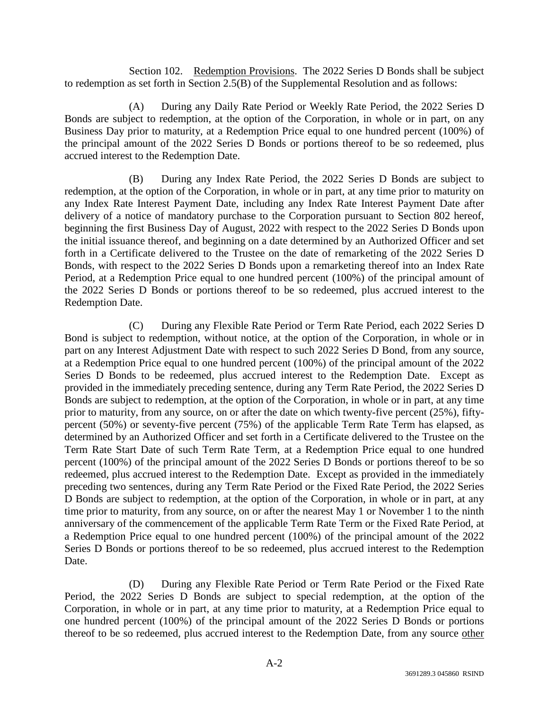Section 102. Redemption Provisions. The 2022 Series D Bonds shall be subject to redemption as set forth in Section 2.5(B) of the Supplemental Resolution and as follows:

(A) During any Daily Rate Period or Weekly Rate Period, the 2022 Series D Bonds are subject to redemption, at the option of the Corporation, in whole or in part, on any Business Day prior to maturity, at a Redemption Price equal to one hundred percent (100%) of the principal amount of the 2022 Series D Bonds or portions thereof to be so redeemed, plus accrued interest to the Redemption Date.

(B) During any Index Rate Period, the 2022 Series D Bonds are subject to redemption, at the option of the Corporation, in whole or in part, at any time prior to maturity on any Index Rate Interest Payment Date, including any Index Rate Interest Payment Date after delivery of a notice of mandatory purchase to the Corporation pursuant to Section 802 hereof, beginning the first Business Day of August, 2022 with respect to the 2022 Series D Bonds upon the initial issuance thereof, and beginning on a date determined by an Authorized Officer and set forth in a Certificate delivered to the Trustee on the date of remarketing of the 2022 Series D Bonds, with respect to the 2022 Series D Bonds upon a remarketing thereof into an Index Rate Period, at a Redemption Price equal to one hundred percent (100%) of the principal amount of the 2022 Series D Bonds or portions thereof to be so redeemed, plus accrued interest to the Redemption Date.

(C) During any Flexible Rate Period or Term Rate Period, each 2022 Series D Bond is subject to redemption, without notice, at the option of the Corporation, in whole or in part on any Interest Adjustment Date with respect to such 2022 Series D Bond, from any source, at a Redemption Price equal to one hundred percent (100%) of the principal amount of the 2022 Series D Bonds to be redeemed, plus accrued interest to the Redemption Date. Except as provided in the immediately preceding sentence, during any Term Rate Period, the 2022 Series D Bonds are subject to redemption, at the option of the Corporation, in whole or in part, at any time prior to maturity, from any source, on or after the date on which twenty-five percent (25%), fiftypercent (50%) or seventy-five percent (75%) of the applicable Term Rate Term has elapsed, as determined by an Authorized Officer and set forth in a Certificate delivered to the Trustee on the Term Rate Start Date of such Term Rate Term, at a Redemption Price equal to one hundred percent (100%) of the principal amount of the 2022 Series D Bonds or portions thereof to be so redeemed, plus accrued interest to the Redemption Date. Except as provided in the immediately preceding two sentences, during any Term Rate Period or the Fixed Rate Period, the 2022 Series D Bonds are subject to redemption, at the option of the Corporation, in whole or in part, at any time prior to maturity, from any source, on or after the nearest May 1 or November 1 to the ninth anniversary of the commencement of the applicable Term Rate Term or the Fixed Rate Period, at a Redemption Price equal to one hundred percent (100%) of the principal amount of the 2022 Series D Bonds or portions thereof to be so redeemed, plus accrued interest to the Redemption Date.

(D) During any Flexible Rate Period or Term Rate Period or the Fixed Rate Period, the 2022 Series D Bonds are subject to special redemption, at the option of the Corporation, in whole or in part, at any time prior to maturity, at a Redemption Price equal to one hundred percent (100%) of the principal amount of the 2022 Series D Bonds or portions thereof to be so redeemed, plus accrued interest to the Redemption Date, from any source other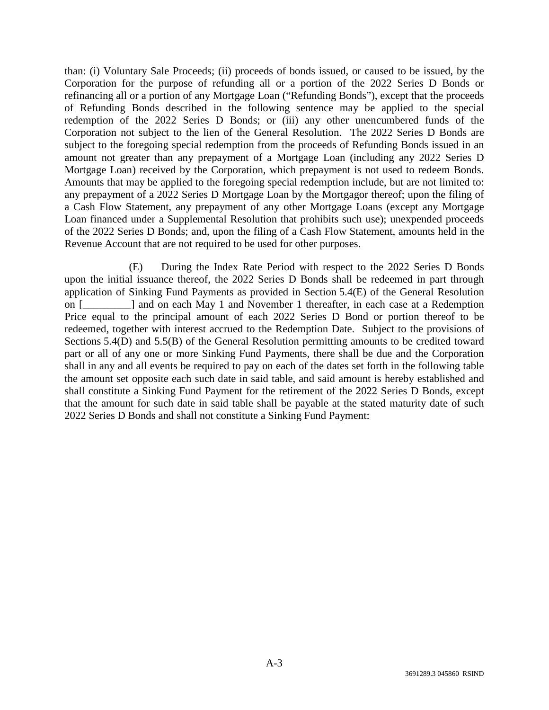than: (i) Voluntary Sale Proceeds; (ii) proceeds of bonds issued, or caused to be issued, by the Corporation for the purpose of refunding all or a portion of the 2022 Series D Bonds or refinancing all or a portion of any Mortgage Loan ("Refunding Bonds"), except that the proceeds of Refunding Bonds described in the following sentence may be applied to the special redemption of the 2022 Series D Bonds; or (iii) any other unencumbered funds of the Corporation not subject to the lien of the General Resolution. The 2022 Series D Bonds are subject to the foregoing special redemption from the proceeds of Refunding Bonds issued in an amount not greater than any prepayment of a Mortgage Loan (including any 2022 Series D Mortgage Loan) received by the Corporation, which prepayment is not used to redeem Bonds. Amounts that may be applied to the foregoing special redemption include, but are not limited to: any prepayment of a 2022 Series D Mortgage Loan by the Mortgagor thereof; upon the filing of a Cash Flow Statement, any prepayment of any other Mortgage Loans (except any Mortgage Loan financed under a Supplemental Resolution that prohibits such use); unexpended proceeds of the 2022 Series D Bonds; and, upon the filing of a Cash Flow Statement, amounts held in the Revenue Account that are not required to be used for other purposes.

(E) During the Index Rate Period with respect to the 2022 Series D Bonds upon the initial issuance thereof, the 2022 Series D Bonds shall be redeemed in part through application of Sinking Fund Payments as provided in Section 5.4(E) of the General Resolution on [elden and on each May 1 and November 1 thereafter, in each case at a Redemption Price equal to the principal amount of each 2022 Series D Bond or portion thereof to be redeemed, together with interest accrued to the Redemption Date. Subject to the provisions of Sections 5.4(D) and 5.5(B) of the General Resolution permitting amounts to be credited toward part or all of any one or more Sinking Fund Payments, there shall be due and the Corporation shall in any and all events be required to pay on each of the dates set forth in the following table the amount set opposite each such date in said table, and said amount is hereby established and shall constitute a Sinking Fund Payment for the retirement of the 2022 Series D Bonds, except that the amount for such date in said table shall be payable at the stated maturity date of such 2022 Series D Bonds and shall not constitute a Sinking Fund Payment: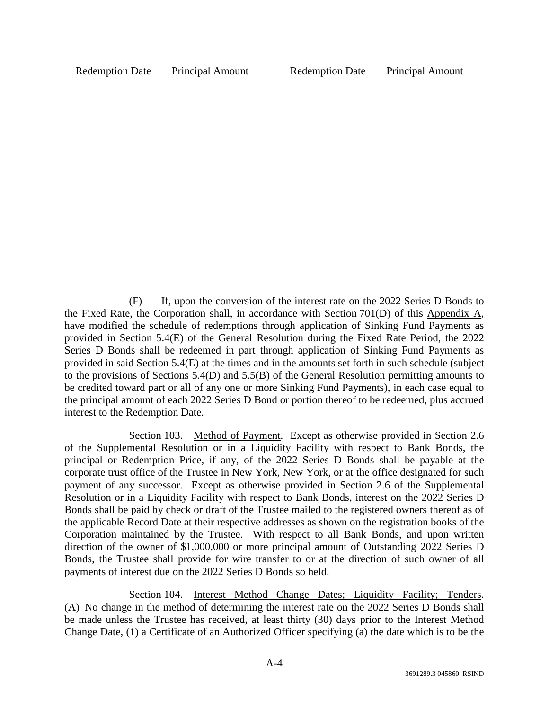Redemption Date Principal Amount Redemption Date Principal Amount

(F) If, upon the conversion of the interest rate on the 2022 Series D Bonds to the Fixed Rate, the Corporation shall, in accordance with Section 701(D) of this Appendix A, have modified the schedule of redemptions through application of Sinking Fund Payments as provided in Section 5.4(E) of the General Resolution during the Fixed Rate Period, the 2022 Series D Bonds shall be redeemed in part through application of Sinking Fund Payments as provided in said Section 5.4(E) at the times and in the amounts set forth in such schedule (subject to the provisions of Sections 5.4(D) and 5.5(B) of the General Resolution permitting amounts to be credited toward part or all of any one or more Sinking Fund Payments), in each case equal to the principal amount of each 2022 Series D Bond or portion thereof to be redeemed, plus accrued interest to the Redemption Date.

Section 103. Method of Payment. Except as otherwise provided in Section 2.6 of the Supplemental Resolution or in a Liquidity Facility with respect to Bank Bonds, the principal or Redemption Price, if any, of the 2022 Series D Bonds shall be payable at the corporate trust office of the Trustee in New York, New York, or at the office designated for such payment of any successor. Except as otherwise provided in Section 2.6 of the Supplemental Resolution or in a Liquidity Facility with respect to Bank Bonds, interest on the 2022 Series D Bonds shall be paid by check or draft of the Trustee mailed to the registered owners thereof as of the applicable Record Date at their respective addresses as shown on the registration books of the Corporation maintained by the Trustee. With respect to all Bank Bonds, and upon written direction of the owner of \$1,000,000 or more principal amount of Outstanding 2022 Series D Bonds, the Trustee shall provide for wire transfer to or at the direction of such owner of all payments of interest due on the 2022 Series D Bonds so held.

Section 104. Interest Method Change Dates; Liquidity Facility; Tenders. (A) No change in the method of determining the interest rate on the 2022 Series D Bonds shall be made unless the Trustee has received, at least thirty (30) days prior to the Interest Method Change Date, (1) a Certificate of an Authorized Officer specifying (a) the date which is to be the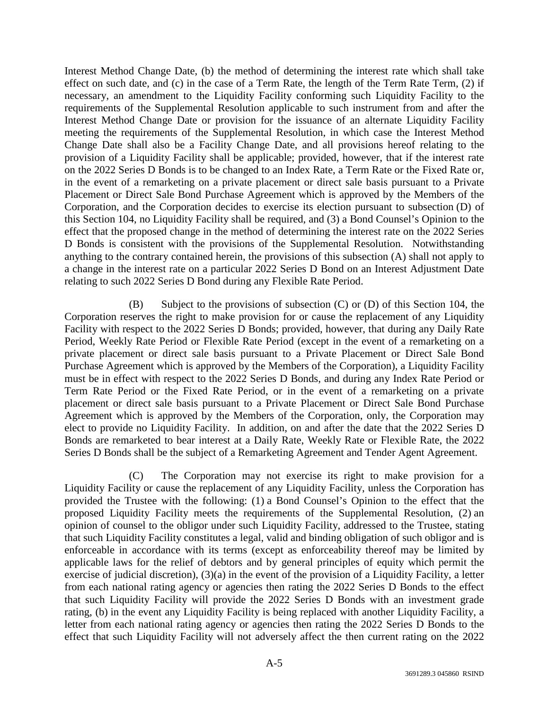Interest Method Change Date, (b) the method of determining the interest rate which shall take effect on such date, and (c) in the case of a Term Rate, the length of the Term Rate Term, (2) if necessary, an amendment to the Liquidity Facility conforming such Liquidity Facility to the requirements of the Supplemental Resolution applicable to such instrument from and after the Interest Method Change Date or provision for the issuance of an alternate Liquidity Facility meeting the requirements of the Supplemental Resolution, in which case the Interest Method Change Date shall also be a Facility Change Date, and all provisions hereof relating to the provision of a Liquidity Facility shall be applicable; provided, however, that if the interest rate on the 2022 Series D Bonds is to be changed to an Index Rate, a Term Rate or the Fixed Rate or, in the event of a remarketing on a private placement or direct sale basis pursuant to a Private Placement or Direct Sale Bond Purchase Agreement which is approved by the Members of the Corporation, and the Corporation decides to exercise its election pursuant to subsection (D) of this Section 104, no Liquidity Facility shall be required, and (3) a Bond Counsel's Opinion to the effect that the proposed change in the method of determining the interest rate on the 2022 Series D Bonds is consistent with the provisions of the Supplemental Resolution. Notwithstanding anything to the contrary contained herein, the provisions of this subsection (A) shall not apply to a change in the interest rate on a particular 2022 Series D Bond on an Interest Adjustment Date relating to such 2022 Series D Bond during any Flexible Rate Period.

(B) Subject to the provisions of subsection (C) or (D) of this Section 104, the Corporation reserves the right to make provision for or cause the replacement of any Liquidity Facility with respect to the 2022 Series D Bonds; provided, however, that during any Daily Rate Period, Weekly Rate Period or Flexible Rate Period (except in the event of a remarketing on a private placement or direct sale basis pursuant to a Private Placement or Direct Sale Bond Purchase Agreement which is approved by the Members of the Corporation), a Liquidity Facility must be in effect with respect to the 2022 Series D Bonds, and during any Index Rate Period or Term Rate Period or the Fixed Rate Period, or in the event of a remarketing on a private placement or direct sale basis pursuant to a Private Placement or Direct Sale Bond Purchase Agreement which is approved by the Members of the Corporation, only, the Corporation may elect to provide no Liquidity Facility. In addition, on and after the date that the 2022 Series D Bonds are remarketed to bear interest at a Daily Rate, Weekly Rate or Flexible Rate, the 2022 Series D Bonds shall be the subject of a Remarketing Agreement and Tender Agent Agreement.

(C) The Corporation may not exercise its right to make provision for a Liquidity Facility or cause the replacement of any Liquidity Facility, unless the Corporation has provided the Trustee with the following: (1) a Bond Counsel's Opinion to the effect that the proposed Liquidity Facility meets the requirements of the Supplemental Resolution, (2) an opinion of counsel to the obligor under such Liquidity Facility, addressed to the Trustee, stating that such Liquidity Facility constitutes a legal, valid and binding obligation of such obligor and is enforceable in accordance with its terms (except as enforceability thereof may be limited by applicable laws for the relief of debtors and by general principles of equity which permit the exercise of judicial discretion), (3)(a) in the event of the provision of a Liquidity Facility, a letter from each national rating agency or agencies then rating the 2022 Series D Bonds to the effect that such Liquidity Facility will provide the 2022 Series D Bonds with an investment grade rating, (b) in the event any Liquidity Facility is being replaced with another Liquidity Facility, a letter from each national rating agency or agencies then rating the 2022 Series D Bonds to the effect that such Liquidity Facility will not adversely affect the then current rating on the 2022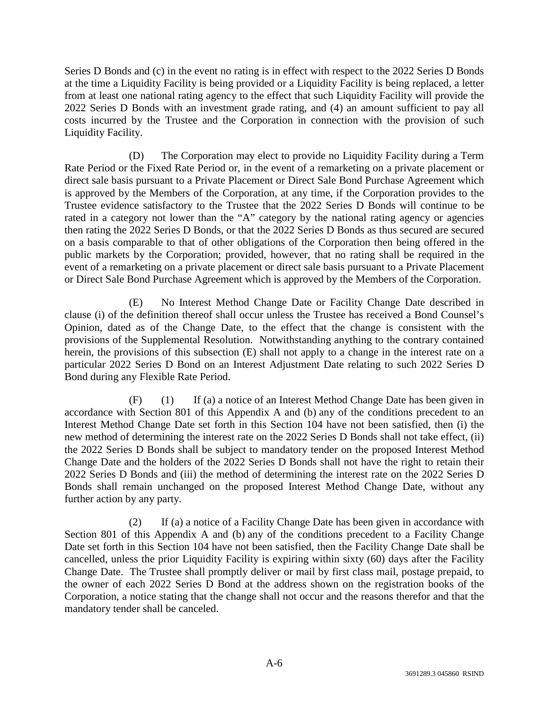Series D Bonds and (c) in the event no rating is in effect with respect to the 2022 Series D Bonds at the time a Liquidity Facility is being provided or a Liquidity Facility is being replaced, a letter from at least one national rating agency to the effect that such Liquidity Facility will provide the 2022 Series D Bonds with an investment grade rating, and (4) an amount sufficient to pay all costs incurred by the Trustee and the Corporation in connection with the provision of such Liquidity Facility.

(D) The Corporation may elect to provide no Liquidity Facility during a Term Rate Period or the Fixed Rate Period or, in the event of a remarketing on a private placement or direct sale basis pursuant to a Private Placement or Direct Sale Bond Purchase Agreement which is approved by the Members of the Corporation, at any time, if the Corporation provides to the Trustee evidence satisfactory to the Trustee that the 2022 Series D Bonds will continue to be rated in a category not lower than the "A" category by the national rating agency or agencies then rating the 2022 Series D Bonds, or that the 2022 Series D Bonds as thus secured are secured on a basis comparable to that of other obligations of the Corporation then being offered in the public markets by the Corporation; provided, however, that no rating shall be required in the event of a remarketing on a private placement or direct sale basis pursuant to a Private Placement or Direct Sale Bond Purchase Agreement which is approved by the Members of the Corporation.

(E) No Interest Method Change Date or Facility Change Date described in clause (i) of the definition thereof shall occur unless the Trustee has received a Bond Counsel's Opinion, dated as of the Change Date, to the effect that the change is consistent with the provisions of the Supplemental Resolution. Notwithstanding anything to the contrary contained herein, the provisions of this subsection (E) shall not apply to a change in the interest rate on a particular 2022 Series D Bond on an Interest Adjustment Date relating to such 2022 Series D Bond during any Flexible Rate Period.

(F) (1) If (a) a notice of an Interest Method Change Date has been given in accordance with Section 801 of this Appendix A and (b) any of the conditions precedent to an Interest Method Change Date set forth in this Section 104 have not been satisfied, then (i) the new method of determining the interest rate on the 2022 Series D Bonds shall not take effect, (ii) the 2022 Series D Bonds shall be subject to mandatory tender on the proposed Interest Method Change Date and the holders of the 2022 Series D Bonds shall not have the right to retain their 2022 Series D Bonds and (iii) the method of determining the interest rate on the 2022 Series D Bonds shall remain unchanged on the proposed Interest Method Change Date, without any further action by any party.

(2) If (a) a notice of a Facility Change Date has been given in accordance with Section 801 of this Appendix A and (b) any of the conditions precedent to a Facility Change Date set forth in this Section 104 have not been satisfied, then the Facility Change Date shall be cancelled, unless the prior Liquidity Facility is expiring within sixty (60) days after the Facility Change Date. The Trustee shall promptly deliver or mail by first class mail, postage prepaid, to the owner of each 2022 Series D Bond at the address shown on the registration books of the Corporation, a notice stating that the change shall not occur and the reasons therefor and that the mandatory tender shall be canceled.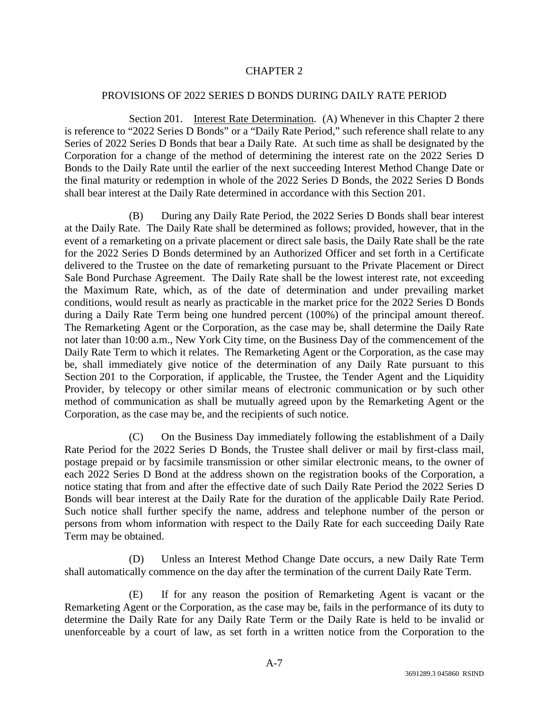## CHAPTER 2

#### PROVISIONS OF 2022 SERIES D BONDS DURING DAILY RATE PERIOD

Section 201. Interest Rate Determination. (A) Whenever in this Chapter 2 there is reference to "2022 Series D Bonds" or a "Daily Rate Period," such reference shall relate to any Series of 2022 Series D Bonds that bear a Daily Rate. At such time as shall be designated by the Corporation for a change of the method of determining the interest rate on the 2022 Series D Bonds to the Daily Rate until the earlier of the next succeeding Interest Method Change Date or the final maturity or redemption in whole of the 2022 Series D Bonds, the 2022 Series D Bonds shall bear interest at the Daily Rate determined in accordance with this Section 201.

(B) During any Daily Rate Period, the 2022 Series D Bonds shall bear interest at the Daily Rate. The Daily Rate shall be determined as follows; provided, however, that in the event of a remarketing on a private placement or direct sale basis, the Daily Rate shall be the rate for the 2022 Series D Bonds determined by an Authorized Officer and set forth in a Certificate delivered to the Trustee on the date of remarketing pursuant to the Private Placement or Direct Sale Bond Purchase Agreement. The Daily Rate shall be the lowest interest rate, not exceeding the Maximum Rate, which, as of the date of determination and under prevailing market conditions, would result as nearly as practicable in the market price for the 2022 Series D Bonds during a Daily Rate Term being one hundred percent (100%) of the principal amount thereof. The Remarketing Agent or the Corporation, as the case may be, shall determine the Daily Rate not later than 10:00 a.m., New York City time, on the Business Day of the commencement of the Daily Rate Term to which it relates. The Remarketing Agent or the Corporation, as the case may be, shall immediately give notice of the determination of any Daily Rate pursuant to this Section 201 to the Corporation, if applicable, the Trustee, the Tender Agent and the Liquidity Provider, by telecopy or other similar means of electronic communication or by such other method of communication as shall be mutually agreed upon by the Remarketing Agent or the Corporation, as the case may be, and the recipients of such notice.

(C) On the Business Day immediately following the establishment of a Daily Rate Period for the 2022 Series D Bonds, the Trustee shall deliver or mail by first-class mail, postage prepaid or by facsimile transmission or other similar electronic means, to the owner of each 2022 Series D Bond at the address shown on the registration books of the Corporation, a notice stating that from and after the effective date of such Daily Rate Period the 2022 Series D Bonds will bear interest at the Daily Rate for the duration of the applicable Daily Rate Period. Such notice shall further specify the name, address and telephone number of the person or persons from whom information with respect to the Daily Rate for each succeeding Daily Rate Term may be obtained.

(D) Unless an Interest Method Change Date occurs, a new Daily Rate Term shall automatically commence on the day after the termination of the current Daily Rate Term.

(E) If for any reason the position of Remarketing Agent is vacant or the Remarketing Agent or the Corporation, as the case may be, fails in the performance of its duty to determine the Daily Rate for any Daily Rate Term or the Daily Rate is held to be invalid or unenforceable by a court of law, as set forth in a written notice from the Corporation to the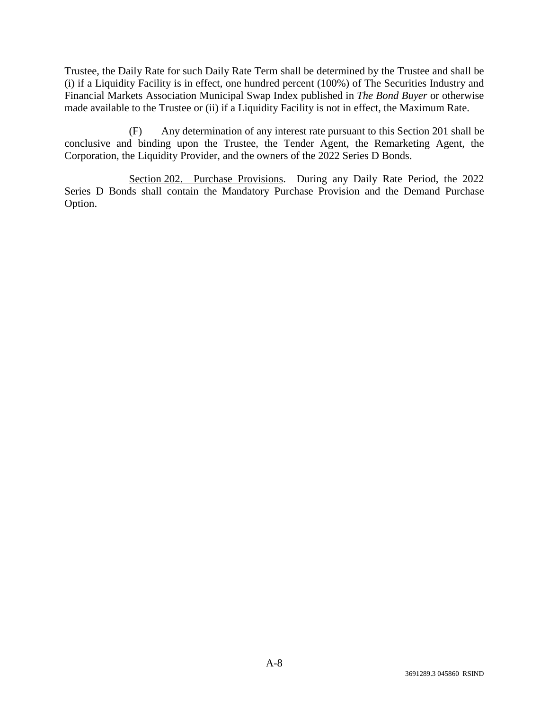Trustee, the Daily Rate for such Daily Rate Term shall be determined by the Trustee and shall be (i) if a Liquidity Facility is in effect, one hundred percent (100%) of The Securities Industry and Financial Markets Association Municipal Swap Index published in *The Bond Buyer* or otherwise made available to the Trustee or (ii) if a Liquidity Facility is not in effect, the Maximum Rate.

(F) Any determination of any interest rate pursuant to this Section 201 shall be conclusive and binding upon the Trustee, the Tender Agent, the Remarketing Agent, the Corporation, the Liquidity Provider, and the owners of the 2022 Series D Bonds.

Section 202. Purchase Provisions. During any Daily Rate Period, the 2022 Series D Bonds shall contain the Mandatory Purchase Provision and the Demand Purchase Option.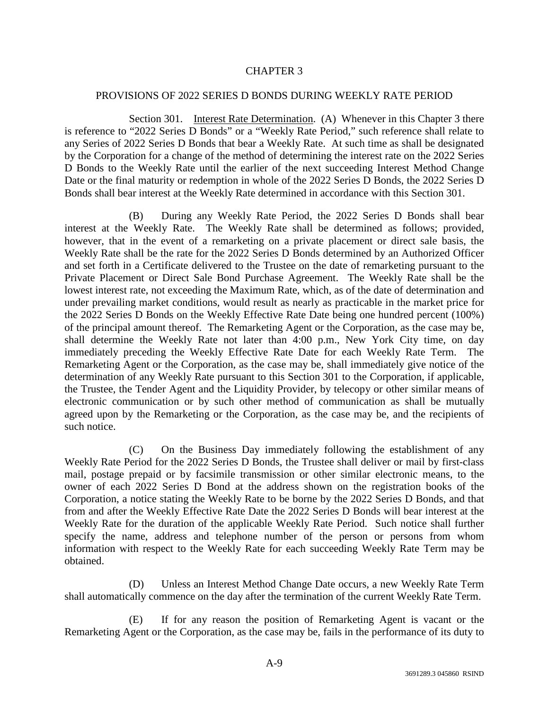## CHAPTER 3

#### PROVISIONS OF 2022 SERIES D BONDS DURING WEEKLY RATE PERIOD

Section 301. Interest Rate Determination. (A) Whenever in this Chapter 3 there is reference to "2022 Series D Bonds" or a "Weekly Rate Period," such reference shall relate to any Series of 2022 Series D Bonds that bear a Weekly Rate. At such time as shall be designated by the Corporation for a change of the method of determining the interest rate on the 2022 Series D Bonds to the Weekly Rate until the earlier of the next succeeding Interest Method Change Date or the final maturity or redemption in whole of the 2022 Series D Bonds, the 2022 Series D Bonds shall bear interest at the Weekly Rate determined in accordance with this Section 301.

(B) During any Weekly Rate Period, the 2022 Series D Bonds shall bear interest at the Weekly Rate. The Weekly Rate shall be determined as follows; provided, however, that in the event of a remarketing on a private placement or direct sale basis, the Weekly Rate shall be the rate for the 2022 Series D Bonds determined by an Authorized Officer and set forth in a Certificate delivered to the Trustee on the date of remarketing pursuant to the Private Placement or Direct Sale Bond Purchase Agreement. The Weekly Rate shall be the lowest interest rate, not exceeding the Maximum Rate, which, as of the date of determination and under prevailing market conditions, would result as nearly as practicable in the market price for the 2022 Series D Bonds on the Weekly Effective Rate Date being one hundred percent (100%) of the principal amount thereof. The Remarketing Agent or the Corporation, as the case may be, shall determine the Weekly Rate not later than 4:00 p.m., New York City time, on day immediately preceding the Weekly Effective Rate Date for each Weekly Rate Term. The Remarketing Agent or the Corporation, as the case may be, shall immediately give notice of the determination of any Weekly Rate pursuant to this Section 301 to the Corporation, if applicable, the Trustee, the Tender Agent and the Liquidity Provider, by telecopy or other similar means of electronic communication or by such other method of communication as shall be mutually agreed upon by the Remarketing or the Corporation, as the case may be, and the recipients of such notice.

(C) On the Business Day immediately following the establishment of any Weekly Rate Period for the 2022 Series D Bonds, the Trustee shall deliver or mail by first-class mail, postage prepaid or by facsimile transmission or other similar electronic means, to the owner of each 2022 Series D Bond at the address shown on the registration books of the Corporation, a notice stating the Weekly Rate to be borne by the 2022 Series D Bonds, and that from and after the Weekly Effective Rate Date the 2022 Series D Bonds will bear interest at the Weekly Rate for the duration of the applicable Weekly Rate Period. Such notice shall further specify the name, address and telephone number of the person or persons from whom information with respect to the Weekly Rate for each succeeding Weekly Rate Term may be obtained.

(D) Unless an Interest Method Change Date occurs, a new Weekly Rate Term shall automatically commence on the day after the termination of the current Weekly Rate Term.

(E) If for any reason the position of Remarketing Agent is vacant or the Remarketing Agent or the Corporation, as the case may be, fails in the performance of its duty to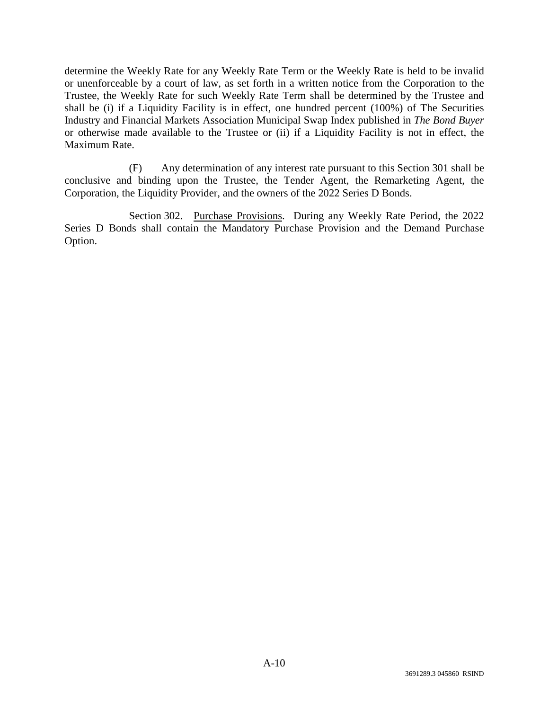determine the Weekly Rate for any Weekly Rate Term or the Weekly Rate is held to be invalid or unenforceable by a court of law, as set forth in a written notice from the Corporation to the Trustee, the Weekly Rate for such Weekly Rate Term shall be determined by the Trustee and shall be (i) if a Liquidity Facility is in effect, one hundred percent (100%) of The Securities Industry and Financial Markets Association Municipal Swap Index published in *The Bond Buyer* or otherwise made available to the Trustee or (ii) if a Liquidity Facility is not in effect, the Maximum Rate.

(F) Any determination of any interest rate pursuant to this Section 301 shall be conclusive and binding upon the Trustee, the Tender Agent, the Remarketing Agent, the Corporation, the Liquidity Provider, and the owners of the 2022 Series D Bonds.

Section 302. Purchase Provisions. During any Weekly Rate Period, the 2022 Series D Bonds shall contain the Mandatory Purchase Provision and the Demand Purchase Option.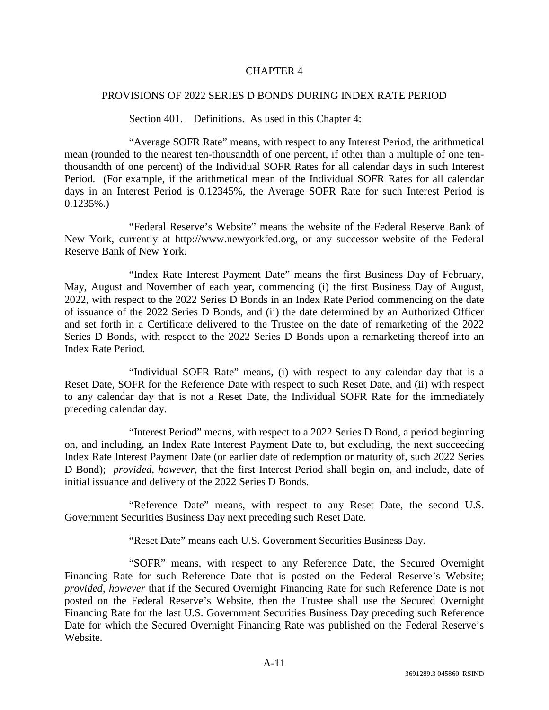## CHAPTER 4

#### PROVISIONS OF 2022 SERIES D BONDS DURING INDEX RATE PERIOD

Section 401. Definitions. As used in this Chapter 4:

"Average SOFR Rate" means, with respect to any Interest Period, the arithmetical mean (rounded to the nearest ten-thousandth of one percent, if other than a multiple of one tenthousandth of one percent) of the Individual SOFR Rates for all calendar days in such Interest Period. (For example, if the arithmetical mean of the Individual SOFR Rates for all calendar days in an Interest Period is 0.12345%, the Average SOFR Rate for such Interest Period is  $0.1235\%$ .

"Federal Reserve's Website" means the website of the Federal Reserve Bank of New York, currently at http://www.newyorkfed.org, or any successor website of the Federal Reserve Bank of New York.

"Index Rate Interest Payment Date" means the first Business Day of February, May, August and November of each year, commencing (i) the first Business Day of August, 2022, with respect to the 2022 Series D Bonds in an Index Rate Period commencing on the date of issuance of the 2022 Series D Bonds, and (ii) the date determined by an Authorized Officer and set forth in a Certificate delivered to the Trustee on the date of remarketing of the 2022 Series D Bonds, with respect to the 2022 Series D Bonds upon a remarketing thereof into an Index Rate Period.

"Individual SOFR Rate" means, (i) with respect to any calendar day that is a Reset Date, SOFR for the Reference Date with respect to such Reset Date, and (ii) with respect to any calendar day that is not a Reset Date, the Individual SOFR Rate for the immediately preceding calendar day.

"Interest Period" means, with respect to a 2022 Series D Bond, a period beginning on, and including, an Index Rate Interest Payment Date to, but excluding, the next succeeding Index Rate Interest Payment Date (or earlier date of redemption or maturity of, such 2022 Series D Bond); *provided*, *however*, that the first Interest Period shall begin on, and include, date of initial issuance and delivery of the 2022 Series D Bonds.

"Reference Date" means, with respect to any Reset Date, the second U.S. Government Securities Business Day next preceding such Reset Date.

"Reset Date" means each U.S. Government Securities Business Day.

"SOFR" means, with respect to any Reference Date, the Secured Overnight Financing Rate for such Reference Date that is posted on the Federal Reserve's Website; *provided*, *however* that if the Secured Overnight Financing Rate for such Reference Date is not posted on the Federal Reserve's Website, then the Trustee shall use the Secured Overnight Financing Rate for the last U.S. Government Securities Business Day preceding such Reference Date for which the Secured Overnight Financing Rate was published on the Federal Reserve's Website.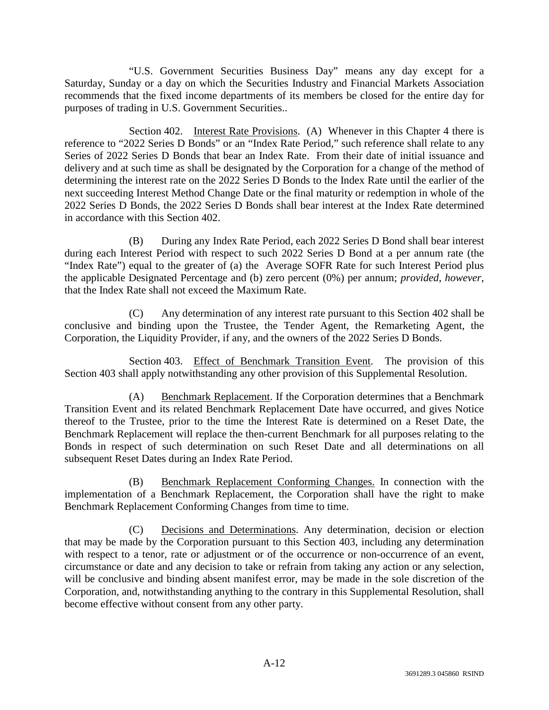"U.S. Government Securities Business Day" means any day except for a Saturday, Sunday or a day on which the Securities Industry and Financial Markets Association recommends that the fixed income departments of its members be closed for the entire day for purposes of trading in U.S. Government Securities..

Section 402. Interest Rate Provisions. (A) Whenever in this Chapter 4 there is reference to "2022 Series D Bonds" or an "Index Rate Period," such reference shall relate to any Series of 2022 Series D Bonds that bear an Index Rate. From their date of initial issuance and delivery and at such time as shall be designated by the Corporation for a change of the method of determining the interest rate on the 2022 Series D Bonds to the Index Rate until the earlier of the next succeeding Interest Method Change Date or the final maturity or redemption in whole of the 2022 Series D Bonds, the 2022 Series D Bonds shall bear interest at the Index Rate determined in accordance with this Section 402.

(B) During any Index Rate Period, each 2022 Series D Bond shall bear interest during each Interest Period with respect to such 2022 Series D Bond at a per annum rate (the "Index Rate") equal to the greater of (a) the Average SOFR Rate for such Interest Period plus the applicable Designated Percentage and (b) zero percent (0%) per annum; *provided*, *however*, that the Index Rate shall not exceed the Maximum Rate.

(C) Any determination of any interest rate pursuant to this Section 402 shall be conclusive and binding upon the Trustee, the Tender Agent, the Remarketing Agent, the Corporation, the Liquidity Provider, if any, and the owners of the 2022 Series D Bonds.

Section 403. Effect of Benchmark Transition Event. The provision of this Section 403 shall apply notwithstanding any other provision of this Supplemental Resolution.

(A) Benchmark Replacement. If the Corporation determines that a Benchmark Transition Event and its related Benchmark Replacement Date have occurred, and gives Notice thereof to the Trustee, prior to the time the Interest Rate is determined on a Reset Date, the Benchmark Replacement will replace the then-current Benchmark for all purposes relating to the Bonds in respect of such determination on such Reset Date and all determinations on all subsequent Reset Dates during an Index Rate Period.

(B) Benchmark Replacement Conforming Changes. In connection with the implementation of a Benchmark Replacement, the Corporation shall have the right to make Benchmark Replacement Conforming Changes from time to time.

(C) Decisions and Determinations. Any determination, decision or election that may be made by the Corporation pursuant to this Section 403, including any determination with respect to a tenor, rate or adjustment or of the occurrence or non-occurrence of an event, circumstance or date and any decision to take or refrain from taking any action or any selection, will be conclusive and binding absent manifest error, may be made in the sole discretion of the Corporation, and, notwithstanding anything to the contrary in this Supplemental Resolution, shall become effective without consent from any other party.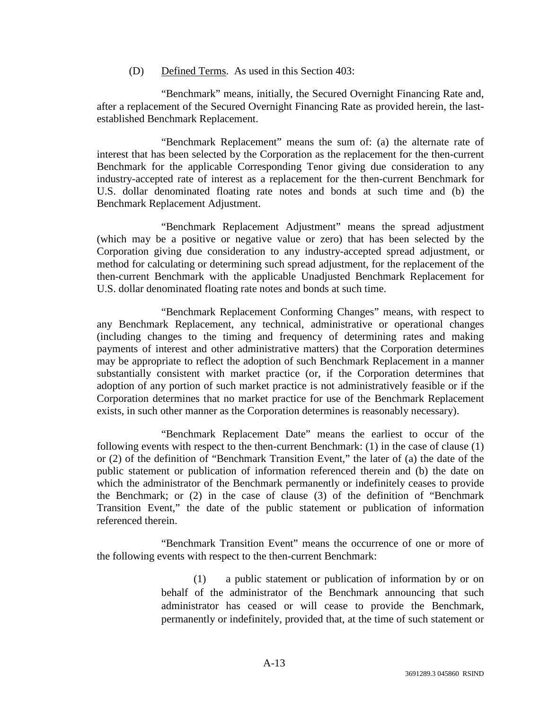(D) Defined Terms. As used in this Section 403:

"Benchmark" means, initially, the Secured Overnight Financing Rate and, after a replacement of the Secured Overnight Financing Rate as provided herein, the lastestablished Benchmark Replacement.

"Benchmark Replacement" means the sum of: (a) the alternate rate of interest that has been selected by the Corporation as the replacement for the then-current Benchmark for the applicable Corresponding Tenor giving due consideration to any industry-accepted rate of interest as a replacement for the then-current Benchmark for U.S. dollar denominated floating rate notes and bonds at such time and (b) the Benchmark Replacement Adjustment.

"Benchmark Replacement Adjustment" means the spread adjustment (which may be a positive or negative value or zero) that has been selected by the Corporation giving due consideration to any industry-accepted spread adjustment, or method for calculating or determining such spread adjustment, for the replacement of the then-current Benchmark with the applicable Unadjusted Benchmark Replacement for U.S. dollar denominated floating rate notes and bonds at such time.

"Benchmark Replacement Conforming Changes" means, with respect to any Benchmark Replacement, any technical, administrative or operational changes (including changes to the timing and frequency of determining rates and making payments of interest and other administrative matters) that the Corporation determines may be appropriate to reflect the adoption of such Benchmark Replacement in a manner substantially consistent with market practice (or, if the Corporation determines that adoption of any portion of such market practice is not administratively feasible or if the Corporation determines that no market practice for use of the Benchmark Replacement exists, in such other manner as the Corporation determines is reasonably necessary).

"Benchmark Replacement Date" means the earliest to occur of the following events with respect to the then-current Benchmark: (1) in the case of clause (1) or (2) of the definition of "Benchmark Transition Event," the later of (a) the date of the public statement or publication of information referenced therein and (b) the date on which the administrator of the Benchmark permanently or indefinitely ceases to provide the Benchmark; or (2) in the case of clause (3) of the definition of "Benchmark Transition Event," the date of the public statement or publication of information referenced therein.

"Benchmark Transition Event" means the occurrence of one or more of the following events with respect to the then-current Benchmark:

> (1) a public statement or publication of information by or on behalf of the administrator of the Benchmark announcing that such administrator has ceased or will cease to provide the Benchmark, permanently or indefinitely, provided that, at the time of such statement or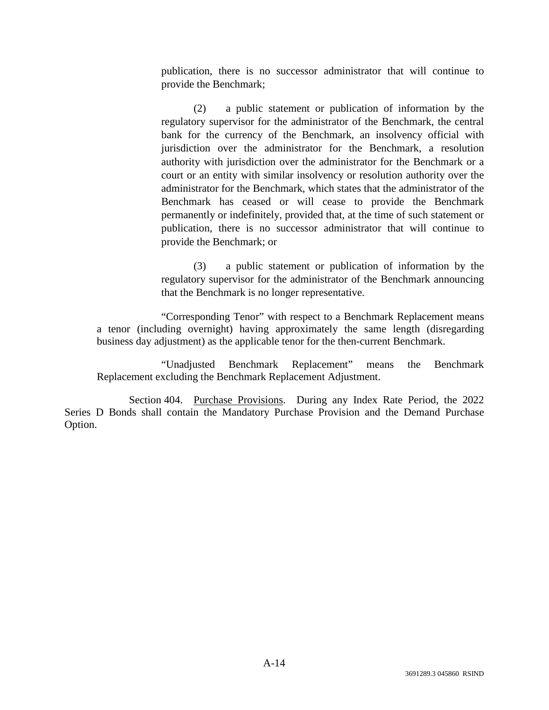publication, there is no successor administrator that will continue to provide the Benchmark;

(2) a public statement or publication of information by the regulatory supervisor for the administrator of the Benchmark, the central bank for the currency of the Benchmark, an insolvency official with jurisdiction over the administrator for the Benchmark, a resolution authority with jurisdiction over the administrator for the Benchmark or a court or an entity with similar insolvency or resolution authority over the administrator for the Benchmark, which states that the administrator of the Benchmark has ceased or will cease to provide the Benchmark permanently or indefinitely, provided that, at the time of such statement or publication, there is no successor administrator that will continue to provide the Benchmark; or

(3) a public statement or publication of information by the regulatory supervisor for the administrator of the Benchmark announcing that the Benchmark is no longer representative.

"Corresponding Tenor" with respect to a Benchmark Replacement means a tenor (including overnight) having approximately the same length (disregarding business day adjustment) as the applicable tenor for the then-current Benchmark.

"Unadjusted Benchmark Replacement" means the Benchmark Replacement excluding the Benchmark Replacement Adjustment.

Section 404. Purchase Provisions. During any Index Rate Period, the 2022 Series D Bonds shall contain the Mandatory Purchase Provision and the Demand Purchase Option.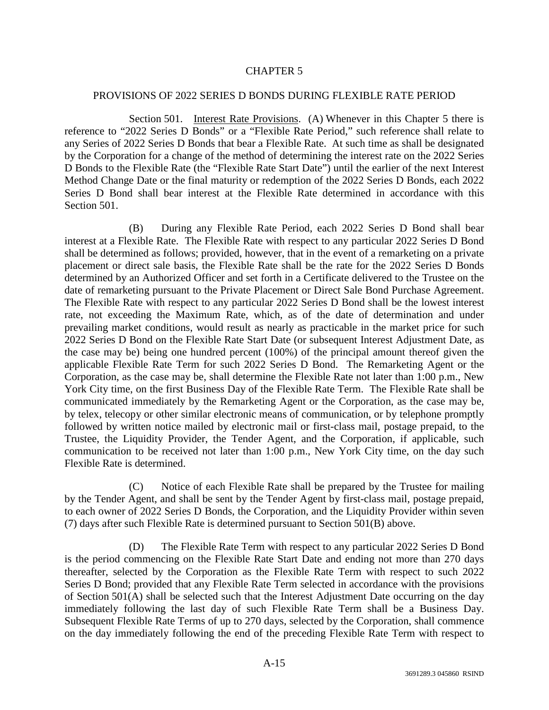## CHAPTER 5

#### PROVISIONS OF 2022 SERIES D BONDS DURING FLEXIBLE RATE PERIOD

Section 501. Interest Rate Provisions. (A) Whenever in this Chapter 5 there is reference to "2022 Series D Bonds" or a "Flexible Rate Period," such reference shall relate to any Series of 2022 Series D Bonds that bear a Flexible Rate. At such time as shall be designated by the Corporation for a change of the method of determining the interest rate on the 2022 Series D Bonds to the Flexible Rate (the "Flexible Rate Start Date") until the earlier of the next Interest Method Change Date or the final maturity or redemption of the 2022 Series D Bonds, each 2022 Series D Bond shall bear interest at the Flexible Rate determined in accordance with this Section 501.

(B) During any Flexible Rate Period, each 2022 Series D Bond shall bear interest at a Flexible Rate. The Flexible Rate with respect to any particular 2022 Series D Bond shall be determined as follows; provided, however, that in the event of a remarketing on a private placement or direct sale basis, the Flexible Rate shall be the rate for the 2022 Series D Bonds determined by an Authorized Officer and set forth in a Certificate delivered to the Trustee on the date of remarketing pursuant to the Private Placement or Direct Sale Bond Purchase Agreement. The Flexible Rate with respect to any particular 2022 Series D Bond shall be the lowest interest rate, not exceeding the Maximum Rate, which, as of the date of determination and under prevailing market conditions, would result as nearly as practicable in the market price for such 2022 Series D Bond on the Flexible Rate Start Date (or subsequent Interest Adjustment Date, as the case may be) being one hundred percent (100%) of the principal amount thereof given the applicable Flexible Rate Term for such 2022 Series D Bond. The Remarketing Agent or the Corporation, as the case may be, shall determine the Flexible Rate not later than 1:00 p.m., New York City time, on the first Business Day of the Flexible Rate Term. The Flexible Rate shall be communicated immediately by the Remarketing Agent or the Corporation, as the case may be, by telex, telecopy or other similar electronic means of communication, or by telephone promptly followed by written notice mailed by electronic mail or first-class mail, postage prepaid, to the Trustee, the Liquidity Provider, the Tender Agent, and the Corporation, if applicable, such communication to be received not later than 1:00 p.m., New York City time, on the day such Flexible Rate is determined.

(C) Notice of each Flexible Rate shall be prepared by the Trustee for mailing by the Tender Agent, and shall be sent by the Tender Agent by first-class mail, postage prepaid, to each owner of 2022 Series D Bonds, the Corporation, and the Liquidity Provider within seven (7) days after such Flexible Rate is determined pursuant to Section 501(B) above.

(D) The Flexible Rate Term with respect to any particular 2022 Series D Bond is the period commencing on the Flexible Rate Start Date and ending not more than 270 days thereafter, selected by the Corporation as the Flexible Rate Term with respect to such 2022 Series D Bond; provided that any Flexible Rate Term selected in accordance with the provisions of Section 501(A) shall be selected such that the Interest Adjustment Date occurring on the day immediately following the last day of such Flexible Rate Term shall be a Business Day. Subsequent Flexible Rate Terms of up to 270 days, selected by the Corporation, shall commence on the day immediately following the end of the preceding Flexible Rate Term with respect to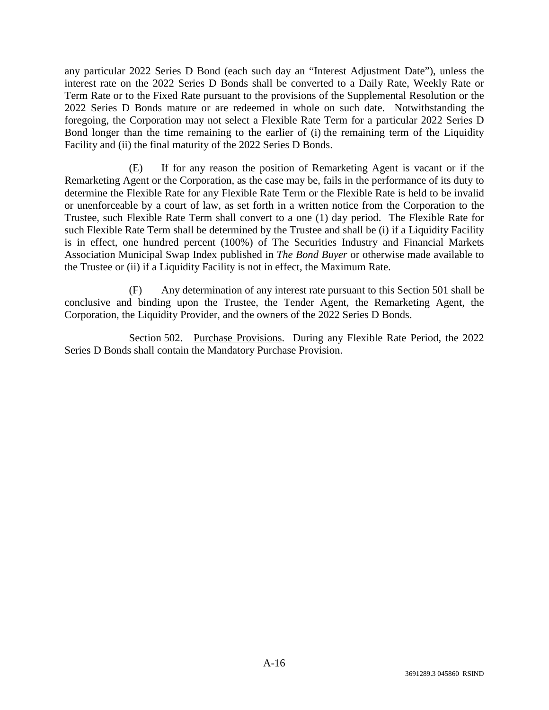any particular 2022 Series D Bond (each such day an "Interest Adjustment Date"), unless the interest rate on the 2022 Series D Bonds shall be converted to a Daily Rate, Weekly Rate or Term Rate or to the Fixed Rate pursuant to the provisions of the Supplemental Resolution or the 2022 Series D Bonds mature or are redeemed in whole on such date. Notwithstanding the foregoing, the Corporation may not select a Flexible Rate Term for a particular 2022 Series D Bond longer than the time remaining to the earlier of (i) the remaining term of the Liquidity Facility and (ii) the final maturity of the 2022 Series D Bonds.

(E) If for any reason the position of Remarketing Agent is vacant or if the Remarketing Agent or the Corporation, as the case may be, fails in the performance of its duty to determine the Flexible Rate for any Flexible Rate Term or the Flexible Rate is held to be invalid or unenforceable by a court of law, as set forth in a written notice from the Corporation to the Trustee, such Flexible Rate Term shall convert to a one (1) day period. The Flexible Rate for such Flexible Rate Term shall be determined by the Trustee and shall be (i) if a Liquidity Facility is in effect, one hundred percent (100%) of The Securities Industry and Financial Markets Association Municipal Swap Index published in *The Bond Buyer* or otherwise made available to the Trustee or (ii) if a Liquidity Facility is not in effect, the Maximum Rate.

(F) Any determination of any interest rate pursuant to this Section 501 shall be conclusive and binding upon the Trustee, the Tender Agent, the Remarketing Agent, the Corporation, the Liquidity Provider, and the owners of the 2022 Series D Bonds.

Section 502. Purchase Provisions. During any Flexible Rate Period, the 2022 Series D Bonds shall contain the Mandatory Purchase Provision.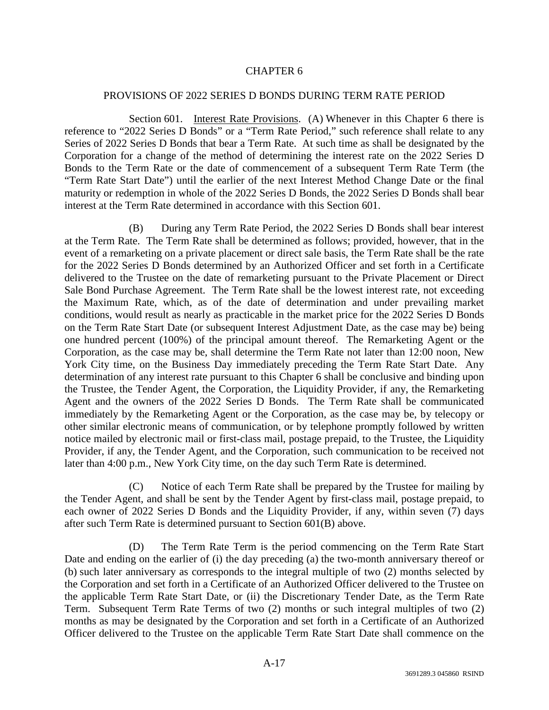## CHAPTER 6

#### PROVISIONS OF 2022 SERIES D BONDS DURING TERM RATE PERIOD

Section 601. Interest Rate Provisions. (A) Whenever in this Chapter 6 there is reference to "2022 Series D Bonds" or a "Term Rate Period," such reference shall relate to any Series of 2022 Series D Bonds that bear a Term Rate. At such time as shall be designated by the Corporation for a change of the method of determining the interest rate on the 2022 Series D Bonds to the Term Rate or the date of commencement of a subsequent Term Rate Term (the "Term Rate Start Date") until the earlier of the next Interest Method Change Date or the final maturity or redemption in whole of the 2022 Series D Bonds, the 2022 Series D Bonds shall bear interest at the Term Rate determined in accordance with this Section 601.

(B) During any Term Rate Period, the 2022 Series D Bonds shall bear interest at the Term Rate. The Term Rate shall be determined as follows; provided, however, that in the event of a remarketing on a private placement or direct sale basis, the Term Rate shall be the rate for the 2022 Series D Bonds determined by an Authorized Officer and set forth in a Certificate delivered to the Trustee on the date of remarketing pursuant to the Private Placement or Direct Sale Bond Purchase Agreement. The Term Rate shall be the lowest interest rate, not exceeding the Maximum Rate, which, as of the date of determination and under prevailing market conditions, would result as nearly as practicable in the market price for the 2022 Series D Bonds on the Term Rate Start Date (or subsequent Interest Adjustment Date, as the case may be) being one hundred percent (100%) of the principal amount thereof. The Remarketing Agent or the Corporation, as the case may be, shall determine the Term Rate not later than 12:00 noon, New York City time, on the Business Day immediately preceding the Term Rate Start Date. Any determination of any interest rate pursuant to this Chapter 6 shall be conclusive and binding upon the Trustee, the Tender Agent, the Corporation, the Liquidity Provider, if any, the Remarketing Agent and the owners of the 2022 Series D Bonds. The Term Rate shall be communicated immediately by the Remarketing Agent or the Corporation, as the case may be, by telecopy or other similar electronic means of communication, or by telephone promptly followed by written notice mailed by electronic mail or first-class mail, postage prepaid, to the Trustee, the Liquidity Provider, if any, the Tender Agent, and the Corporation, such communication to be received not later than 4:00 p.m., New York City time, on the day such Term Rate is determined.

(C) Notice of each Term Rate shall be prepared by the Trustee for mailing by the Tender Agent, and shall be sent by the Tender Agent by first-class mail, postage prepaid, to each owner of 2022 Series D Bonds and the Liquidity Provider, if any, within seven (7) days after such Term Rate is determined pursuant to Section 601(B) above.

(D) The Term Rate Term is the period commencing on the Term Rate Start Date and ending on the earlier of (i) the day preceding (a) the two-month anniversary thereof or (b) such later anniversary as corresponds to the integral multiple of two (2) months selected by the Corporation and set forth in a Certificate of an Authorized Officer delivered to the Trustee on the applicable Term Rate Start Date, or (ii) the Discretionary Tender Date, as the Term Rate Term. Subsequent Term Rate Terms of two (2) months or such integral multiples of two (2) months as may be designated by the Corporation and set forth in a Certificate of an Authorized Officer delivered to the Trustee on the applicable Term Rate Start Date shall commence on the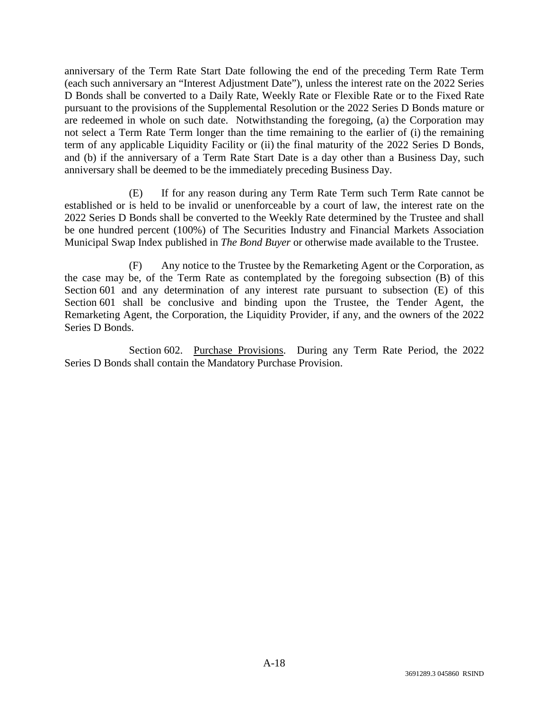anniversary of the Term Rate Start Date following the end of the preceding Term Rate Term (each such anniversary an "Interest Adjustment Date"), unless the interest rate on the 2022 Series D Bonds shall be converted to a Daily Rate, Weekly Rate or Flexible Rate or to the Fixed Rate pursuant to the provisions of the Supplemental Resolution or the 2022 Series D Bonds mature or are redeemed in whole on such date. Notwithstanding the foregoing, (a) the Corporation may not select a Term Rate Term longer than the time remaining to the earlier of (i) the remaining term of any applicable Liquidity Facility or (ii) the final maturity of the 2022 Series D Bonds, and (b) if the anniversary of a Term Rate Start Date is a day other than a Business Day, such anniversary shall be deemed to be the immediately preceding Business Day.

(E) If for any reason during any Term Rate Term such Term Rate cannot be established or is held to be invalid or unenforceable by a court of law, the interest rate on the 2022 Series D Bonds shall be converted to the Weekly Rate determined by the Trustee and shall be one hundred percent (100%) of The Securities Industry and Financial Markets Association Municipal Swap Index published in *The Bond Buyer* or otherwise made available to the Trustee.

(F) Any notice to the Trustee by the Remarketing Agent or the Corporation, as the case may be, of the Term Rate as contemplated by the foregoing subsection (B) of this Section 601 and any determination of any interest rate pursuant to subsection (E) of this Section 601 shall be conclusive and binding upon the Trustee, the Tender Agent, the Remarketing Agent, the Corporation, the Liquidity Provider, if any, and the owners of the 2022 Series D Bonds.

Section 602. Purchase Provisions. During any Term Rate Period, the 2022 Series D Bonds shall contain the Mandatory Purchase Provision.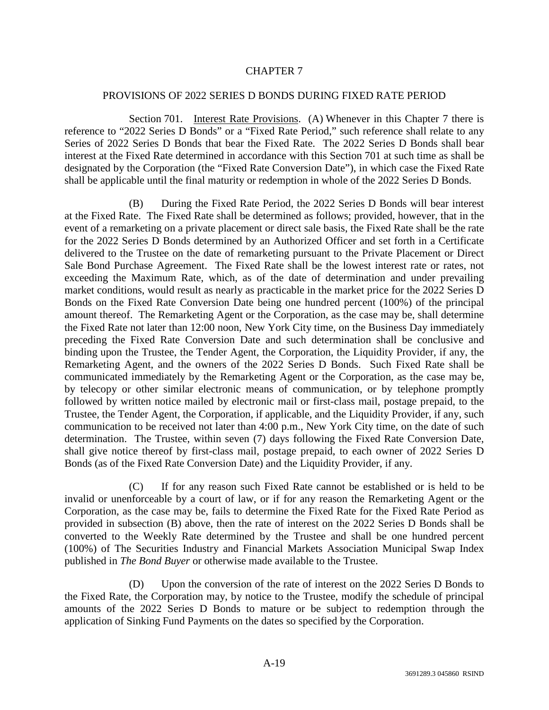## CHAPTER 7

#### PROVISIONS OF 2022 SERIES D BONDS DURING FIXED RATE PERIOD

Section 701. Interest Rate Provisions. (A) Whenever in this Chapter 7 there is reference to "2022 Series D Bonds" or a "Fixed Rate Period," such reference shall relate to any Series of 2022 Series D Bonds that bear the Fixed Rate. The 2022 Series D Bonds shall bear interest at the Fixed Rate determined in accordance with this Section 701 at such time as shall be designated by the Corporation (the "Fixed Rate Conversion Date"), in which case the Fixed Rate shall be applicable until the final maturity or redemption in whole of the 2022 Series D Bonds.

(B) During the Fixed Rate Period, the 2022 Series D Bonds will bear interest at the Fixed Rate. The Fixed Rate shall be determined as follows; provided, however, that in the event of a remarketing on a private placement or direct sale basis, the Fixed Rate shall be the rate for the 2022 Series D Bonds determined by an Authorized Officer and set forth in a Certificate delivered to the Trustee on the date of remarketing pursuant to the Private Placement or Direct Sale Bond Purchase Agreement. The Fixed Rate shall be the lowest interest rate or rates, not exceeding the Maximum Rate, which, as of the date of determination and under prevailing market conditions, would result as nearly as practicable in the market price for the 2022 Series D Bonds on the Fixed Rate Conversion Date being one hundred percent (100%) of the principal amount thereof. The Remarketing Agent or the Corporation, as the case may be, shall determine the Fixed Rate not later than 12:00 noon, New York City time, on the Business Day immediately preceding the Fixed Rate Conversion Date and such determination shall be conclusive and binding upon the Trustee, the Tender Agent, the Corporation, the Liquidity Provider, if any, the Remarketing Agent, and the owners of the 2022 Series D Bonds. Such Fixed Rate shall be communicated immediately by the Remarketing Agent or the Corporation, as the case may be, by telecopy or other similar electronic means of communication, or by telephone promptly followed by written notice mailed by electronic mail or first-class mail, postage prepaid, to the Trustee, the Tender Agent, the Corporation, if applicable, and the Liquidity Provider, if any, such communication to be received not later than 4:00 p.m., New York City time, on the date of such determination. The Trustee, within seven (7) days following the Fixed Rate Conversion Date, shall give notice thereof by first-class mail, postage prepaid, to each owner of 2022 Series D Bonds (as of the Fixed Rate Conversion Date) and the Liquidity Provider, if any.

(C) If for any reason such Fixed Rate cannot be established or is held to be invalid or unenforceable by a court of law, or if for any reason the Remarketing Agent or the Corporation, as the case may be, fails to determine the Fixed Rate for the Fixed Rate Period as provided in subsection (B) above, then the rate of interest on the 2022 Series D Bonds shall be converted to the Weekly Rate determined by the Trustee and shall be one hundred percent (100%) of The Securities Industry and Financial Markets Association Municipal Swap Index published in *The Bond Buyer* or otherwise made available to the Trustee.

(D) Upon the conversion of the rate of interest on the 2022 Series D Bonds to the Fixed Rate, the Corporation may, by notice to the Trustee, modify the schedule of principal amounts of the 2022 Series D Bonds to mature or be subject to redemption through the application of Sinking Fund Payments on the dates so specified by the Corporation.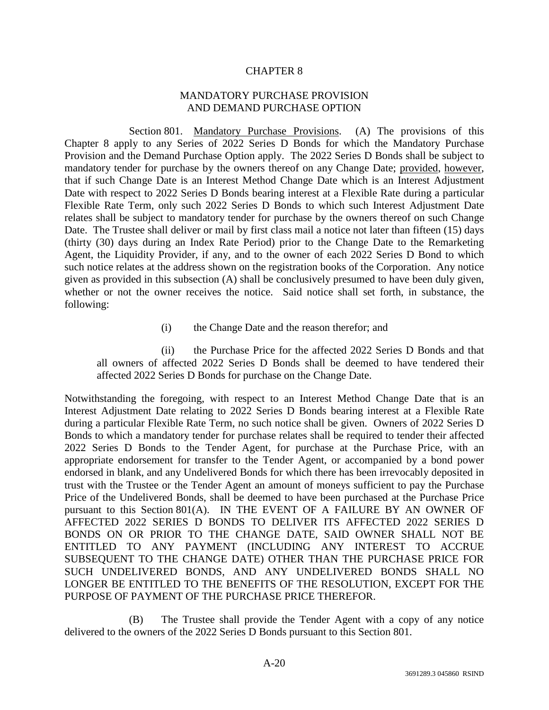#### CHAPTER 8

## MANDATORY PURCHASE PROVISION AND DEMAND PURCHASE OPTION

Section 801. Mandatory Purchase Provisions. (A) The provisions of this Chapter 8 apply to any Series of 2022 Series D Bonds for which the Mandatory Purchase Provision and the Demand Purchase Option apply. The 2022 Series D Bonds shall be subject to mandatory tender for purchase by the owners thereof on any Change Date; provided, however, that if such Change Date is an Interest Method Change Date which is an Interest Adjustment Date with respect to 2022 Series D Bonds bearing interest at a Flexible Rate during a particular Flexible Rate Term, only such 2022 Series D Bonds to which such Interest Adjustment Date relates shall be subject to mandatory tender for purchase by the owners thereof on such Change Date. The Trustee shall deliver or mail by first class mail a notice not later than fifteen (15) days (thirty (30) days during an Index Rate Period) prior to the Change Date to the Remarketing Agent, the Liquidity Provider, if any, and to the owner of each 2022 Series D Bond to which such notice relates at the address shown on the registration books of the Corporation. Any notice given as provided in this subsection (A) shall be conclusively presumed to have been duly given, whether or not the owner receives the notice. Said notice shall set forth, in substance, the following:

(i) the Change Date and the reason therefor; and

(ii) the Purchase Price for the affected 2022 Series D Bonds and that all owners of affected 2022 Series D Bonds shall be deemed to have tendered their affected 2022 Series D Bonds for purchase on the Change Date.

Notwithstanding the foregoing, with respect to an Interest Method Change Date that is an Interest Adjustment Date relating to 2022 Series D Bonds bearing interest at a Flexible Rate during a particular Flexible Rate Term, no such notice shall be given. Owners of 2022 Series D Bonds to which a mandatory tender for purchase relates shall be required to tender their affected 2022 Series D Bonds to the Tender Agent, for purchase at the Purchase Price, with an appropriate endorsement for transfer to the Tender Agent, or accompanied by a bond power endorsed in blank, and any Undelivered Bonds for which there has been irrevocably deposited in trust with the Trustee or the Tender Agent an amount of moneys sufficient to pay the Purchase Price of the Undelivered Bonds, shall be deemed to have been purchased at the Purchase Price pursuant to this Section 801(A). IN THE EVENT OF A FAILURE BY AN OWNER OF AFFECTED 2022 SERIES D BONDS TO DELIVER ITS AFFECTED 2022 SERIES D BONDS ON OR PRIOR TO THE CHANGE DATE, SAID OWNER SHALL NOT BE ENTITLED TO ANY PAYMENT (INCLUDING ANY INTEREST TO ACCRUE SUBSEQUENT TO THE CHANGE DATE) OTHER THAN THE PURCHASE PRICE FOR SUCH UNDELIVERED BONDS, AND ANY UNDELIVERED BONDS SHALL NO LONGER BE ENTITLED TO THE BENEFITS OF THE RESOLUTION, EXCEPT FOR THE PURPOSE OF PAYMENT OF THE PURCHASE PRICE THEREFOR.

(B) The Trustee shall provide the Tender Agent with a copy of any notice delivered to the owners of the 2022 Series D Bonds pursuant to this Section 801.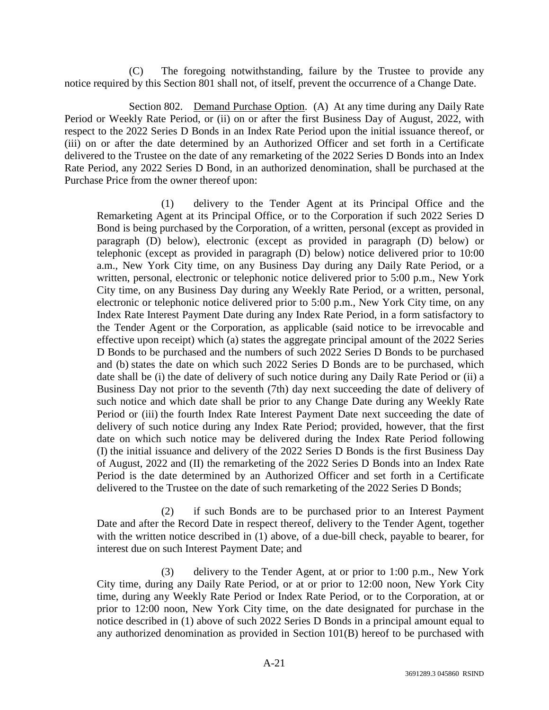(C) The foregoing notwithstanding, failure by the Trustee to provide any notice required by this Section 801 shall not, of itself, prevent the occurrence of a Change Date.

Section 802. Demand Purchase Option. (A) At any time during any Daily Rate Period or Weekly Rate Period, or (ii) on or after the first Business Day of August, 2022, with respect to the 2022 Series D Bonds in an Index Rate Period upon the initial issuance thereof, or (iii) on or after the date determined by an Authorized Officer and set forth in a Certificate delivered to the Trustee on the date of any remarketing of the 2022 Series D Bonds into an Index Rate Period, any 2022 Series D Bond, in an authorized denomination, shall be purchased at the Purchase Price from the owner thereof upon:

(1) delivery to the Tender Agent at its Principal Office and the Remarketing Agent at its Principal Office, or to the Corporation if such 2022 Series D Bond is being purchased by the Corporation, of a written, personal (except as provided in paragraph (D) below), electronic (except as provided in paragraph (D) below) or telephonic (except as provided in paragraph (D) below) notice delivered prior to 10:00 a.m., New York City time, on any Business Day during any Daily Rate Period, or a written, personal, electronic or telephonic notice delivered prior to 5:00 p.m., New York City time, on any Business Day during any Weekly Rate Period, or a written, personal, electronic or telephonic notice delivered prior to 5:00 p.m., New York City time, on any Index Rate Interest Payment Date during any Index Rate Period, in a form satisfactory to the Tender Agent or the Corporation, as applicable (said notice to be irrevocable and effective upon receipt) which (a) states the aggregate principal amount of the 2022 Series D Bonds to be purchased and the numbers of such 2022 Series D Bonds to be purchased and (b) states the date on which such 2022 Series D Bonds are to be purchased, which date shall be (i) the date of delivery of such notice during any Daily Rate Period or (ii) a Business Day not prior to the seventh (7th) day next succeeding the date of delivery of such notice and which date shall be prior to any Change Date during any Weekly Rate Period or (iii) the fourth Index Rate Interest Payment Date next succeeding the date of delivery of such notice during any Index Rate Period; provided, however, that the first date on which such notice may be delivered during the Index Rate Period following (I) the initial issuance and delivery of the 2022 Series D Bonds is the first Business Day of August, 2022 and (II) the remarketing of the 2022 Series D Bonds into an Index Rate Period is the date determined by an Authorized Officer and set forth in a Certificate delivered to the Trustee on the date of such remarketing of the 2022 Series D Bonds;

(2) if such Bonds are to be purchased prior to an Interest Payment Date and after the Record Date in respect thereof, delivery to the Tender Agent, together with the written notice described in (1) above, of a due-bill check, payable to bearer, for interest due on such Interest Payment Date; and

(3) delivery to the Tender Agent, at or prior to 1:00 p.m., New York City time, during any Daily Rate Period, or at or prior to 12:00 noon, New York City time, during any Weekly Rate Period or Index Rate Period, or to the Corporation, at or prior to 12:00 noon, New York City time, on the date designated for purchase in the notice described in (1) above of such 2022 Series D Bonds in a principal amount equal to any authorized denomination as provided in Section 101(B) hereof to be purchased with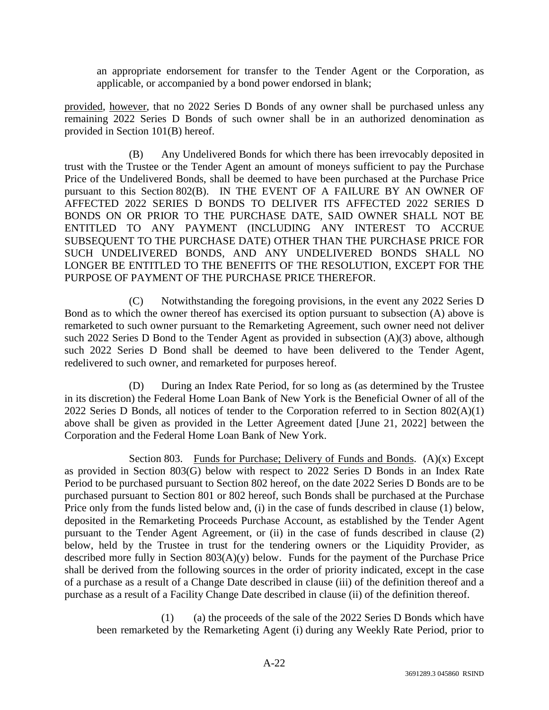an appropriate endorsement for transfer to the Tender Agent or the Corporation, as applicable, or accompanied by a bond power endorsed in blank;

provided, however, that no 2022 Series D Bonds of any owner shall be purchased unless any remaining 2022 Series D Bonds of such owner shall be in an authorized denomination as provided in Section 101(B) hereof.

(B) Any Undelivered Bonds for which there has been irrevocably deposited in trust with the Trustee or the Tender Agent an amount of moneys sufficient to pay the Purchase Price of the Undelivered Bonds, shall be deemed to have been purchased at the Purchase Price pursuant to this Section 802(B). IN THE EVENT OF A FAILURE BY AN OWNER OF AFFECTED 2022 SERIES D BONDS TO DELIVER ITS AFFECTED 2022 SERIES D BONDS ON OR PRIOR TO THE PURCHASE DATE, SAID OWNER SHALL NOT BE ENTITLED TO ANY PAYMENT (INCLUDING ANY INTEREST TO ACCRUE SUBSEQUENT TO THE PURCHASE DATE) OTHER THAN THE PURCHASE PRICE FOR SUCH UNDELIVERED BONDS, AND ANY UNDELIVERED BONDS SHALL NO LONGER BE ENTITLED TO THE BENEFITS OF THE RESOLUTION, EXCEPT FOR THE PURPOSE OF PAYMENT OF THE PURCHASE PRICE THEREFOR.

(C) Notwithstanding the foregoing provisions, in the event any 2022 Series D Bond as to which the owner thereof has exercised its option pursuant to subsection (A) above is remarketed to such owner pursuant to the Remarketing Agreement, such owner need not deliver such 2022 Series D Bond to the Tender Agent as provided in subsection (A)(3) above, although such 2022 Series D Bond shall be deemed to have been delivered to the Tender Agent, redelivered to such owner, and remarketed for purposes hereof.

(D) During an Index Rate Period, for so long as (as determined by the Trustee in its discretion) the Federal Home Loan Bank of New York is the Beneficial Owner of all of the 2022 Series D Bonds, all notices of tender to the Corporation referred to in Section 802(A)(1) above shall be given as provided in the Letter Agreement dated [June 21, 2022] between the Corporation and the Federal Home Loan Bank of New York.

Section 803. Funds for Purchase; Delivery of Funds and Bonds.  $(A)(x)$  Except as provided in Section 803(G) below with respect to 2022 Series D Bonds in an Index Rate Period to be purchased pursuant to Section 802 hereof, on the date 2022 Series D Bonds are to be purchased pursuant to Section 801 or 802 hereof, such Bonds shall be purchased at the Purchase Price only from the funds listed below and, (i) in the case of funds described in clause (1) below, deposited in the Remarketing Proceeds Purchase Account, as established by the Tender Agent pursuant to the Tender Agent Agreement, or (ii) in the case of funds described in clause (2) below, held by the Trustee in trust for the tendering owners or the Liquidity Provider, as described more fully in Section  $803(A)(y)$  below. Funds for the payment of the Purchase Price shall be derived from the following sources in the order of priority indicated, except in the case of a purchase as a result of a Change Date described in clause (iii) of the definition thereof and a purchase as a result of a Facility Change Date described in clause (ii) of the definition thereof.

(1) (a) the proceeds of the sale of the 2022 Series D Bonds which have been remarketed by the Remarketing Agent (i) during any Weekly Rate Period, prior to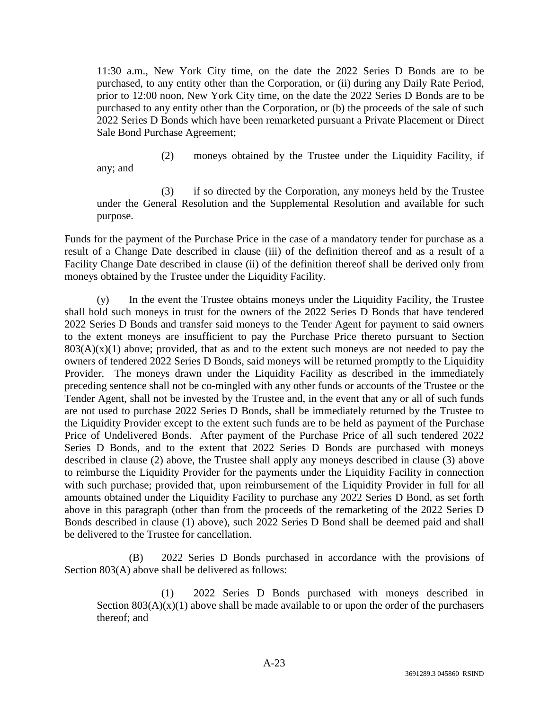11:30 a.m., New York City time, on the date the 2022 Series D Bonds are to be purchased, to any entity other than the Corporation, or (ii) during any Daily Rate Period, prior to 12:00 noon, New York City time, on the date the 2022 Series D Bonds are to be purchased to any entity other than the Corporation, or (b) the proceeds of the sale of such 2022 Series D Bonds which have been remarketed pursuant a Private Placement or Direct Sale Bond Purchase Agreement;

(2) moneys obtained by the Trustee under the Liquidity Facility, if any; and

(3) if so directed by the Corporation, any moneys held by the Trustee under the General Resolution and the Supplemental Resolution and available for such purpose.

Funds for the payment of the Purchase Price in the case of a mandatory tender for purchase as a result of a Change Date described in clause (iii) of the definition thereof and as a result of a Facility Change Date described in clause (ii) of the definition thereof shall be derived only from moneys obtained by the Trustee under the Liquidity Facility.

(y) In the event the Trustee obtains moneys under the Liquidity Facility, the Trustee shall hold such moneys in trust for the owners of the 2022 Series D Bonds that have tendered 2022 Series D Bonds and transfer said moneys to the Tender Agent for payment to said owners to the extent moneys are insufficient to pay the Purchase Price thereto pursuant to Section  $803(A)(x)(1)$  above; provided, that as and to the extent such moneys are not needed to pay the owners of tendered 2022 Series D Bonds, said moneys will be returned promptly to the Liquidity Provider. The moneys drawn under the Liquidity Facility as described in the immediately preceding sentence shall not be co-mingled with any other funds or accounts of the Trustee or the Tender Agent, shall not be invested by the Trustee and, in the event that any or all of such funds are not used to purchase 2022 Series D Bonds, shall be immediately returned by the Trustee to the Liquidity Provider except to the extent such funds are to be held as payment of the Purchase Price of Undelivered Bonds. After payment of the Purchase Price of all such tendered 2022 Series D Bonds, and to the extent that 2022 Series D Bonds are purchased with moneys described in clause (2) above, the Trustee shall apply any moneys described in clause (3) above to reimburse the Liquidity Provider for the payments under the Liquidity Facility in connection with such purchase; provided that, upon reimbursement of the Liquidity Provider in full for all amounts obtained under the Liquidity Facility to purchase any 2022 Series D Bond, as set forth above in this paragraph (other than from the proceeds of the remarketing of the 2022 Series D Bonds described in clause (1) above), such 2022 Series D Bond shall be deemed paid and shall be delivered to the Trustee for cancellation.

(B) 2022 Series D Bonds purchased in accordance with the provisions of Section 803(A) above shall be delivered as follows:

(1) 2022 Series D Bonds purchased with moneys described in Section  $803(A)(x)(1)$  above shall be made available to or upon the order of the purchasers thereof; and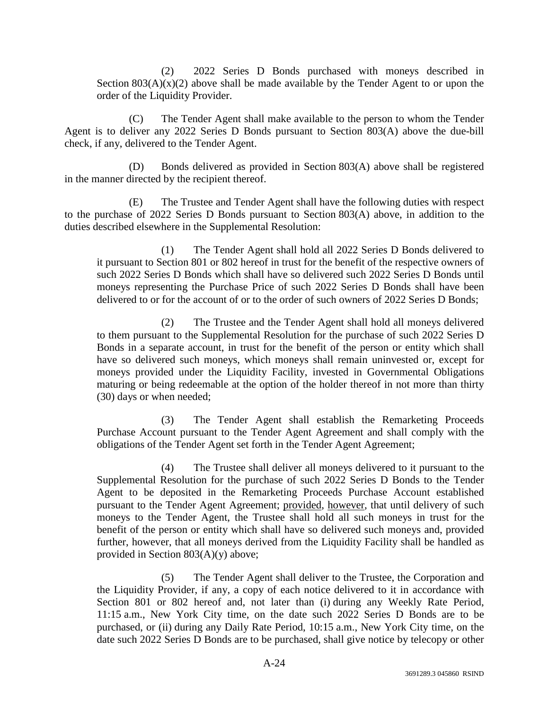(2) 2022 Series D Bonds purchased with moneys described in Section  $803(A)(x)(2)$  above shall be made available by the Tender Agent to or upon the order of the Liquidity Provider.

(C) The Tender Agent shall make available to the person to whom the Tender Agent is to deliver any 2022 Series D Bonds pursuant to Section 803(A) above the due-bill check, if any, delivered to the Tender Agent.

(D) Bonds delivered as provided in Section 803(A) above shall be registered in the manner directed by the recipient thereof.

(E) The Trustee and Tender Agent shall have the following duties with respect to the purchase of 2022 Series D Bonds pursuant to Section 803(A) above, in addition to the duties described elsewhere in the Supplemental Resolution:

(1) The Tender Agent shall hold all 2022 Series D Bonds delivered to it pursuant to Section 801 or 802 hereof in trust for the benefit of the respective owners of such 2022 Series D Bonds which shall have so delivered such 2022 Series D Bonds until moneys representing the Purchase Price of such 2022 Series D Bonds shall have been delivered to or for the account of or to the order of such owners of 2022 Series D Bonds;

(2) The Trustee and the Tender Agent shall hold all moneys delivered to them pursuant to the Supplemental Resolution for the purchase of such 2022 Series D Bonds in a separate account, in trust for the benefit of the person or entity which shall have so delivered such moneys, which moneys shall remain uninvested or, except for moneys provided under the Liquidity Facility, invested in Governmental Obligations maturing or being redeemable at the option of the holder thereof in not more than thirty (30) days or when needed;

(3) The Tender Agent shall establish the Remarketing Proceeds Purchase Account pursuant to the Tender Agent Agreement and shall comply with the obligations of the Tender Agent set forth in the Tender Agent Agreement;

(4) The Trustee shall deliver all moneys delivered to it pursuant to the Supplemental Resolution for the purchase of such 2022 Series D Bonds to the Tender Agent to be deposited in the Remarketing Proceeds Purchase Account established pursuant to the Tender Agent Agreement; provided, however, that until delivery of such moneys to the Tender Agent, the Trustee shall hold all such moneys in trust for the benefit of the person or entity which shall have so delivered such moneys and, provided further, however, that all moneys derived from the Liquidity Facility shall be handled as provided in Section 803(A)(y) above;

(5) The Tender Agent shall deliver to the Trustee, the Corporation and the Liquidity Provider, if any, a copy of each notice delivered to it in accordance with Section 801 or 802 hereof and, not later than (i) during any Weekly Rate Period, 11:15 a.m., New York City time, on the date such 2022 Series D Bonds are to be purchased, or (ii) during any Daily Rate Period, 10:15 a.m., New York City time, on the date such 2022 Series D Bonds are to be purchased, shall give notice by telecopy or other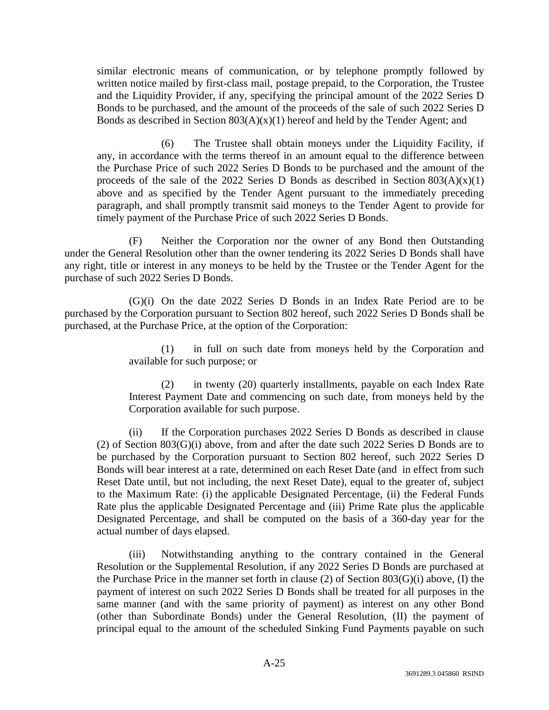similar electronic means of communication, or by telephone promptly followed by written notice mailed by first-class mail, postage prepaid, to the Corporation, the Trustee and the Liquidity Provider, if any, specifying the principal amount of the 2022 Series D Bonds to be purchased, and the amount of the proceeds of the sale of such 2022 Series D Bonds as described in Section  $803(A)(x)(1)$  hereof and held by the Tender Agent; and

(6) The Trustee shall obtain moneys under the Liquidity Facility, if any, in accordance with the terms thereof in an amount equal to the difference between the Purchase Price of such 2022 Series D Bonds to be purchased and the amount of the proceeds of the sale of the 2022 Series D Bonds as described in Section  $803(A)(x)(1)$ above and as specified by the Tender Agent pursuant to the immediately preceding paragraph, and shall promptly transmit said moneys to the Tender Agent to provide for timely payment of the Purchase Price of such 2022 Series D Bonds.

(F) Neither the Corporation nor the owner of any Bond then Outstanding under the General Resolution other than the owner tendering its 2022 Series D Bonds shall have any right, title or interest in any moneys to be held by the Trustee or the Tender Agent for the purchase of such 2022 Series D Bonds.

(G)(i) On the date 2022 Series D Bonds in an Index Rate Period are to be purchased by the Corporation pursuant to Section 802 hereof, such 2022 Series D Bonds shall be purchased, at the Purchase Price, at the option of the Corporation:

> (1) in full on such date from moneys held by the Corporation and available for such purpose; or

> (2) in twenty (20) quarterly installments, payable on each Index Rate Interest Payment Date and commencing on such date, from moneys held by the Corporation available for such purpose.

(ii) If the Corporation purchases 2022 Series D Bonds as described in clause (2) of Section 803(G)(i) above, from and after the date such 2022 Series D Bonds are to be purchased by the Corporation pursuant to Section 802 hereof, such 2022 Series D Bonds will bear interest at a rate, determined on each Reset Date (and in effect from such Reset Date until, but not including, the next Reset Date), equal to the greater of, subject to the Maximum Rate: (i) the applicable Designated Percentage, (ii) the Federal Funds Rate plus the applicable Designated Percentage and (iii) Prime Rate plus the applicable Designated Percentage, and shall be computed on the basis of a 360-day year for the actual number of days elapsed.

(iii) Notwithstanding anything to the contrary contained in the General Resolution or the Supplemental Resolution, if any 2022 Series D Bonds are purchased at the Purchase Price in the manner set forth in clause (2) of Section 803(G)(i) above, (I) the payment of interest on such 2022 Series D Bonds shall be treated for all purposes in the same manner (and with the same priority of payment) as interest on any other Bond (other than Subordinate Bonds) under the General Resolution, (II) the payment of principal equal to the amount of the scheduled Sinking Fund Payments payable on such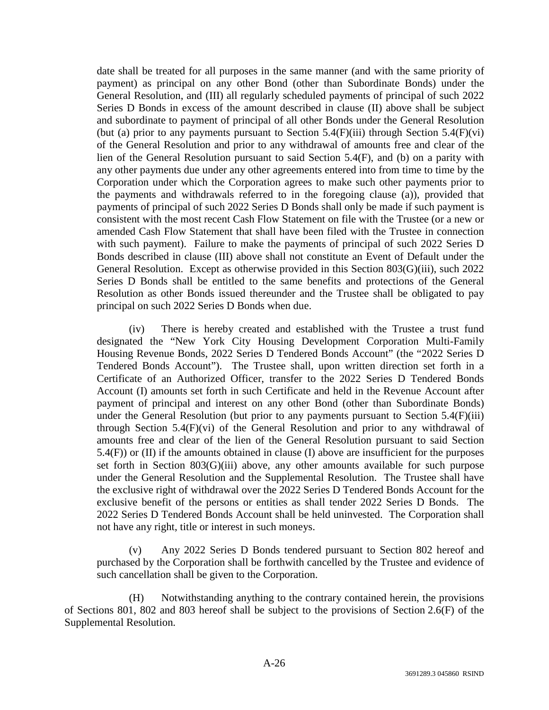date shall be treated for all purposes in the same manner (and with the same priority of payment) as principal on any other Bond (other than Subordinate Bonds) under the General Resolution, and (III) all regularly scheduled payments of principal of such 2022 Series D Bonds in excess of the amount described in clause (II) above shall be subject and subordinate to payment of principal of all other Bonds under the General Resolution (but (a) prior to any payments pursuant to Section  $5.4(F)$ (iii) through Section  $5.4(F)$ (vi) of the General Resolution and prior to any withdrawal of amounts free and clear of the lien of the General Resolution pursuant to said Section 5.4(F), and (b) on a parity with any other payments due under any other agreements entered into from time to time by the Corporation under which the Corporation agrees to make such other payments prior to the payments and withdrawals referred to in the foregoing clause (a)), provided that payments of principal of such 2022 Series D Bonds shall only be made if such payment is consistent with the most recent Cash Flow Statement on file with the Trustee (or a new or amended Cash Flow Statement that shall have been filed with the Trustee in connection with such payment). Failure to make the payments of principal of such 2022 Series D Bonds described in clause (III) above shall not constitute an Event of Default under the General Resolution. Except as otherwise provided in this Section 803(G)(iii), such 2022 Series D Bonds shall be entitled to the same benefits and protections of the General Resolution as other Bonds issued thereunder and the Trustee shall be obligated to pay principal on such 2022 Series D Bonds when due.

(iv) There is hereby created and established with the Trustee a trust fund designated the "New York City Housing Development Corporation Multi-Family Housing Revenue Bonds, 2022 Series D Tendered Bonds Account" (the "2022 Series D Tendered Bonds Account"). The Trustee shall, upon written direction set forth in a Certificate of an Authorized Officer, transfer to the 2022 Series D Tendered Bonds Account (I) amounts set forth in such Certificate and held in the Revenue Account after payment of principal and interest on any other Bond (other than Subordinate Bonds) under the General Resolution (but prior to any payments pursuant to Section 5.4(F)(iii) through Section 5.4(F)(vi) of the General Resolution and prior to any withdrawal of amounts free and clear of the lien of the General Resolution pursuant to said Section 5.4(F)) or (II) if the amounts obtained in clause (I) above are insufficient for the purposes set forth in Section 803(G)(iii) above, any other amounts available for such purpose under the General Resolution and the Supplemental Resolution. The Trustee shall have the exclusive right of withdrawal over the 2022 Series D Tendered Bonds Account for the exclusive benefit of the persons or entities as shall tender 2022 Series D Bonds. The 2022 Series D Tendered Bonds Account shall be held uninvested. The Corporation shall not have any right, title or interest in such moneys.

(v) Any 2022 Series D Bonds tendered pursuant to Section 802 hereof and purchased by the Corporation shall be forthwith cancelled by the Trustee and evidence of such cancellation shall be given to the Corporation.

(H) Notwithstanding anything to the contrary contained herein, the provisions of Sections 801, 802 and 803 hereof shall be subject to the provisions of Section 2.6(F) of the Supplemental Resolution.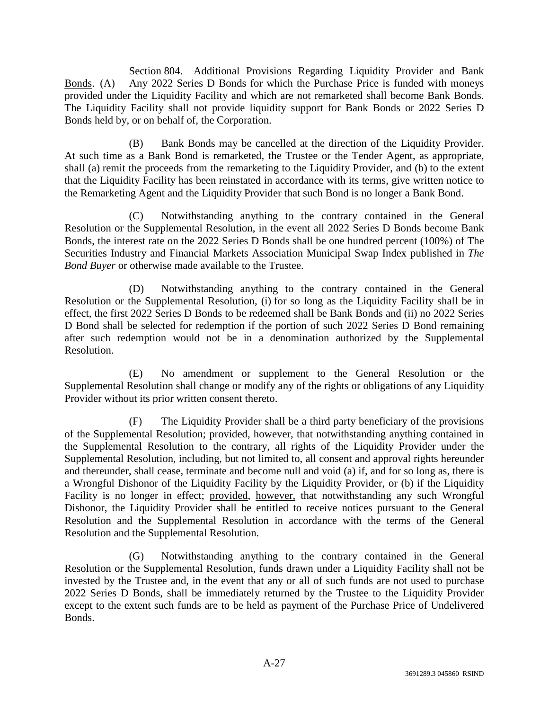Section 804. Additional Provisions Regarding Liquidity Provider and Bank Bonds. (A) Any 2022 Series D Bonds for which the Purchase Price is funded with moneys provided under the Liquidity Facility and which are not remarketed shall become Bank Bonds. The Liquidity Facility shall not provide liquidity support for Bank Bonds or 2022 Series D Bonds held by, or on behalf of, the Corporation.

(B) Bank Bonds may be cancelled at the direction of the Liquidity Provider. At such time as a Bank Bond is remarketed, the Trustee or the Tender Agent, as appropriate, shall (a) remit the proceeds from the remarketing to the Liquidity Provider, and (b) to the extent that the Liquidity Facility has been reinstated in accordance with its terms, give written notice to the Remarketing Agent and the Liquidity Provider that such Bond is no longer a Bank Bond.

(C) Notwithstanding anything to the contrary contained in the General Resolution or the Supplemental Resolution, in the event all 2022 Series D Bonds become Bank Bonds, the interest rate on the 2022 Series D Bonds shall be one hundred percent (100%) of The Securities Industry and Financial Markets Association Municipal Swap Index published in *The Bond Buyer* or otherwise made available to the Trustee.

(D) Notwithstanding anything to the contrary contained in the General Resolution or the Supplemental Resolution, (i) for so long as the Liquidity Facility shall be in effect, the first 2022 Series D Bonds to be redeemed shall be Bank Bonds and (ii) no 2022 Series D Bond shall be selected for redemption if the portion of such 2022 Series D Bond remaining after such redemption would not be in a denomination authorized by the Supplemental Resolution.

(E) No amendment or supplement to the General Resolution or the Supplemental Resolution shall change or modify any of the rights or obligations of any Liquidity Provider without its prior written consent thereto.

(F) The Liquidity Provider shall be a third party beneficiary of the provisions of the Supplemental Resolution; provided, however, that notwithstanding anything contained in the Supplemental Resolution to the contrary, all rights of the Liquidity Provider under the Supplemental Resolution, including, but not limited to, all consent and approval rights hereunder and thereunder, shall cease, terminate and become null and void (a) if, and for so long as, there is a Wrongful Dishonor of the Liquidity Facility by the Liquidity Provider, or (b) if the Liquidity Facility is no longer in effect; provided, however, that notwithstanding any such Wrongful Dishonor, the Liquidity Provider shall be entitled to receive notices pursuant to the General Resolution and the Supplemental Resolution in accordance with the terms of the General Resolution and the Supplemental Resolution.

(G) Notwithstanding anything to the contrary contained in the General Resolution or the Supplemental Resolution, funds drawn under a Liquidity Facility shall not be invested by the Trustee and, in the event that any or all of such funds are not used to purchase 2022 Series D Bonds, shall be immediately returned by the Trustee to the Liquidity Provider except to the extent such funds are to be held as payment of the Purchase Price of Undelivered Bonds.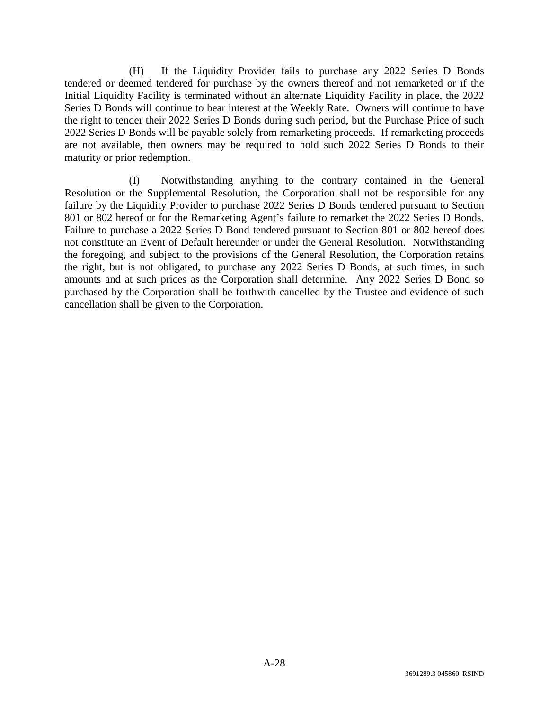(H) If the Liquidity Provider fails to purchase any 2022 Series D Bonds tendered or deemed tendered for purchase by the owners thereof and not remarketed or if the Initial Liquidity Facility is terminated without an alternate Liquidity Facility in place, the 2022 Series D Bonds will continue to bear interest at the Weekly Rate. Owners will continue to have the right to tender their 2022 Series D Bonds during such period, but the Purchase Price of such 2022 Series D Bonds will be payable solely from remarketing proceeds. If remarketing proceeds are not available, then owners may be required to hold such 2022 Series D Bonds to their maturity or prior redemption.

(I) Notwithstanding anything to the contrary contained in the General Resolution or the Supplemental Resolution, the Corporation shall not be responsible for any failure by the Liquidity Provider to purchase 2022 Series D Bonds tendered pursuant to Section 801 or 802 hereof or for the Remarketing Agent's failure to remarket the 2022 Series D Bonds. Failure to purchase a 2022 Series D Bond tendered pursuant to Section 801 or 802 hereof does not constitute an Event of Default hereunder or under the General Resolution. Notwithstanding the foregoing, and subject to the provisions of the General Resolution, the Corporation retains the right, but is not obligated, to purchase any 2022 Series D Bonds, at such times, in such amounts and at such prices as the Corporation shall determine. Any 2022 Series D Bond so purchased by the Corporation shall be forthwith cancelled by the Trustee and evidence of such cancellation shall be given to the Corporation.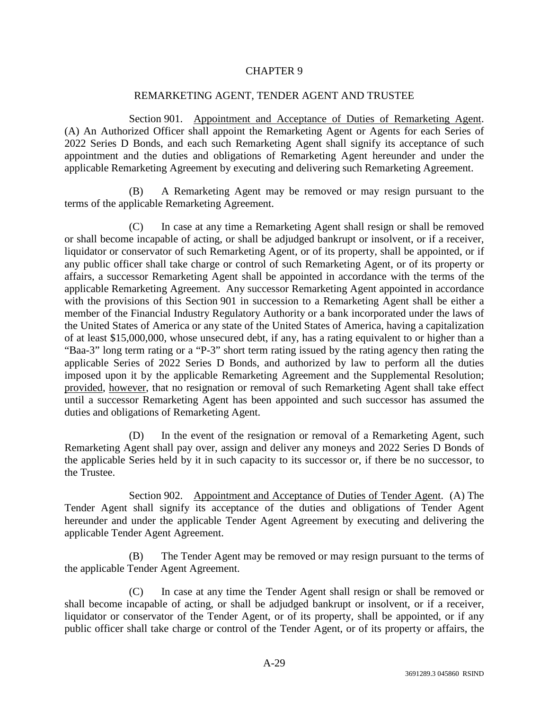## CHAPTER 9

## REMARKETING AGENT, TENDER AGENT AND TRUSTEE

Section 901. Appointment and Acceptance of Duties of Remarketing Agent. (A) An Authorized Officer shall appoint the Remarketing Agent or Agents for each Series of 2022 Series D Bonds, and each such Remarketing Agent shall signify its acceptance of such appointment and the duties and obligations of Remarketing Agent hereunder and under the applicable Remarketing Agreement by executing and delivering such Remarketing Agreement.

(B) A Remarketing Agent may be removed or may resign pursuant to the terms of the applicable Remarketing Agreement.

(C) In case at any time a Remarketing Agent shall resign or shall be removed or shall become incapable of acting, or shall be adjudged bankrupt or insolvent, or if a receiver, liquidator or conservator of such Remarketing Agent, or of its property, shall be appointed, or if any public officer shall take charge or control of such Remarketing Agent, or of its property or affairs, a successor Remarketing Agent shall be appointed in accordance with the terms of the applicable Remarketing Agreement. Any successor Remarketing Agent appointed in accordance with the provisions of this Section 901 in succession to a Remarketing Agent shall be either a member of the Financial Industry Regulatory Authority or a bank incorporated under the laws of the United States of America or any state of the United States of America, having a capitalization of at least \$15,000,000, whose unsecured debt, if any, has a rating equivalent to or higher than a "Baa-3" long term rating or a "P-3" short term rating issued by the rating agency then rating the applicable Series of 2022 Series D Bonds, and authorized by law to perform all the duties imposed upon it by the applicable Remarketing Agreement and the Supplemental Resolution; provided, however, that no resignation or removal of such Remarketing Agent shall take effect until a successor Remarketing Agent has been appointed and such successor has assumed the duties and obligations of Remarketing Agent.

(D) In the event of the resignation or removal of a Remarketing Agent, such Remarketing Agent shall pay over, assign and deliver any moneys and 2022 Series D Bonds of the applicable Series held by it in such capacity to its successor or, if there be no successor, to the Trustee.

Section 902. Appointment and Acceptance of Duties of Tender Agent. (A) The Tender Agent shall signify its acceptance of the duties and obligations of Tender Agent hereunder and under the applicable Tender Agent Agreement by executing and delivering the applicable Tender Agent Agreement.

(B) The Tender Agent may be removed or may resign pursuant to the terms of the applicable Tender Agent Agreement.

(C) In case at any time the Tender Agent shall resign or shall be removed or shall become incapable of acting, or shall be adjudged bankrupt or insolvent, or if a receiver, liquidator or conservator of the Tender Agent, or of its property, shall be appointed, or if any public officer shall take charge or control of the Tender Agent, or of its property or affairs, the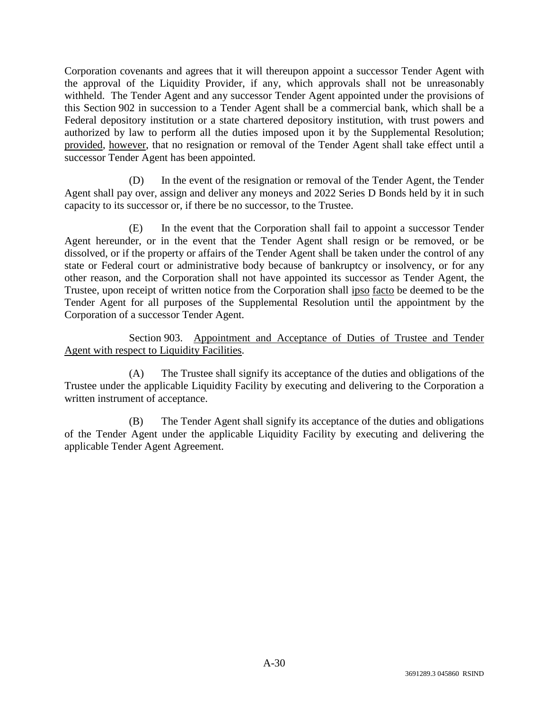Corporation covenants and agrees that it will thereupon appoint a successor Tender Agent with the approval of the Liquidity Provider, if any, which approvals shall not be unreasonably withheld. The Tender Agent and any successor Tender Agent appointed under the provisions of this Section 902 in succession to a Tender Agent shall be a commercial bank, which shall be a Federal depository institution or a state chartered depository institution, with trust powers and authorized by law to perform all the duties imposed upon it by the Supplemental Resolution; provided, however, that no resignation or removal of the Tender Agent shall take effect until a successor Tender Agent has been appointed.

(D) In the event of the resignation or removal of the Tender Agent, the Tender Agent shall pay over, assign and deliver any moneys and 2022 Series D Bonds held by it in such capacity to its successor or, if there be no successor, to the Trustee.

(E) In the event that the Corporation shall fail to appoint a successor Tender Agent hereunder, or in the event that the Tender Agent shall resign or be removed, or be dissolved, or if the property or affairs of the Tender Agent shall be taken under the control of any state or Federal court or administrative body because of bankruptcy or insolvency, or for any other reason, and the Corporation shall not have appointed its successor as Tender Agent, the Trustee, upon receipt of written notice from the Corporation shall ipso facto be deemed to be the Tender Agent for all purposes of the Supplemental Resolution until the appointment by the Corporation of a successor Tender Agent.

Section 903. Appointment and Acceptance of Duties of Trustee and Tender Agent with respect to Liquidity Facilities.

(A) The Trustee shall signify its acceptance of the duties and obligations of the Trustee under the applicable Liquidity Facility by executing and delivering to the Corporation a written instrument of acceptance.

(B) The Tender Agent shall signify its acceptance of the duties and obligations of the Tender Agent under the applicable Liquidity Facility by executing and delivering the applicable Tender Agent Agreement.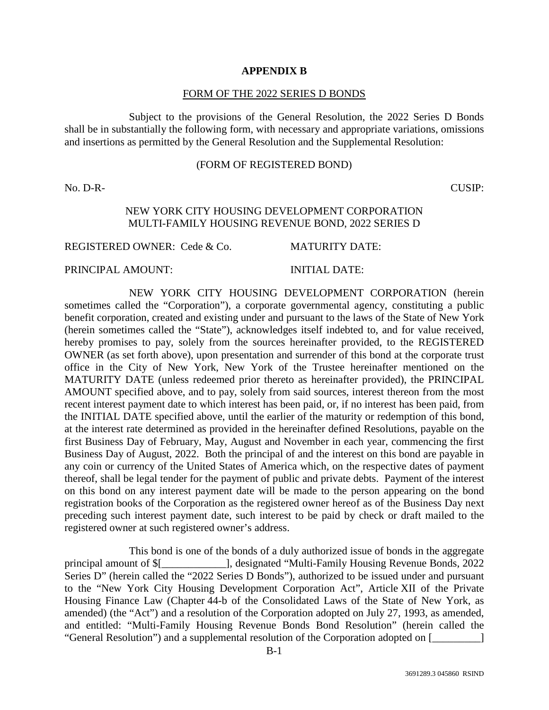#### **APPENDIX B**

#### FORM OF THE 2022 SERIES D BONDS

Subject to the provisions of the General Resolution, the 2022 Series D Bonds shall be in substantially the following form, with necessary and appropriate variations, omissions and insertions as permitted by the General Resolution and the Supplemental Resolution:

#### (FORM OF REGISTERED BOND)

No. D-R- CUSIP:

## NEW YORK CITY HOUSING DEVELOPMENT CORPORATION MULTI-FAMILY HOUSING REVENUE BOND, 2022 SERIES D

REGISTERED OWNER: Cede & Co. MATURITY DATE:

#### PRINCIPAL AMOUNT: INITIAL DATE:

NEW YORK CITY HOUSING DEVELOPMENT CORPORATION (herein sometimes called the "Corporation"), a corporate governmental agency, constituting a public benefit corporation, created and existing under and pursuant to the laws of the State of New York (herein sometimes called the "State"), acknowledges itself indebted to, and for value received, hereby promises to pay, solely from the sources hereinafter provided, to the REGISTERED OWNER (as set forth above), upon presentation and surrender of this bond at the corporate trust office in the City of New York, New York of the Trustee hereinafter mentioned on the MATURITY DATE (unless redeemed prior thereto as hereinafter provided), the PRINCIPAL AMOUNT specified above, and to pay, solely from said sources, interest thereon from the most recent interest payment date to which interest has been paid, or, if no interest has been paid, from the INITIAL DATE specified above, until the earlier of the maturity or redemption of this bond, at the interest rate determined as provided in the hereinafter defined Resolutions, payable on the first Business Day of February, May, August and November in each year, commencing the first Business Day of August, 2022. Both the principal of and the interest on this bond are payable in any coin or currency of the United States of America which, on the respective dates of payment thereof, shall be legal tender for the payment of public and private debts. Payment of the interest on this bond on any interest payment date will be made to the person appearing on the bond registration books of the Corporation as the registered owner hereof as of the Business Day next preceding such interest payment date, such interest to be paid by check or draft mailed to the registered owner at such registered owner's address.

This bond is one of the bonds of a duly authorized issue of bonds in the aggregate principal amount of \$[\_\_\_\_\_\_\_\_\_\_\_\_], designated "Multi-Family Housing Revenue Bonds, 2022 Series D" (herein called the "2022 Series D Bonds"), authorized to be issued under and pursuant to the "New York City Housing Development Corporation Act", Article XII of the Private Housing Finance Law (Chapter 44-b of the Consolidated Laws of the State of New York, as amended) (the "Act") and a resolution of the Corporation adopted on July 27, 1993, as amended, and entitled: "Multi-Family Housing Revenue Bonds Bond Resolution" (herein called the "General Resolution") and a supplemental resolution of the Corporation adopted on [\_\_\_\_\_\_\_\_\_]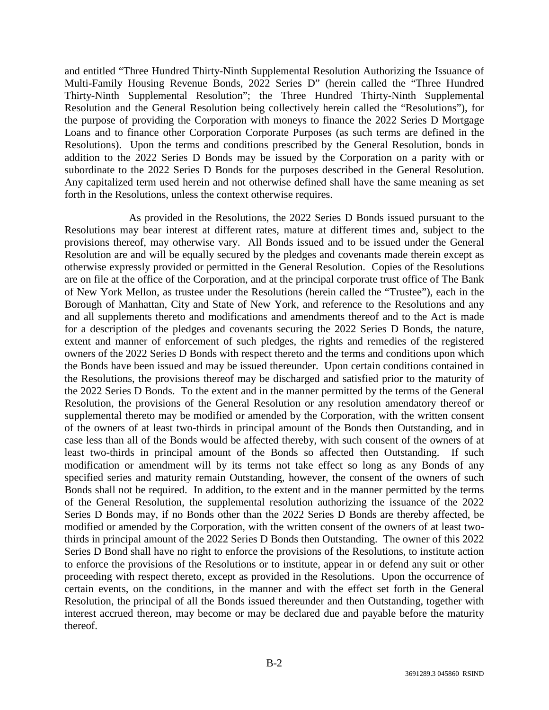and entitled "Three Hundred Thirty-Ninth Supplemental Resolution Authorizing the Issuance of Multi-Family Housing Revenue Bonds, 2022 Series D" (herein called the "Three Hundred Thirty-Ninth Supplemental Resolution"; the Three Hundred Thirty-Ninth Supplemental Resolution and the General Resolution being collectively herein called the "Resolutions"), for the purpose of providing the Corporation with moneys to finance the 2022 Series D Mortgage Loans and to finance other Corporation Corporate Purposes (as such terms are defined in the Resolutions). Upon the terms and conditions prescribed by the General Resolution, bonds in addition to the 2022 Series D Bonds may be issued by the Corporation on a parity with or subordinate to the 2022 Series D Bonds for the purposes described in the General Resolution. Any capitalized term used herein and not otherwise defined shall have the same meaning as set forth in the Resolutions, unless the context otherwise requires.

As provided in the Resolutions, the 2022 Series D Bonds issued pursuant to the Resolutions may bear interest at different rates, mature at different times and, subject to the provisions thereof, may otherwise vary. All Bonds issued and to be issued under the General Resolution are and will be equally secured by the pledges and covenants made therein except as otherwise expressly provided or permitted in the General Resolution. Copies of the Resolutions are on file at the office of the Corporation, and at the principal corporate trust office of The Bank of New York Mellon, as trustee under the Resolutions (herein called the "Trustee"), each in the Borough of Manhattan, City and State of New York, and reference to the Resolutions and any and all supplements thereto and modifications and amendments thereof and to the Act is made for a description of the pledges and covenants securing the 2022 Series D Bonds, the nature, extent and manner of enforcement of such pledges, the rights and remedies of the registered owners of the 2022 Series D Bonds with respect thereto and the terms and conditions upon which the Bonds have been issued and may be issued thereunder. Upon certain conditions contained in the Resolutions, the provisions thereof may be discharged and satisfied prior to the maturity of the 2022 Series D Bonds. To the extent and in the manner permitted by the terms of the General Resolution, the provisions of the General Resolution or any resolution amendatory thereof or supplemental thereto may be modified or amended by the Corporation, with the written consent of the owners of at least two-thirds in principal amount of the Bonds then Outstanding, and in case less than all of the Bonds would be affected thereby, with such consent of the owners of at least two-thirds in principal amount of the Bonds so affected then Outstanding. If such modification or amendment will by its terms not take effect so long as any Bonds of any specified series and maturity remain Outstanding, however, the consent of the owners of such Bonds shall not be required. In addition, to the extent and in the manner permitted by the terms of the General Resolution, the supplemental resolution authorizing the issuance of the 2022 Series D Bonds may, if no Bonds other than the 2022 Series D Bonds are thereby affected, be modified or amended by the Corporation, with the written consent of the owners of at least twothirds in principal amount of the 2022 Series D Bonds then Outstanding. The owner of this 2022 Series D Bond shall have no right to enforce the provisions of the Resolutions, to institute action to enforce the provisions of the Resolutions or to institute, appear in or defend any suit or other proceeding with respect thereto, except as provided in the Resolutions. Upon the occurrence of certain events, on the conditions, in the manner and with the effect set forth in the General Resolution, the principal of all the Bonds issued thereunder and then Outstanding, together with interest accrued thereon, may become or may be declared due and payable before the maturity thereof.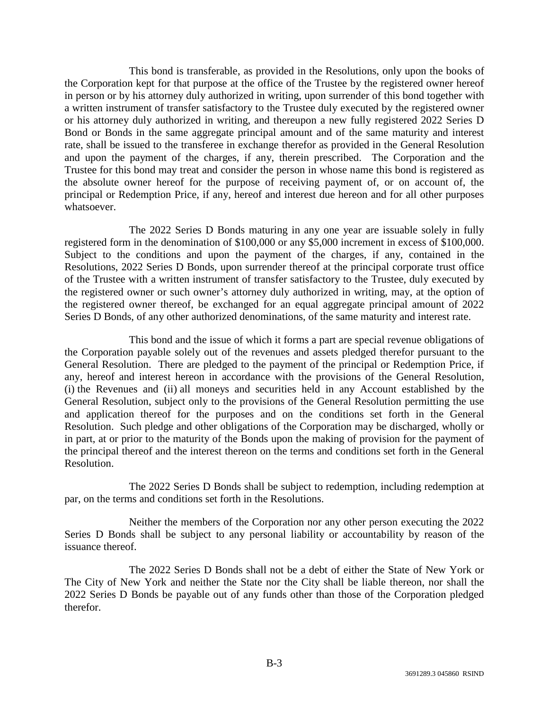This bond is transferable, as provided in the Resolutions, only upon the books of the Corporation kept for that purpose at the office of the Trustee by the registered owner hereof in person or by his attorney duly authorized in writing, upon surrender of this bond together with a written instrument of transfer satisfactory to the Trustee duly executed by the registered owner or his attorney duly authorized in writing, and thereupon a new fully registered 2022 Series D Bond or Bonds in the same aggregate principal amount and of the same maturity and interest rate, shall be issued to the transferee in exchange therefor as provided in the General Resolution and upon the payment of the charges, if any, therein prescribed. The Corporation and the Trustee for this bond may treat and consider the person in whose name this bond is registered as the absolute owner hereof for the purpose of receiving payment of, or on account of, the principal or Redemption Price, if any, hereof and interest due hereon and for all other purposes whatsoever.

The 2022 Series D Bonds maturing in any one year are issuable solely in fully registered form in the denomination of \$100,000 or any \$5,000 increment in excess of \$100,000. Subject to the conditions and upon the payment of the charges, if any, contained in the Resolutions, 2022 Series D Bonds, upon surrender thereof at the principal corporate trust office of the Trustee with a written instrument of transfer satisfactory to the Trustee, duly executed by the registered owner or such owner's attorney duly authorized in writing, may, at the option of the registered owner thereof, be exchanged for an equal aggregate principal amount of 2022 Series D Bonds, of any other authorized denominations, of the same maturity and interest rate.

This bond and the issue of which it forms a part are special revenue obligations of the Corporation payable solely out of the revenues and assets pledged therefor pursuant to the General Resolution. There are pledged to the payment of the principal or Redemption Price, if any, hereof and interest hereon in accordance with the provisions of the General Resolution, (i) the Revenues and (ii) all moneys and securities held in any Account established by the General Resolution, subject only to the provisions of the General Resolution permitting the use and application thereof for the purposes and on the conditions set forth in the General Resolution. Such pledge and other obligations of the Corporation may be discharged, wholly or in part, at or prior to the maturity of the Bonds upon the making of provision for the payment of the principal thereof and the interest thereon on the terms and conditions set forth in the General Resolution.

The 2022 Series D Bonds shall be subject to redemption, including redemption at par, on the terms and conditions set forth in the Resolutions.

Neither the members of the Corporation nor any other person executing the 2022 Series D Bonds shall be subject to any personal liability or accountability by reason of the issuance thereof.

The 2022 Series D Bonds shall not be a debt of either the State of New York or The City of New York and neither the State nor the City shall be liable thereon, nor shall the 2022 Series D Bonds be payable out of any funds other than those of the Corporation pledged therefor.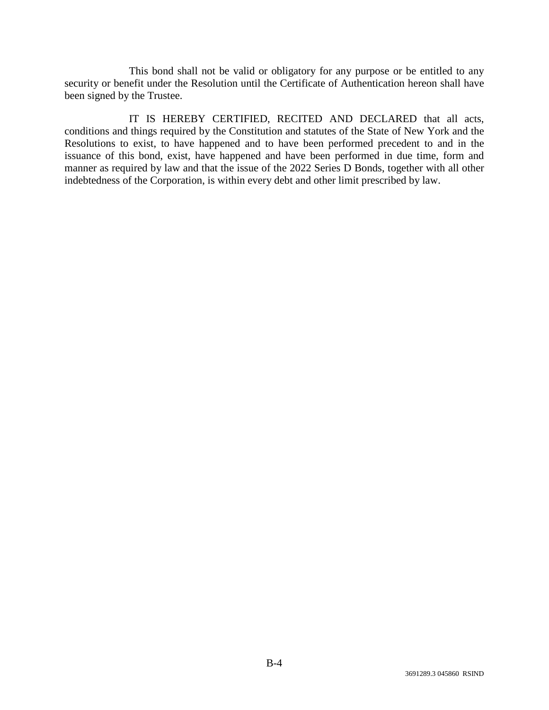This bond shall not be valid or obligatory for any purpose or be entitled to any security or benefit under the Resolution until the Certificate of Authentication hereon shall have been signed by the Trustee.

IT IS HEREBY CERTIFIED, RECITED AND DECLARED that all acts, conditions and things required by the Constitution and statutes of the State of New York and the Resolutions to exist, to have happened and to have been performed precedent to and in the issuance of this bond, exist, have happened and have been performed in due time, form and manner as required by law and that the issue of the 2022 Series D Bonds, together with all other indebtedness of the Corporation, is within every debt and other limit prescribed by law.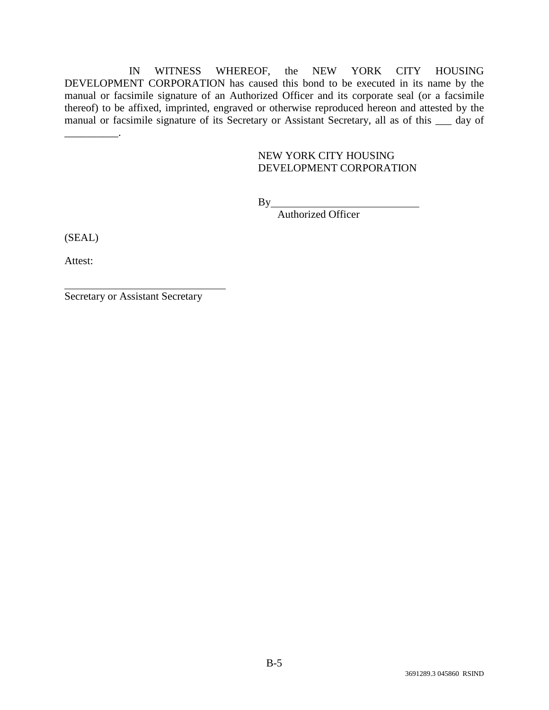IN WITNESS WHEREOF, the NEW YORK CITY HOUSING DEVELOPMENT CORPORATION has caused this bond to be executed in its name by the manual or facsimile signature of an Authorized Officer and its corporate seal (or a facsimile thereof) to be affixed, imprinted, engraved or otherwise reproduced hereon and attested by the manual or facsimile signature of its Secretary or Assistant Secretary, all as of this \_\_\_ day of

## NEW YORK CITY HOUSING DEVELOPMENT CORPORATION

 $By$ 

Authorized Officer

(SEAL)

\_\_\_\_\_\_\_\_\_\_.

Attest:

Secretary or Assistant Secretary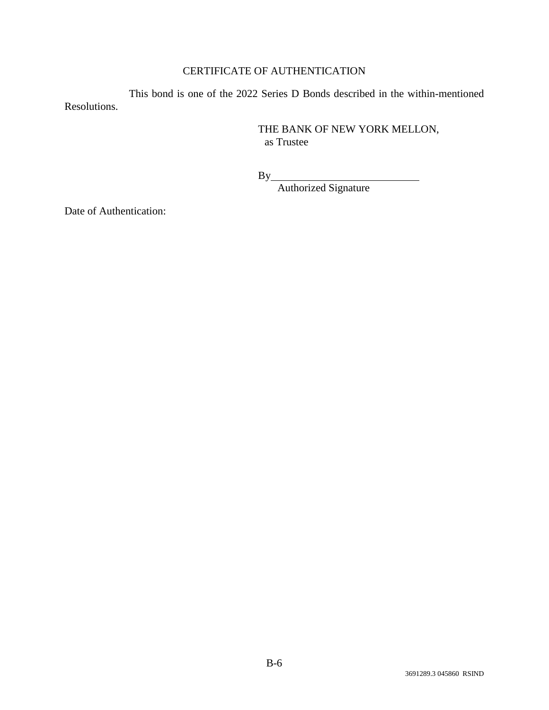# CERTIFICATE OF AUTHENTICATION

This bond is one of the 2022 Series D Bonds described in the within-mentioned Resolutions.

> THE BANK OF NEW YORK MELLON, as Trustee

 $By_$ 

Authorized Signature

Date of Authentication: